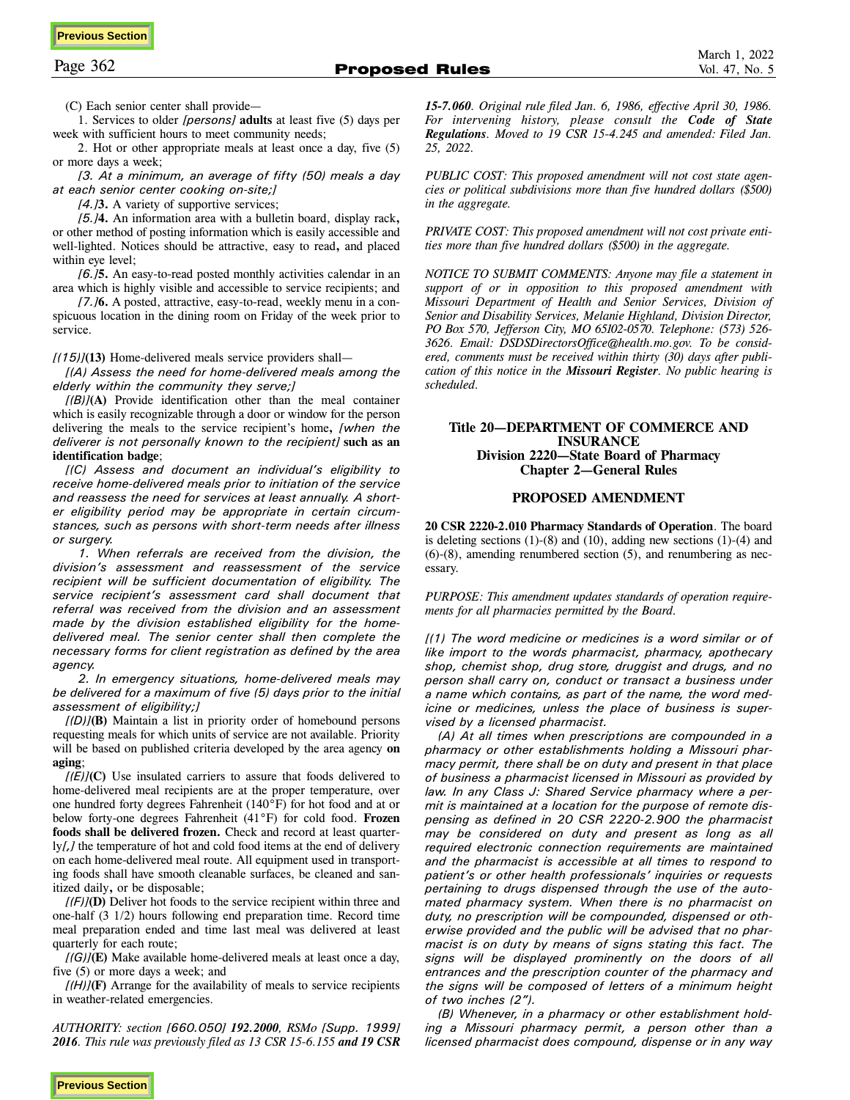(C) Each senior center shall provide—

1. Services to older *[persons]* **adults** at least five (5) days per week with sufficient hours to meet community needs;

2. Hot or other appropriate meals at least once a day, five (5) or more days a week;

*[3. At a minimum, an average of fifty (50) meals a day at each senior center cooking on-site;]* 

*[4.]***3.** A variety of supportive services;

*[5.]***4.** An information area with a bulletin board, display rack**,**  or other method of posting information which is easily accessible and well-lighted. Notices should be attractive, easy to read**,** and placed within eye level;

*[6.]***5.** An easy-to-read posted monthly activities calendar in an area which is highly visible and accessible to service recipients; and

*[7.]***6.** A posted, attractive, easy-to-read, weekly menu in a conspicuous location in the dining room on Friday of the week prior to service.

*[(15)]***(13)** Home-delivered meals service providers shall—

*[(A) Assess the need for home-delivered meals among the elderly within the community they serve;]* 

*[(B)]***(A)** Provide identification other than the meal container which is easily recognizable through a door or window for the person delivering the meals to the service recipient's home**,** *[when the deliverer is not personally known to the recipient]* **such as an identification badge**;

*[(C) Assess and document an individual's eligibility to receive home-delivered meals prior to initiation of the service and reassess the need for services at least annually. A shorter eligibility period may be appropriate in certain circumstances, such as persons with short-term needs after illness or surgery.* 

*1. When referrals are received from the division, the division's assessment and reassessment of the service recipient will be sufficient documentation of eligibility. The service recipient's assessment card shall document that referral was received from the division and an assessment made by the division established eligibility for the homedelivered meal. The senior center shall then complete the necessary forms for client registration as defined by the area agency.* 

*2. In emergency situations, home-delivered meals may be delivered for a maximum of five (5) days prior to the initial assessment of eligibility;]*

*[(D)]***(B)** Maintain a list in priority order of homebound persons requesting meals for which units of service are not available. Priority will be based on published criteria developed by the area agency **on aging**;

*[(E)]***(C)** Use insulated carriers to assure that foods delivered to home-delivered meal recipients are at the proper temperature, over one hundred forty degrees Fahrenheit (140°F) for hot food and at or below forty-one degrees Fahrenheit (41°F) for cold food. **Frozen foods shall be delivered frozen.** Check and record at least quarterly*[,]* the temperature of hot and cold food items at the end of delivery on each home-delivered meal route. All equipment used in transporting foods shall have smooth cleanable surfaces, be cleaned and sanitized daily**,** or be disposable;

*[(F)]***(D)** Deliver hot foods to the service recipient within three and one-half (3 1/2) hours following end preparation time. Record time meal preparation ended and time last meal was delivered at least quarterly for each route;

*[(G)]***(E)** Make available home-delivered meals at least once a day, five (5) or more days a week; and

*[(H)]***(F)** Arrange for the availability of meals to service recipients in weather-related emergencies.

*AUTHORITY: section [660.050] 192.2000, RSMo [Supp. 1999] 2016. This rule was previously filed as 13 CSR 15-6.155 and 19 CSR*  *15-7.060. Original rule filed Jan. 6, 1986, effective April 30, 1986. For intervening history, please consult the Code of State Regulations. Moved to 19 CSR 15-4.245 and amended: Filed Jan. 25, 2022.* 

*PUBLIC COST: This proposed amendment will not cost state agencies or political subdivisions more than five hundred dollars (\$500) in the aggregate.* 

*PRIVATE COST: This proposed amendment will not cost private entities more than five hundred dollars (\$500) in the aggregate.* 

*NOTICE TO SUBMIT COMMENTS: Anyone may file a statement in support of or in opposition to this proposed amendment with Missouri Department of Health and Senior Services, Division of Senior and Disability Services, Melanie Highland, Division Director, PO Box 570, Jefferson City, MO 65102-0570. Telephone: (573) 526- 3626. Email: DSDSDirectorsOffice@health.mo.gov. To be considered, comments must be received within thirty (30) days after publication of this notice in the Missouri Register. No public hearing is scheduled.* 

### **Title 20—DEPARTMENT OF COMMERCE AND INSURANCE Division 2220—State Board of Pharmacy Chapter 2—General Rules**

### **PROPOSED AMENDMENT**

**20 CSR 2220-2.010 Pharmacy Standards of Operation**. The board is deleting sections  $(1)-(8)$  and  $(10)$ , adding new sections  $(1)-(4)$  and (6)-(8), amending renumbered section (5), and renumbering as necessary.

*PURPOSE: This amendment updates standards of operation requirements for all pharmacies permitted by the Board.* 

*[(1) The word medicine or medicines is a word similar or of like import to the words pharmacist, pharmacy, apothecary shop, chemist shop, drug store, druggist and drugs, and no person shall carry on, conduct or transact a business under a name which contains, as part of the name, the word medicine or medicines, unless the place of business is supervised by a licensed pharmacist.* 

*(A) At all times when prescriptions are compounded in a pharmacy or other establishments holding a Missouri pharmacy permit, there shall be on duty and present in that place of business a pharmacist licensed in Missouri as provided by law. In any Class J: Shared Service pharmacy where a permit is maintained at a location for the purpose of remote dispensing as defined in 20 CSR 2220-2.900 the pharmacist may be considered on duty and present as long as all required electronic connection requirements are maintained and the pharmacist is accessible at all times to respond to patient's or other health professionals' inquiries or requests pertaining to drugs dispensed through the use of the automated pharmacy system. When there is no pharmacist on duty, no prescription will be compounded, dispensed or otherwise provided and the public will be advised that no pharmacist is on duty by means of signs stating this fact. The signs will be displayed prominently on the doors of all entrances and the prescription counter of the pharmacy and the signs will be composed of letters of a minimum height of two inches (2").* 

*(B) Whenever, in a pharmacy or other establishment holding a Missouri pharmacy permit, a person other than a licensed pharmacist does compound, dispense or in any way*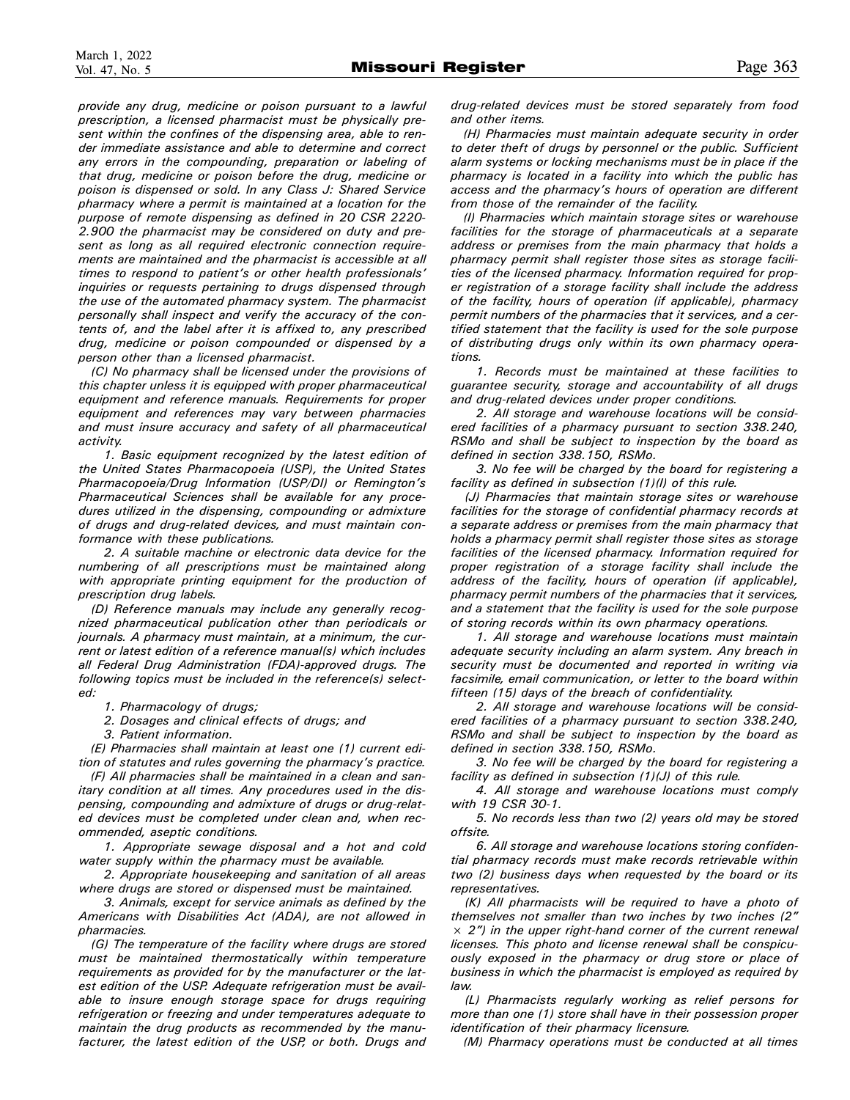*provide any drug, medicine or poison pursuant to a lawful prescription, a licensed pharmacist must be physically present within the confines of the dispensing area, able to render immediate assistance and able to determine and correct any errors in the compounding, preparation or labeling of that drug, medicine or poison before the drug, medicine or poison is dispensed or sold. In any Class J: Shared Service pharmacy where a permit is maintained at a location for the purpose of remote dispensing as defined in 20 CSR 2220- 2.900 the pharmacist may be considered on duty and present as long as all required electronic connection requirements are maintained and the pharmacist is accessible at all times to respond to patient's or other health professionals' inquiries or requests pertaining to drugs dispensed through the use of the automated pharmacy system. The pharmacist personally shall inspect and verify the accuracy of the contents of, and the label after it is affixed to, any prescribed drug, medicine or poison compounded or dispensed by a person other than a licensed pharmacist.* 

*(C) No pharmacy shall be licensed under the provisions of this chapter unless it is equipped with proper pharmaceutical equipment and reference manuals. Requirements for proper equipment and references may vary between pharmacies and must insure accuracy and safety of all pharmaceutical activity.* 

*1. Basic equipment recognized by the latest edition of the United States Pharmacopoeia (USP), the United States Pharmacopoeia/Drug Information (USP/DI) or Remington's Pharmaceutical Sciences shall be available for any procedures utilized in the dispensing, compounding or admixture of drugs and drug-related devices, and must maintain conformance with these publications.* 

*2. A suitable machine or electronic data device for the numbering of all prescriptions must be maintained along with appropriate printing equipment for the production of prescription drug labels.* 

*(D) Reference manuals may include any generally recognized pharmaceutical publication other than periodicals or journals. A pharmacy must maintain, at a minimum, the current or latest edition of a reference manual(s) which includes all Federal Drug Administration (FDA)-approved drugs. The following topics must be included in the reference(s) selected:* 

*1. Pharmacology of drugs;* 

*2. Dosages and clinical effects of drugs; and* 

*3. Patient information.* 

*(E) Pharmacies shall maintain at least one (1) current edition of statutes and rules governing the pharmacy's practice.* 

*(F) All pharmacies shall be maintained in a clean and sanitary condition at all times. Any procedures used in the dispensing, compounding and admixture of drugs or drug-related devices must be completed under clean and, when recommended, aseptic conditions.* 

*1. Appropriate sewage disposal and a hot and cold water supply within the pharmacy must be available.* 

*2. Appropriate housekeeping and sanitation of all areas where drugs are stored or dispensed must be maintained.* 

*3. Animals, except for service animals as defined by the Americans with Disabilities Act (ADA), are not allowed in pharmacies.* 

*(G) The temperature of the facility where drugs are stored must be maintained thermostatically within temperature requirements as provided for by the manufacturer or the latest edition of the USP. Adequate refrigeration must be available to insure enough storage space for drugs requiring refrigeration or freezing and under temperatures adequate to maintain the drug products as recommended by the manufacturer, the latest edition of the USP, or both. Drugs and*  *drug-related devices must be stored separately from food and other items.* 

*(H) Pharmacies must maintain adequate security in order to deter theft of drugs by personnel or the public. Sufficient alarm systems or locking mechanisms must be in place if the pharmacy is located in a facility into which the public has access and the pharmacy's hours of operation are different from those of the remainder of the facility.* 

*(I) Pharmacies which maintain storage sites or warehouse facilities for the storage of pharmaceuticals at a separate address or premises from the main pharmacy that holds a pharmacy permit shall register those sites as storage facilities of the licensed pharmacy. Information required for proper registration of a storage facility shall include the address of the facility, hours of operation (if applicable), pharmacy permit numbers of the pharmacies that it services, and a certified statement that the facility is used for the sole purpose of distributing drugs only within its own pharmacy operations.* 

*1. Records must be maintained at these facilities to guarantee security, storage and accountability of all drugs and drug-related devices under proper conditions.* 

*2. All storage and warehouse locations will be considered facilities of a pharmacy pursuant to section 338.240, RSMo and shall be subject to inspection by the board as defined in section 338.150, RSMo.* 

*3. No fee will be charged by the board for registering a facility as defined in subsection (1)(I) of this rule.* 

*(J) Pharmacies that maintain storage sites or warehouse facilities for the storage of confidential pharmacy records at a separate address or premises from the main pharmacy that holds a pharmacy permit shall register those sites as storage facilities of the licensed pharmacy. Information required for proper registration of a storage facility shall include the address of the facility, hours of operation (if applicable), pharmacy permit numbers of the pharmacies that it services, and a statement that the facility is used for the sole purpose of storing records within its own pharmacy operations.* 

*1. All storage and warehouse locations must maintain adequate security including an alarm system. Any breach in security must be documented and reported in writing via facsimile, email communication, or letter to the board within fifteen (15) days of the breach of confidentiality.* 

*2. All storage and warehouse locations will be considered facilities of a pharmacy pursuant to section 338.240, RSMo and shall be subject to inspection by the board as defined in section 338.150, RSMo.* 

*3. No fee will be charged by the board for registering a facility as defined in subsection (1)(J) of this rule.* 

*4. All storage and warehouse locations must comply with 19 CSR 30-1.* 

*5. No records less than two (2) years old may be stored offsite.* 

*6. All storage and warehouse locations storing confidential pharmacy records must make records retrievable within two (2) business days when requested by the board or its representatives.* 

*(K) All pharmacists will be required to have a photo of themselves not smaller than two inches by two inches (2" × 2") in the upper right-hand corner of the current renewal licenses. This photo and license renewal shall be conspicuously exposed in the pharmacy or drug store or place of business in which the pharmacist is employed as required by law.* 

*(L) Pharmacists regularly working as relief persons for more than one (1) store shall have in their possession proper identification of their pharmacy licensure.* 

*(M) Pharmacy operations must be conducted at all times*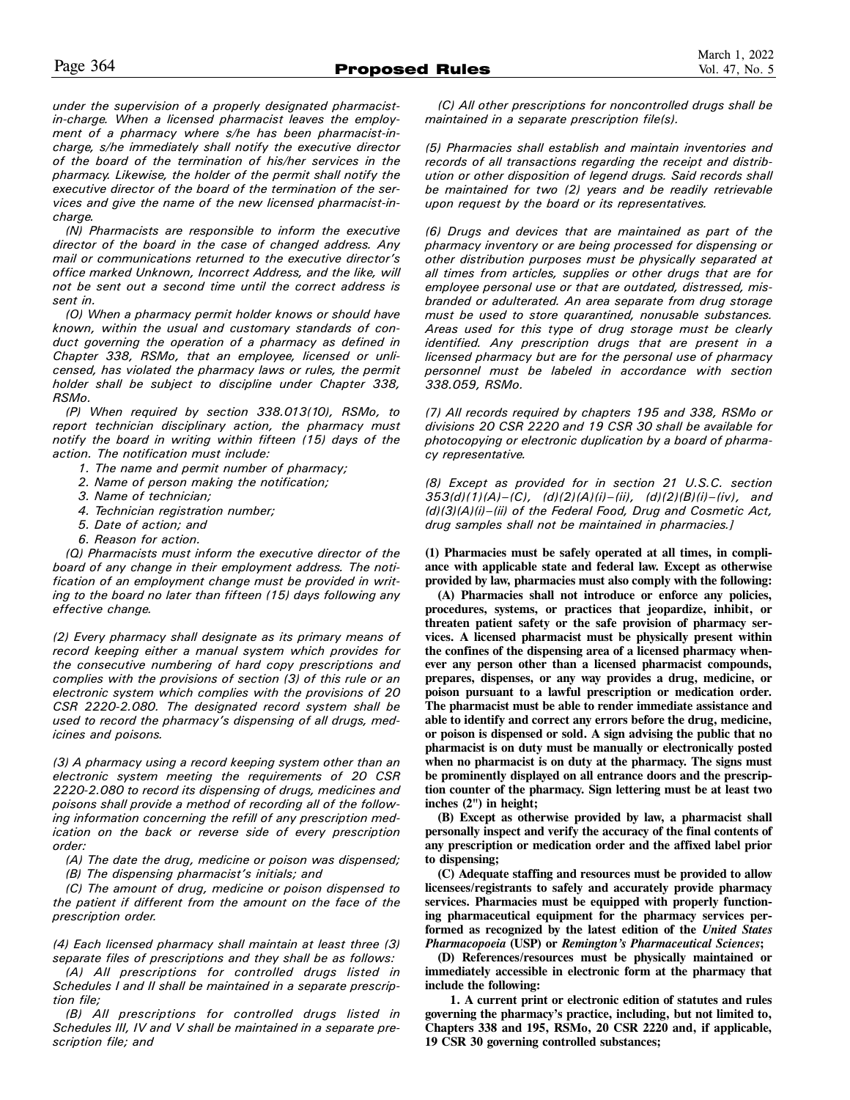*under the supervision of a properly designated pharmacistin-charge. When a licensed pharmacist leaves the employment of a pharmacy where s/he has been pharmacist-incharge, s/he immediately shall notify the executive director of the board of the termination of his/her services in the pharmacy. Likewise, the holder of the permit shall notify the executive director of the board of the termination of the services and give the name of the new licensed pharmacist-incharge.* 

*(N) Pharmacists are responsible to inform the executive director of the board in the case of changed address. Any mail or communications returned to the executive director's office marked Unknown, Incorrect Address, and the like, will not be sent out a second time until the correct address is sent in.* 

*(O) When a pharmacy permit holder knows or should have known, within the usual and customary standards of conduct governing the operation of a pharmacy as defined in Chapter 338, RSMo, that an employee, licensed or unlicensed, has violated the pharmacy laws or rules, the permit holder shall be subject to discipline under Chapter 338, RSMo.* 

*(P) When required by section 338.013(10), RSMo, to report technician disciplinary action, the pharmacy must notify the board in writing within fifteen (15) days of the action. The notification must include:* 

- *1. The name and permit number of pharmacy;*
- *2. Name of person making the notification;*
- *3. Name of technician;*
- *4. Technician registration number;*
- *5. Date of action; and*
- *6. Reason for action.*

*(Q) Pharmacists must inform the executive director of the board of any change in their employment address. The notification of an employment change must be provided in writing to the board no later than fifteen (15) days following any effective change.* 

*(2) Every pharmacy shall designate as its primary means of record keeping either a manual system which provides for the consecutive numbering of hard copy prescriptions and complies with the provisions of section (3) of this rule or an electronic system which complies with the provisions of 20 CSR 2220-2.080. The designated record system shall be used to record the pharmacy's dispensing of all drugs, medicines and poisons.* 

*(3) A pharmacy using a record keeping system other than an electronic system meeting the requirements of 20 CSR 2220-2.080 to record its dispensing of drugs, medicines and poisons shall provide a method of recording all of the following information concerning the refill of any prescription medication on the back or reverse side of every prescription order:* 

*(A) The date the drug, medicine or poison was dispensed;* 

*(B) The dispensing pharmacist's initials; and* 

*(C) The amount of drug, medicine or poison dispensed to the patient if different from the amount on the face of the prescription order.* 

*(4) Each licensed pharmacy shall maintain at least three (3) separate files of prescriptions and they shall be as follows:* 

*(A) All prescriptions for controlled drugs listed in Schedules I and II shall be maintained in a separate prescription file;* 

*(B) All prescriptions for controlled drugs listed in Schedules III, IV and V shall be maintained in a separate prescription file; and* 

*(C) All other prescriptions for noncontrolled drugs shall be maintained in a separate prescription file(s).* 

*(5) Pharmacies shall establish and maintain inventories and records of all transactions regarding the receipt and distribution or other disposition of legend drugs. Said records shall be maintained for two (2) years and be readily retrievable upon request by the board or its representatives.* 

*(6) Drugs and devices that are maintained as part of the pharmacy inventory or are being processed for dispensing or other distribution purposes must be physically separated at all times from articles, supplies or other drugs that are for employee personal use or that are outdated, distressed, misbranded or adulterated. An area separate from drug storage must be used to store quarantined, nonusable substances. Areas used for this type of drug storage must be clearly identified. Any prescription drugs that are present in a licensed pharmacy but are for the personal use of pharmacy personnel must be labeled in accordance with section 338.059, RSMo.* 

*(7) All records required by chapters 195 and 338, RSMo or divisions 20 CSR 2220 and 19 CSR 30 shall be available for photocopying or electronic duplication by a board of pharmacy representative.* 

*(8) Except as provided for in section 21 U.S.C. section 353(d)(1)(A)–(C), (d)(2)(A)(i)–(ii), (d)(2)(B)(i)–(iv), and (d)(3)(A)(i)–(ii) of the Federal Food, Drug and Cosmetic Act, drug samples shall not be maintained in pharmacies.]* 

**(1) Pharmacies must be safely operated at all times, in compliance with applicable state and federal law. Except as otherwise provided by law, pharmacies must also comply with the following:** 

**(A) Pharmacies shall not introduce or enforce any policies, procedures, systems, or practices that jeopardize, inhibit, or threaten patient safety or the safe provision of pharmacy services. A licensed pharmacist must be physically present within the confines of the dispensing area of a licensed pharmacy whenever any person other than a licensed pharmacist compounds, prepares, dispenses, or any way provides a drug, medicine, or poison pursuant to a lawful prescription or medication order. The pharmacist must be able to render immediate assistance and able to identify and correct any errors before the drug, medicine, or poison is dispensed or sold. A sign advising the public that no pharmacist is on duty must be manually or electronically posted when no pharmacist is on duty at the pharmacy. The signs must be prominently displayed on all entrance doors and the prescription counter of the pharmacy. Sign lettering must be at least two inches (2") in height;** 

**(B) Except as otherwise provided by law, a pharmacist shall personally inspect and verify the accuracy of the final contents of any prescription or medication order and the affixed label prior to dispensing;** 

**(C) Adequate staffing and resources must be provided to allow licensees/registrants to safely and accurately provide pharmacy services. Pharmacies must be equipped with properly functioning pharmaceutical equipment for the pharmacy services performed as recognized by the latest edition of the** *United States Pharmacopoeia* **(USP) or** *Remington's Pharmaceutical Sciences***;** 

**(D) References/resources must be physically maintained or immediately accessible in electronic form at the pharmacy that include the following:** 

**1. A current print or electronic edition of statutes and rules governing the pharmacy's practice, including, but not limited to, Chapters 338 and 195, RSMo, 20 CSR 2220 and, if applicable, 19 CSR 30 governing controlled substances;**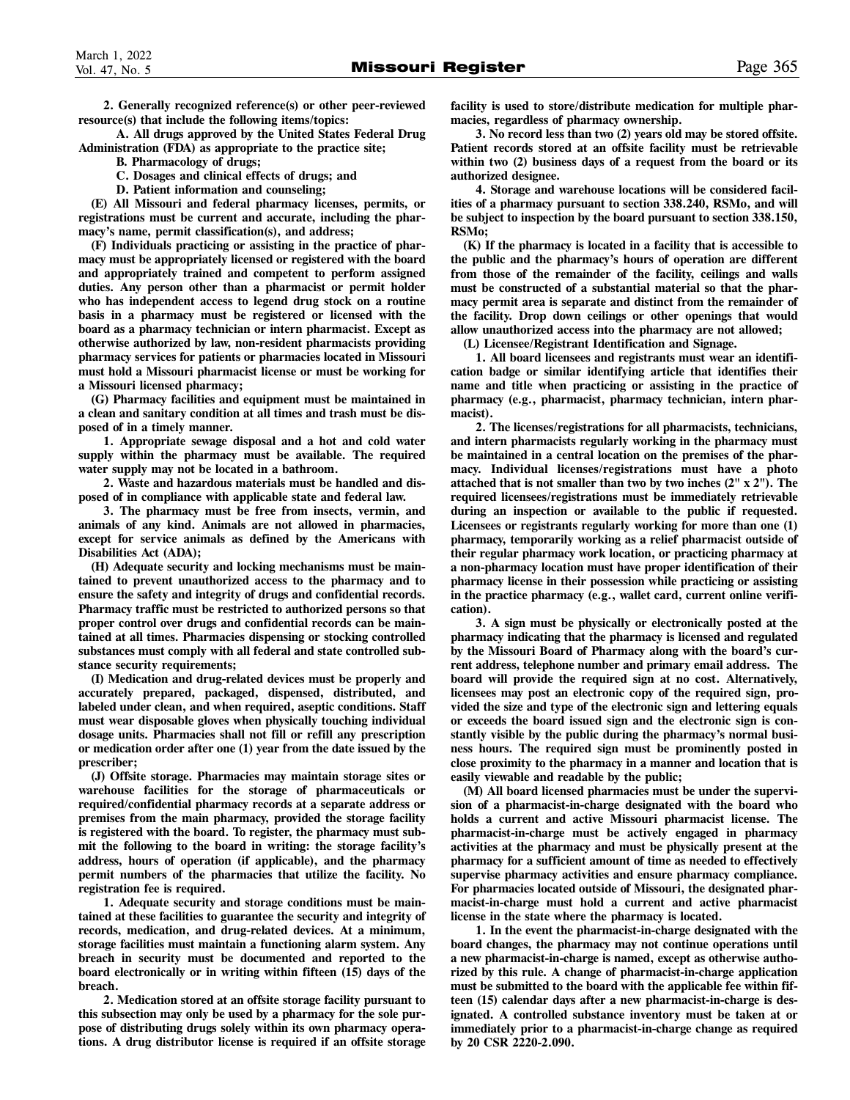**2. Generally recognized reference(s) or other peer-reviewed resource(s) that include the following items/topics:** 

**A. All drugs approved by the United States Federal Drug Administration (FDA) as appropriate to the practice site;** 

- **B. Pharmacology of drugs;**
- **C. Dosages and clinical effects of drugs; and**
- **D. Patient information and counseling;**

**(E) All Missouri and federal pharmacy licenses, permits, or registrations must be current and accurate, including the pharmacy's name, permit classification(s), and address;** 

**(F) Individuals practicing or assisting in the practice of pharmacy must be appropriately licensed or registered with the board and appropriately trained and competent to perform assigned duties. Any person other than a pharmacist or permit holder who has independent access to legend drug stock on a routine basis in a pharmacy must be registered or licensed with the board as a pharmacy technician or intern pharmacist. Except as otherwise authorized by law, non-resident pharmacists providing pharmacy services for patients or pharmacies located in Missouri must hold a Missouri pharmacist license or must be working for a Missouri licensed pharmacy;** 

**(G) Pharmacy facilities and equipment must be maintained in a clean and sanitary condition at all times and trash must be disposed of in a timely manner.** 

**1. Appropriate sewage disposal and a hot and cold water supply within the pharmacy must be available. The required water supply may not be located in a bathroom.** 

**2. Waste and hazardous materials must be handled and disposed of in compliance with applicable state and federal law.** 

**3. The pharmacy must be free from insects, vermin, and animals of any kind. Animals are not allowed in pharmacies, except for service animals as defined by the Americans with Disabilities Act (ADA);** 

**(H) Adequate security and locking mechanisms must be maintained to prevent unauthorized access to the pharmacy and to ensure the safety and integrity of drugs and confidential records. Pharmacy traffic must be restricted to authorized persons so that proper control over drugs and confidential records can be maintained at all times. Pharmacies dispensing or stocking controlled substances must comply with all federal and state controlled substance security requirements;** 

**(I) Medication and drug-related devices must be properly and accurately prepared, packaged, dispensed, distributed, and labeled under clean, and when required, aseptic conditions. Staff must wear disposable gloves when physically touching individual dosage units. Pharmacies shall not fill or refill any prescription or medication order after one (1) year from the date issued by the prescriber;** 

**(J) Offsite storage. Pharmacies may maintain storage sites or warehouse facilities for the storage of pharmaceuticals or required/confidential pharmacy records at a separate address or premises from the main pharmacy, provided the storage facility is registered with the board. To register, the pharmacy must submit the following to the board in writing: the storage facility's address, hours of operation (if applicable), and the pharmacy permit numbers of the pharmacies that utilize the facility. No registration fee is required.** 

**1. Adequate security and storage conditions must be maintained at these facilities to guarantee the security and integrity of records, medication, and drug-related devices. At a minimum, storage facilities must maintain a functioning alarm system. Any breach in security must be documented and reported to the board electronically or in writing within fifteen (15) days of the breach.** 

**2. Medication stored at an offsite storage facility pursuant to this subsection may only be used by a pharmacy for the sole purpose of distributing drugs solely within its own pharmacy operations. A drug distributor license is required if an offsite storage**  **facility is used to store/distribute medication for multiple pharmacies, regardless of pharmacy ownership.** 

**3. No record less than two (2) years old may be stored offsite. Patient records stored at an offsite facility must be retrievable within two (2) business days of a request from the board or its authorized designee.** 

**4. Storage and warehouse locations will be considered facilities of a pharmacy pursuant to section 338.240, RSMo, and will be subject to inspection by the board pursuant to section 338.150, RSMo;** 

**(K) If the pharmacy is located in a facility that is accessible to the public and the pharmacy's hours of operation are different from those of the remainder of the facility, ceilings and walls must be constructed of a substantial material so that the pharmacy permit area is separate and distinct from the remainder of the facility. Drop down ceilings or other openings that would allow unauthorized access into the pharmacy are not allowed;** 

**(L) Licensee/Registrant Identification and Signage.** 

**1. All board licensees and registrants must wear an identification badge or similar identifying article that identifies their name and title when practicing or assisting in the practice of pharmacy (e.g., pharmacist, pharmacy technician, intern pharmacist).** 

**2. The licenses/registrations for all pharmacists, technicians, and intern pharmacists regularly working in the pharmacy must be maintained in a central location on the premises of the pharmacy. Individual licenses/registrations must have a photo attached that is not smaller than two by two inches (2" x 2"). The required licensees/registrations must be immediately retrievable during an inspection or available to the public if requested. Licensees or registrants regularly working for more than one (1) pharmacy, temporarily working as a relief pharmacist outside of their regular pharmacy work location, or practicing pharmacy at a non-pharmacy location must have proper identification of their pharmacy license in their possession while practicing or assisting in the practice pharmacy (e.g., wallet card, current online verification).** 

**3. A sign must be physically or electronically posted at the pharmacy indicating that the pharmacy is licensed and regulated by the Missouri Board of Pharmacy along with the board's current address, telephone number and primary email address. The board will provide the required sign at no cost. Alternatively, licensees may post an electronic copy of the required sign, provided the size and type of the electronic sign and lettering equals or exceeds the board issued sign and the electronic sign is constantly visible by the public during the pharmacy's normal business hours. The required sign must be prominently posted in close proximity to the pharmacy in a manner and location that is easily viewable and readable by the public;** 

**(M) All board licensed pharmacies must be under the supervision of a pharmacist-in-charge designated with the board who holds a current and active Missouri pharmacist license. The pharmacist-in-charge must be actively engaged in pharmacy activities at the pharmacy and must be physically present at the pharmacy for a sufficient amount of time as needed to effectively supervise pharmacy activities and ensure pharmacy compliance. For pharmacies located outside of Missouri, the designated pharmacist-in-charge must hold a current and active pharmacist license in the state where the pharmacy is located.** 

**1. In the event the pharmacist-in-charge designated with the board changes, the pharmacy may not continue operations until a new pharmacist-in-charge is named, except as otherwise authorized by this rule. A change of pharmacist-in-charge application must be submitted to the board with the applicable fee within fifteen (15) calendar days after a new pharmacist-in-charge is designated. A controlled substance inventory must be taken at or immediately prior to a pharmacist-in-charge change as required by 20 CSR 2220-2.090.**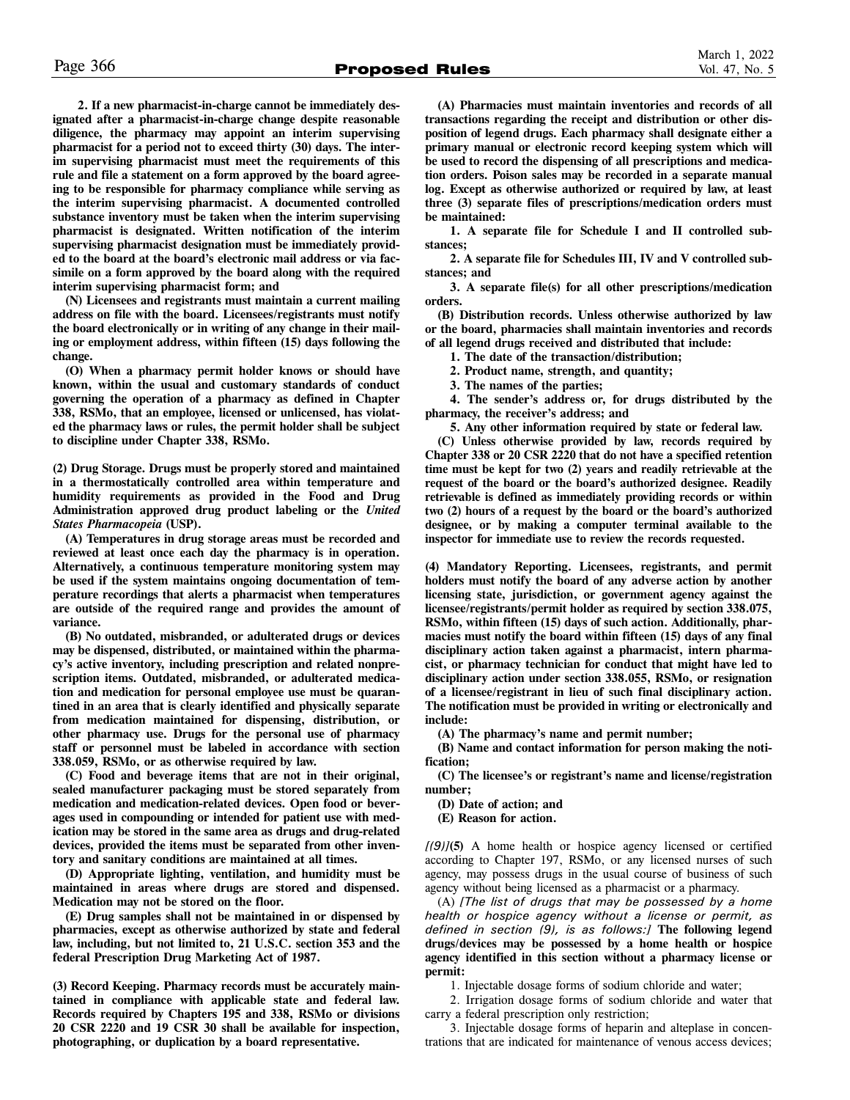**2. If a new pharmacist-in-charge cannot be immediately designated after a pharmacist-in-charge change despite reasonable diligence, the pharmacy may appoint an interim supervising pharmacist for a period not to exceed thirty (30) days. The interim supervising pharmacist must meet the requirements of this rule and file a statement on a form approved by the board agreeing to be responsible for pharmacy compliance while serving as the interim supervising pharmacist. A documented controlled substance inventory must be taken when the interim supervising pharmacist is designated. Written notification of the interim supervising pharmacist designation must be immediately provided to the board at the board's electronic mail address or via facsimile on a form approved by the board along with the required interim supervising pharmacist form; and** 

**(N) Licensees and registrants must maintain a current mailing address on file with the board. Licensees/registrants must notify the board electronically or in writing of any change in their mailing or employment address, within fifteen (15) days following the change.**

**(O) When a pharmacy permit holder knows or should have known, within the usual and customary standards of conduct governing the operation of a pharmacy as defined in Chapter 338, RSMo, that an employee, licensed or unlicensed, has violated the pharmacy laws or rules, the permit holder shall be subject to discipline under Chapter 338, RSMo.** 

**(2) Drug Storage. Drugs must be properly stored and maintained in a thermostatically controlled area within temperature and humidity requirements as provided in the Food and Drug Administration approved drug product labeling or the** *United States Pharmacopeia* **(USP).** 

**(A) Temperatures in drug storage areas must be recorded and reviewed at least once each day the pharmacy is in operation. Alternatively, a continuous temperature monitoring system may be used if the system maintains ongoing documentation of temperature recordings that alerts a pharmacist when temperatures are outside of the required range and provides the amount of variance.** 

**(B) No outdated, misbranded, or adulterated drugs or devices may be dispensed, distributed, or maintained within the pharmacy's active inventory, including prescription and related nonprescription items. Outdated, misbranded, or adulterated medication and medication for personal employee use must be quarantined in an area that is clearly identified and physically separate from medication maintained for dispensing, distribution, or other pharmacy use. Drugs for the personal use of pharmacy staff or personnel must be labeled in accordance with section 338.059, RSMo, or as otherwise required by law.** 

**(C) Food and beverage items that are not in their original, sealed manufacturer packaging must be stored separately from medication and medication-related devices. Open food or beverages used in compounding or intended for patient use with medication may be stored in the same area as drugs and drug-related devices, provided the items must be separated from other inventory and sanitary conditions are maintained at all times.** 

**(D) Appropriate lighting, ventilation, and humidity must be maintained in areas where drugs are stored and dispensed. Medication may not be stored on the floor.** 

**(E) Drug samples shall not be maintained in or dispensed by pharmacies, except as otherwise authorized by state and federal law, including, but not limited to, 21 U.S.C. section 353 and the federal Prescription Drug Marketing Act of 1987.** 

**(3) Record Keeping. Pharmacy records must be accurately maintained in compliance with applicable state and federal law. Records required by Chapters 195 and 338, RSMo or divisions 20 CSR 2220 and 19 CSR 30 shall be available for inspection, photographing, or duplication by a board representative.** 

**(A) Pharmacies must maintain inventories and records of all transactions regarding the receipt and distribution or other disposition of legend drugs. Each pharmacy shall designate either a primary manual or electronic record keeping system which will be used to record the dispensing of all prescriptions and medication orders. Poison sales may be recorded in a separate manual log. Except as otherwise authorized or required by law, at least three (3) separate files of prescriptions/medication orders must be maintained:** 

**1. A separate file for Schedule I and II controlled substances;** 

**2. A separate file for Schedules III, IV and V controlled substances; and** 

**3. A separate file(s) for all other prescriptions/medication orders.** 

**(B) Distribution records. Unless otherwise authorized by law or the board, pharmacies shall maintain inventories and records of all legend drugs received and distributed that include:** 

**1. The date of the transaction/distribution;** 

**2. Product name, strength, and quantity;** 

**3. The names of the parties;** 

**4. The sender's address or, for drugs distributed by the pharmacy, the receiver's address; and** 

**5. Any other information required by state or federal law.** 

**(C) Unless otherwise provided by law, records required by Chapter 338 or 20 CSR 2220 that do not have a specified retention time must be kept for two (2) years and readily retrievable at the request of the board or the board's authorized designee. Readily retrievable is defined as immediately providing records or within two (2) hours of a request by the board or the board's authorized designee, or by making a computer terminal available to the inspector for immediate use to review the records requested.** 

**(4) Mandatory Reporting. Licensees, registrants, and permit holders must notify the board of any adverse action by another licensing state, jurisdiction, or government agency against the licensee/registrants/permit holder as required by section 338.075, RSMo, within fifteen (15) days of such action. Additionally, pharmacies must notify the board within fifteen (15) days of any final disciplinary action taken against a pharmacist, intern pharmacist, or pharmacy technician for conduct that might have led to disciplinary action under section 338.055, RSMo, or resignation of a licensee/registrant in lieu of such final disciplinary action. The notification must be provided in writing or electronically and include:** 

**(A) The pharmacy's name and permit number;** 

**(B) Name and contact information for person making the notification;** 

**(C) The licensee's or registrant's name and license/registration number;** 

**(D) Date of action; and** 

**(E) Reason for action.** 

*[(9)]***(5)** A home health or hospice agency licensed or certified according to Chapter 197, RSMo, or any licensed nurses of such agency, may possess drugs in the usual course of business of such agency without being licensed as a pharmacist or a pharmacy.

(A) *[The list of drugs that may be possessed by a home health or hospice agency without a license or permit, as defined in section (9), is as follows:]* **The following legend drugs/devices may be possessed by a home health or hospice agency identified in this section without a pharmacy license or permit:**

1. Injectable dosage forms of sodium chloride and water;

2. Irrigation dosage forms of sodium chloride and water that carry a federal prescription only restriction;

3. Injectable dosage forms of heparin and alteplase in concentrations that are indicated for maintenance of venous access devices;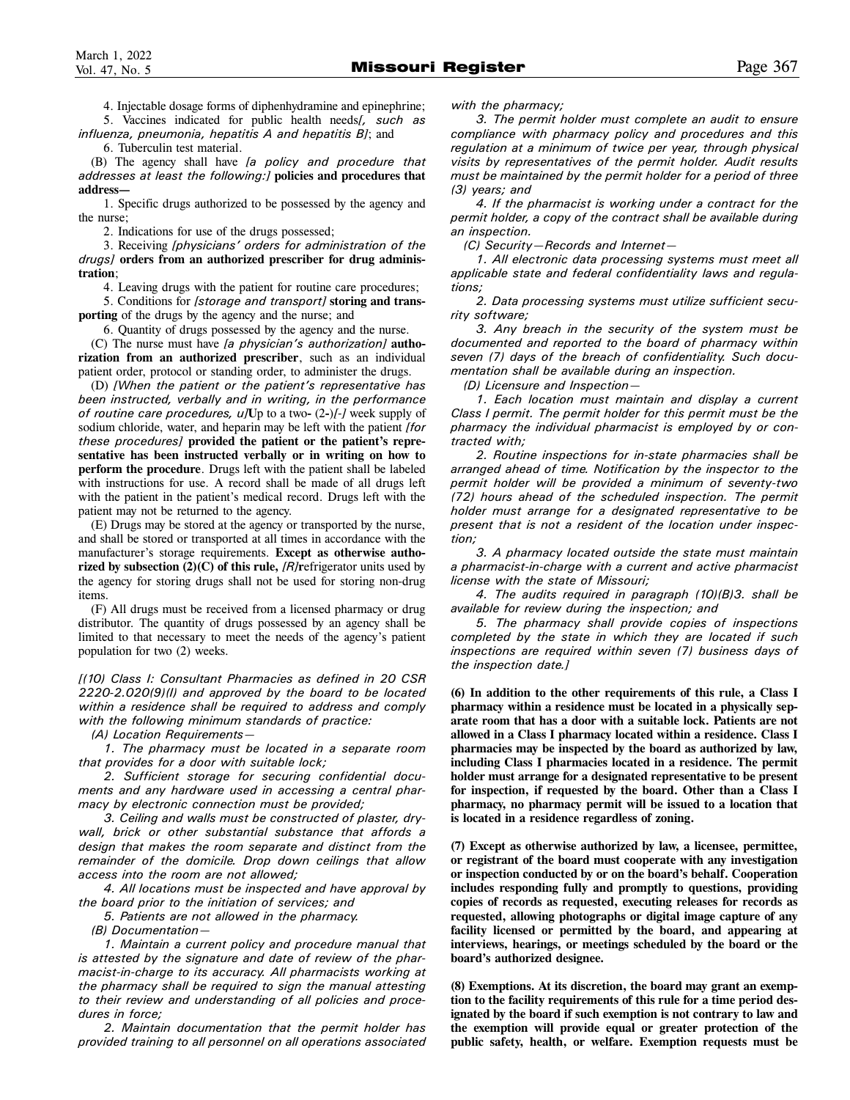4. Injectable dosage forms of diphenhydramine and epinephrine;

5. Vaccines indicated for public health needs*[, such as influenza, pneumonia, hepatitis A and hepatitis B]*; and 6. Tuberculin test material.

(B) The agency shall have *[a policy and procedure that addresses at least the following:]* **policies and procedures that address—**

1. Specific drugs authorized to be possessed by the agency and the nurse;

2. Indications for use of the drugs possessed;

3. Receiving *[physicians' orders for administration of the drugs]* **orders from an authorized prescriber for drug administration**;

4. Leaving drugs with the patient for routine care procedures;

5. Conditions for *[storage and transport]* **storing and transporting** of the drugs by the agency and the nurse; and

6. Quantity of drugs possessed by the agency and the nurse.

(C) The nurse must have *[a physician's authorization]* **authorization from an authorized prescriber**, such as an individual patient order, protocol or standing order, to administer the drugs.

(D) *[When the patient or the patient's representative has been instructed, verbally and in writing, in the performance of routine care procedures, u]***U**p to a two**-** (2**-**)*[-]* week supply of sodium chloride, water, and heparin may be left with the patient *[for these procedures]* **provided the patient or the patient's representative has been instructed verbally or in writing on how to perform the procedure**. Drugs left with the patient shall be labeled with instructions for use. A record shall be made of all drugs left with the patient in the patient's medical record. Drugs left with the patient may not be returned to the agency.

(E) Drugs may be stored at the agency or transported by the nurse, and shall be stored or transported at all times in accordance with the manufacturer's storage requirements. **Except as otherwise authorized by subsection (2)(C) of this rule,** *[R]***r**efrigerator units used by the agency for storing drugs shall not be used for storing non-drug items.

(F) All drugs must be received from a licensed pharmacy or drug distributor. The quantity of drugs possessed by an agency shall be limited to that necessary to meet the needs of the agency's patient population for two (2) weeks.

*[(10) Class I: Consultant Pharmacies as defined in 20 CSR 2220-2.020(9)(I) and approved by the board to be located within a residence shall be required to address and comply with the following minimum standards of practice:* 

*(A) Location Requirements—* 

*1. The pharmacy must be located in a separate room that provides for a door with suitable lock;* 

*2. Sufficient storage for securing confidential documents and any hardware used in accessing a central pharmacy by electronic connection must be provided;* 

*3. Ceiling and walls must be constructed of plaster, drywall, brick or other substantial substance that affords a design that makes the room separate and distinct from the remainder of the domicile. Drop down ceilings that allow access into the room are not allowed;* 

*4. All locations must be inspected and have approval by the board prior to the initiation of services; and* 

*5. Patients are not allowed in the pharmacy.* 

*(B) Documentation—*

*1. Maintain a current policy and procedure manual that is attested by the signature and date of review of the pharmacist-in-charge to its accuracy. All pharmacists working at the pharmacy shall be required to sign the manual attesting to their review and understanding of all policies and procedures in force;* 

*2. Maintain documentation that the permit holder has provided training to all personnel on all operations associated*  *with the pharmacy;* 

*3. The permit holder must complete an audit to ensure compliance with pharmacy policy and procedures and this regulation at a minimum of twice per year, through physical visits by representatives of the permit holder. Audit results must be maintained by the permit holder for a period of three (3) years; and* 

*4. If the pharmacist is working under a contract for the permit holder, a copy of the contract shall be available during an inspection.* 

*(C) Security—Records and Internet—* 

*1. All electronic data processing systems must meet all applicable state and federal confidentiality laws and regulations;* 

*2. Data processing systems must utilize sufficient security software;* 

*3. Any breach in the security of the system must be documented and reported to the board of pharmacy within seven (7) days of the breach of confidentiality. Such documentation shall be available during an inspection.* 

*(D) Licensure and Inspection—* 

*1. Each location must maintain and display a current Class I permit. The permit holder for this permit must be the pharmacy the individual pharmacist is employed by or contracted with;* 

*2. Routine inspections for in-state pharmacies shall be arranged ahead of time. Notification by the inspector to the permit holder will be provided a minimum of seventy-two (72) hours ahead of the scheduled inspection. The permit holder must arrange for a designated representative to be present that is not a resident of the location under inspection;* 

*3. A pharmacy located outside the state must maintain a pharmacist-in-charge with a current and active pharmacist license with the state of Missouri;* 

*4. The audits required in paragraph (10)(B)3. shall be available for review during the inspection; and* 

*5. The pharmacy shall provide copies of inspections completed by the state in which they are located if such inspections are required within seven (7) business days of the inspection date.]* 

**(6) In addition to the other requirements of this rule, a Class I pharmacy within a residence must be located in a physically separate room that has a door with a suitable lock. Patients are not allowed in a Class I pharmacy located within a residence. Class I pharmacies may be inspected by the board as authorized by law, including Class I pharmacies located in a residence. The permit holder must arrange for a designated representative to be present for inspection, if requested by the board. Other than a Class I pharmacy, no pharmacy permit will be issued to a location that is located in a residence regardless of zoning.** 

**(7) Except as otherwise authorized by law, a licensee, permittee, or registrant of the board must cooperate with any investigation or inspection conducted by or on the board's behalf. Cooperation includes responding fully and promptly to questions, providing copies of records as requested, executing releases for records as requested, allowing photographs or digital image capture of any facility licensed or permitted by the board, and appearing at interviews, hearings, or meetings scheduled by the board or the board's authorized designee.** 

**(8) Exemptions. At its discretion, the board may grant an exemption to the facility requirements of this rule for a time period designated by the board if such exemption is not contrary to law and the exemption will provide equal or greater protection of the public safety, health, or welfare. Exemption requests must be**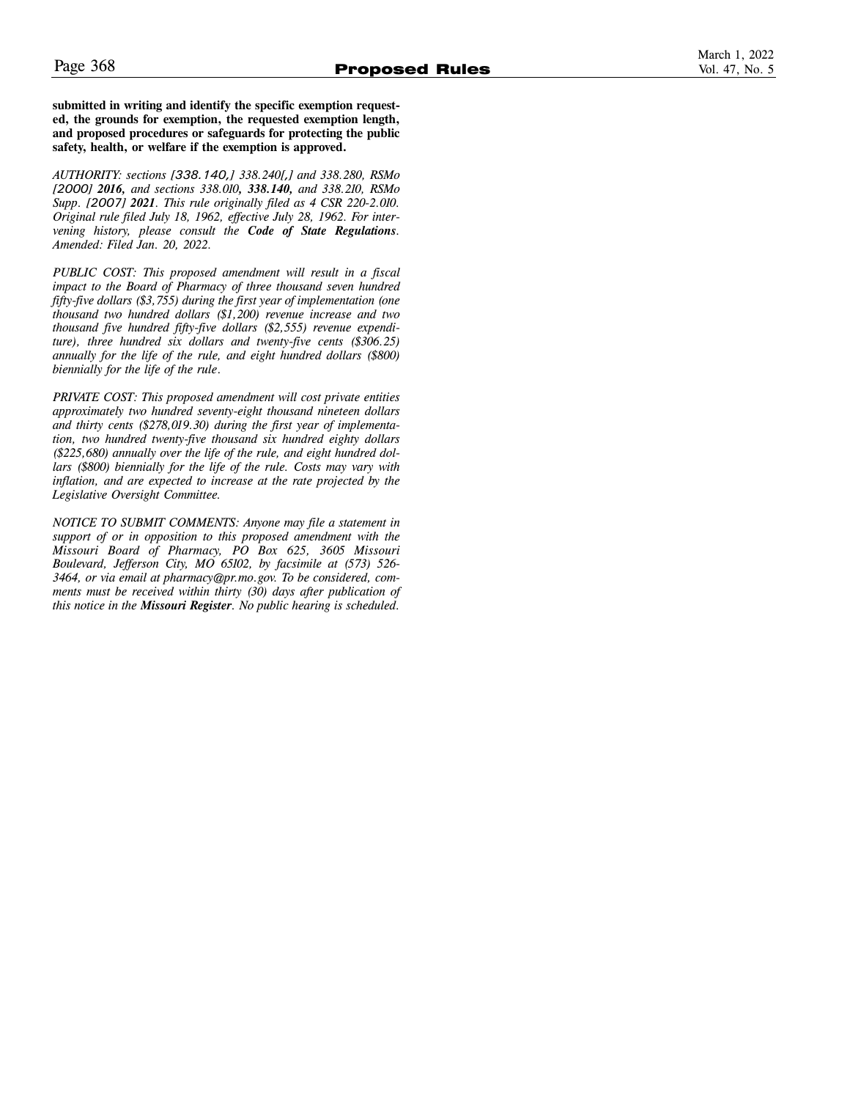**submitted in writing and identify the specific exemption requested, the grounds for exemption, the requested exemption length, and proposed procedures or safeguards for protecting the public safety, health, or welfare if the exemption is approved.** 

*AUTHORITY: sections [338.140,] 338.240[,] and 338.280, RSMo [2000] 2016, and sections 338.010, 338.140, and 338.210, RSMo Supp. [2007] 2021. This rule originally filed as 4 CSR 220-2.010. Original rule filed July 18, 1962, effective July 28, 1962. For intervening history, please consult the Code of State Regulations. Amended: Filed Jan. 20, 2022.* 

*PUBLIC COST: This proposed amendment will result in a fiscal impact to the Board of Pharmacy of three thousand seven hundred fifty-five dollars (\$3,755) during the first year of implementation (one thousand two hundred dollars (\$1,200) revenue increase and two thousand five hundred fifty-five dollars (\$2,555) revenue expenditure), three hundred six dollars and twenty-five cents (\$306.25) annually for the life of the rule, and eight hundred dollars (\$800) biennially for the life of the rule*.

*PRIVATE COST: This proposed amendment will cost private entities approximately two hundred seventy-eight thousand nineteen dollars and thirty cents (\$278,019.30) during the first year of implementation, two hundred twenty-five thousand six hundred eighty dollars (\$225,680) annually over the life of the rule, and eight hundred dollars (\$800) biennially for the life of the rule. Costs may vary with inflation, and are expected to increase at the rate projected by the Legislative Oversight Committee.* 

*NOTICE TO SUBMIT COMMENTS: Anyone may file a statement in support of or in opposition to this proposed amendment with the Missouri Board of Pharmacy, PO Box 625, 3605 Missouri Boulevard, Jefferson City, MO 65102, by facsimile at (573) 526- 3464, or via email at pharmacy@pr.mo.gov. To be considered, comments must be received within thirty (30) days after publication of this notice in the Missouri Register. No public hearing is scheduled.*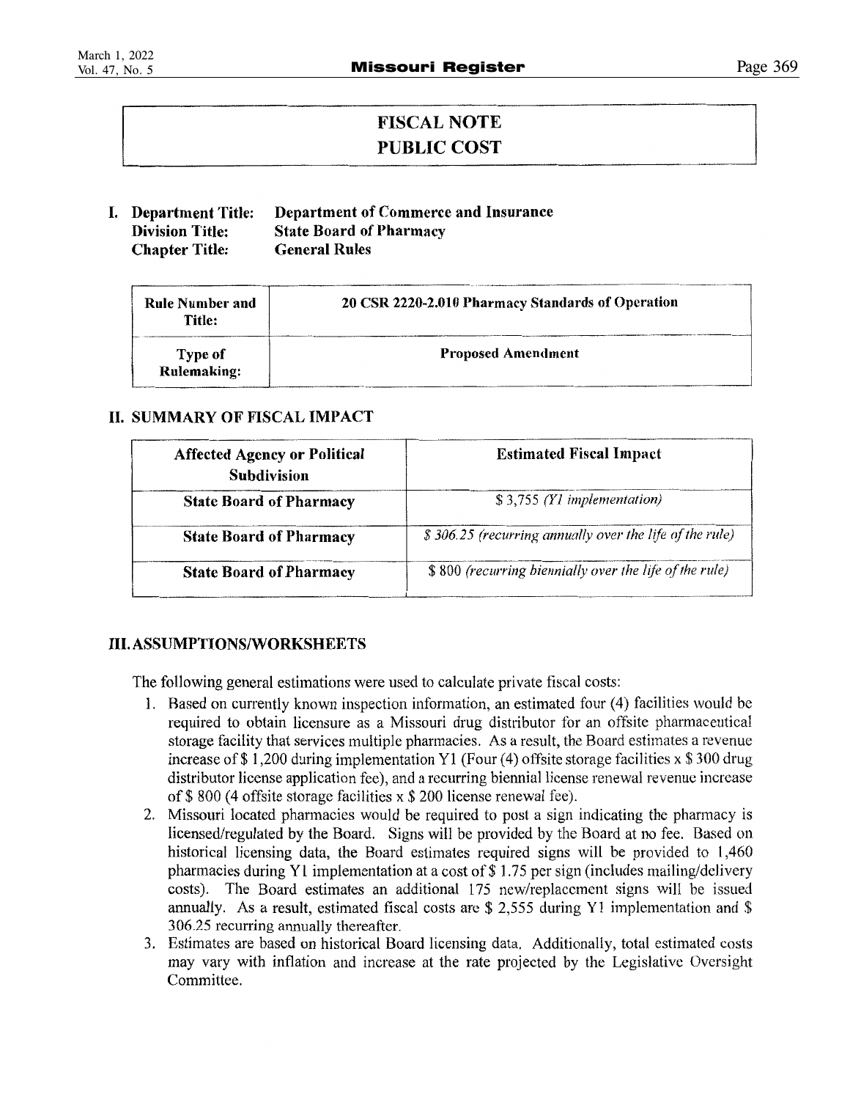### **FISCAL NOTE** PUBLIC COST

#### I. Department Title: Department of Commerce and Insurance **Division Title: State Board of Pharmacy Chapter Title: General Rules**

| Rule Number and<br>Title: | 20 CSR 2220-2.010 Pharmacy Standards of Operation |
|---------------------------|---------------------------------------------------|
| Type of<br>Rulemaking:    | <b>Proposed Amendment</b>                         |

### **II. SUMMARY OF FISCAL IMPACT**

| <b>Affected Agency or Political</b><br><b>Subdivision</b> | <b>Estimated Fiscal Impact</b>                          |  |  |
|-----------------------------------------------------------|---------------------------------------------------------|--|--|
| <b>State Board of Pharmacy</b>                            | \$3,755 (Y1 implementation)                             |  |  |
| <b>State Board of Pharmacy</b>                            | \$306.25 (recurring annually over the life of the rule) |  |  |
| <b>State Board of Pharmacy</b>                            | \$800 (recurring biennially over the life of the rule)  |  |  |

### **III.ASSUMPTIONS/WORKSHEETS**

The following general estimations were used to calculate private fiscal costs:

- 1. Based on currently known inspection information, an estimated four (4) facilities would be required to obtain licensure as a Missouri drug distributor for an offsite pharmaceutical storage facility that services multiple pharmacies. As a result, the Board estimates a revenue increase of \$1,200 during implementation Y1 (Four (4) offsite storage facilities  $x$  \$300 drug distributor license application fee), and a recurring biennial license renewal revenue increase of \$800 (4 offsite storage facilities  $x$  \$200 license renewal fee).
- 2. Missouri located pharmacies would be required to post a sign indicating the pharmacy is licensed/regulated by the Board. Signs will be provided by the Board at no fee. Based on historical licensing data, the Board estimates required signs will be provided to 1,460 pharmacies during Y1 implementation at a cost of \$1.75 per sign (includes mailing/delivery costs). The Board estimates an additional 175 new/replacement signs will be issued annually. As a result, estimated fiscal costs are \$ 2,555 during Y1 implementation and \$ 306.25 recurring annually thereafter.
- 3. Estimates are based on historical Board licensing data. Additionally, total estimated costs may vary with inflation and increase at the rate projected by the Legislative Oversight Committee.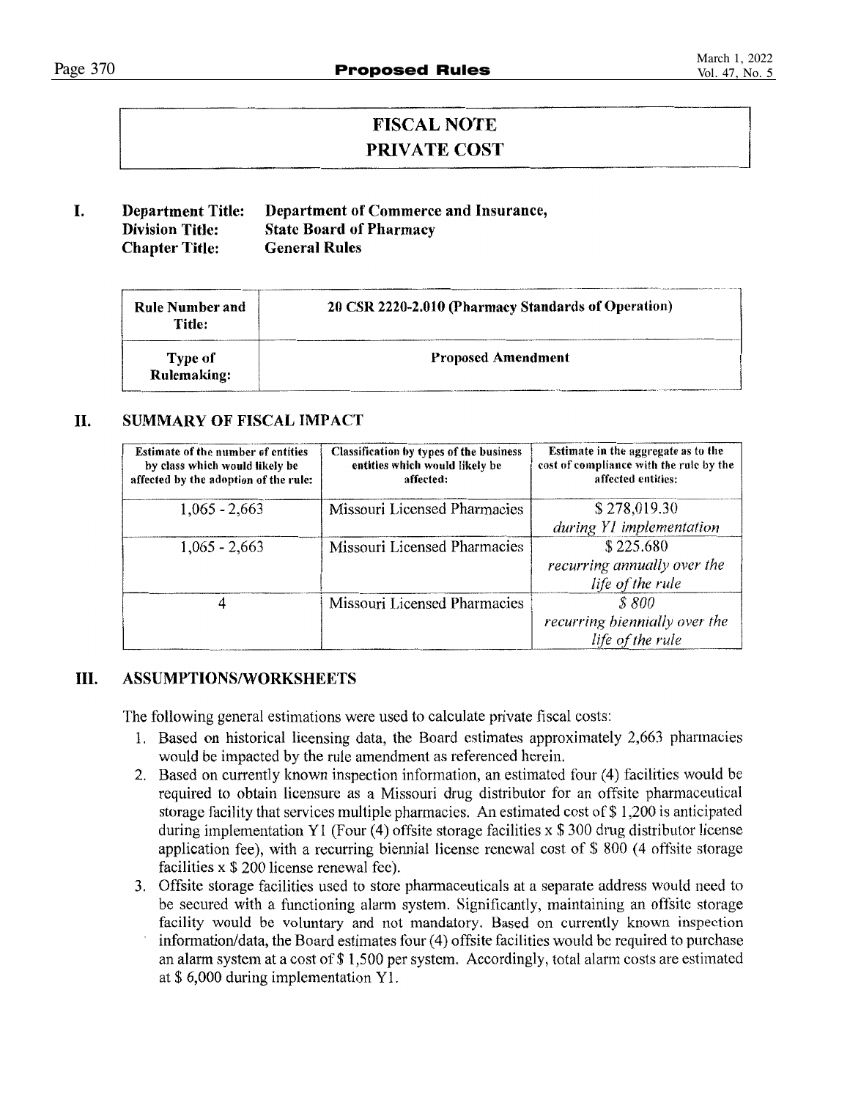### **FISCAL NOTE PRIVATE COST**

#### I. Department of Commerce and Insurance, **Department Title: Division Title: State Board of Pharmacy Chapter Title: General Rules**

| <b>Rule Number and</b><br>Title: | 20 CSR 2220-2.010 (Pharmacy Standards of Operation) |
|----------------------------------|-----------------------------------------------------|
| Type of<br><b>Rulemaking:</b>    | <b>Proposed Amendment</b>                           |

#### II. **SUMMARY OF FISCAL IMPACT**

| <b>Estimate of the number of entities</b><br>by class which would likely be<br>affected by the adoption of the rule: | <b>Classification by types of the business</b><br>entities which would likely be<br>affected: | Estimate in the aggregate as to the<br>cost of compliance with the rule by the<br>affected entities: |
|----------------------------------------------------------------------------------------------------------------------|-----------------------------------------------------------------------------------------------|------------------------------------------------------------------------------------------------------|
| $1,065 - 2,663$                                                                                                      | Missouri Licensed Pharmacies                                                                  | \$278,019.30<br>during Y1 implementation                                                             |
| $1,065 - 2,663$                                                                                                      | Missouri Licensed Pharmacies                                                                  | \$225.680<br>recurring annually over the<br>life of the rule                                         |
|                                                                                                                      | Missouri Licensed Pharmacies                                                                  | S 800<br>recurring biennially over the<br>life of the rule                                           |

#### Ш. **ASSUMPTIONS/WORKSHEETS**

The following general estimations were used to calculate private fiscal costs:

- 1. Based on historical licensing data, the Board estimates approximately 2,663 pharmacies would be impacted by the rule amendment as referenced herein.
- 2. Based on currently known inspection information, an estimated four (4) facilities would be required to obtain licensure as a Missouri drug distributor for an offsite pharmaceutical storage facility that services multiple pharmacies. An estimated cost of  $\$\,1,200$  is anticipated during implementation Y1 (Four  $(4)$  offsite storage facilities x \$ 300 drug distributor license application fee), with a recurring biennial license renewal cost of \$800 (4 offsite storage facilities x \$ 200 license renewal fee).
- 3. Offsite storage facilities used to store pharmaceuticals at a separate address would need to be secured with a functioning alarm system. Significantly, maintaining an offsite storage facility would be voluntary and not mandatory. Based on currently known inspection information/data, the Board estimates four (4) offsite facilities would be required to purchase an alarm system at a cost of \$1,500 per system. Accordingly, total alarm costs are estimated at \$ 6,000 during implementation Y1.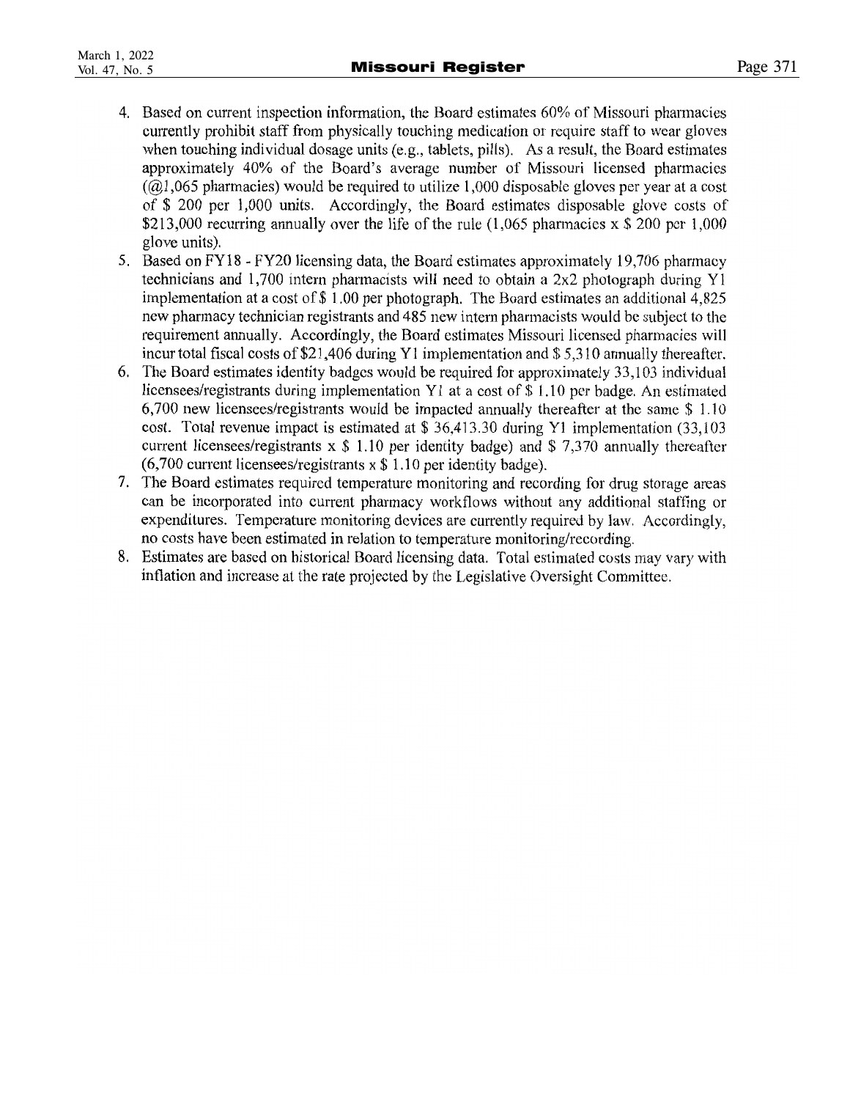- 4. Based on current inspection information, the Board estimates 60% of Missouri pharmacies currently prohibit staff from physically touching medication or require staff to wear gloves when touching individual dosage units (e.g., tablets, pills). As a result, the Board estimates approximately 40% of the Board's average number of Missouri licensed pharmacies  $(a)$ , 065 pharmacies) would be required to utilize 1,000 disposable gloves per year at a cost of \$ 200 per 1,000 units. Accordingly, the Board estimates disposable glove costs of \$213,000 recurring annually over the life of the rule  $(1,065)$  pharmacies x \$ 200 pcr 1,000 glove units).
- 5. Based on FY18 FY20 licensing data, the Board estimates approximately 19,706 pharmacy technicians and 1,700 intern pharmacists will need to obtain a 2x2 photograph during Y1 implementation at a cost of \$1.00 per photograph. The Board estimates an additional 4,825 new pharmacy technician registrants and 485 new intern pharmacists would be subject to the requirement annually. Accordingly, the Board estimates Missouri licensed pharmacies will incur total fiscal costs of \$21,406 during Y1 implementation and \$5,310 annually thereafter.
- 6. The Board estimates identity badges would be required for approximately 33,103 individual licensees/registrants during implementation Y1 at a cost of \$1.10 per badge. An estimated 6,700 new licensees/registrants would be impacted annually thereafter at the same \$1.10 cost. Total revenue impact is estimated at  $$36,413.30$  during Y1 implementation (33,103) current licensees/registrants  $x \,$ \$ 1.10 per identity badge) and \$ 7.370 annually thereafter  $(6,700$  current licensees/registrants x \$ 1.10 per identity badge).
- 7. The Board estimates required temperature monitoring and recording for drug storage areas can be incorporated into current pharmacy workflows without any additional staffing or expenditures. Temperature monitoring devices are currently required by law. Accordingly, no costs have been estimated in relation to temperature monitoring/recording.
- 8. Estimates are based on historical Board licensing data. Total estimated costs may vary with inflation and increase at the rate projected by the Legislative Oversight Committee.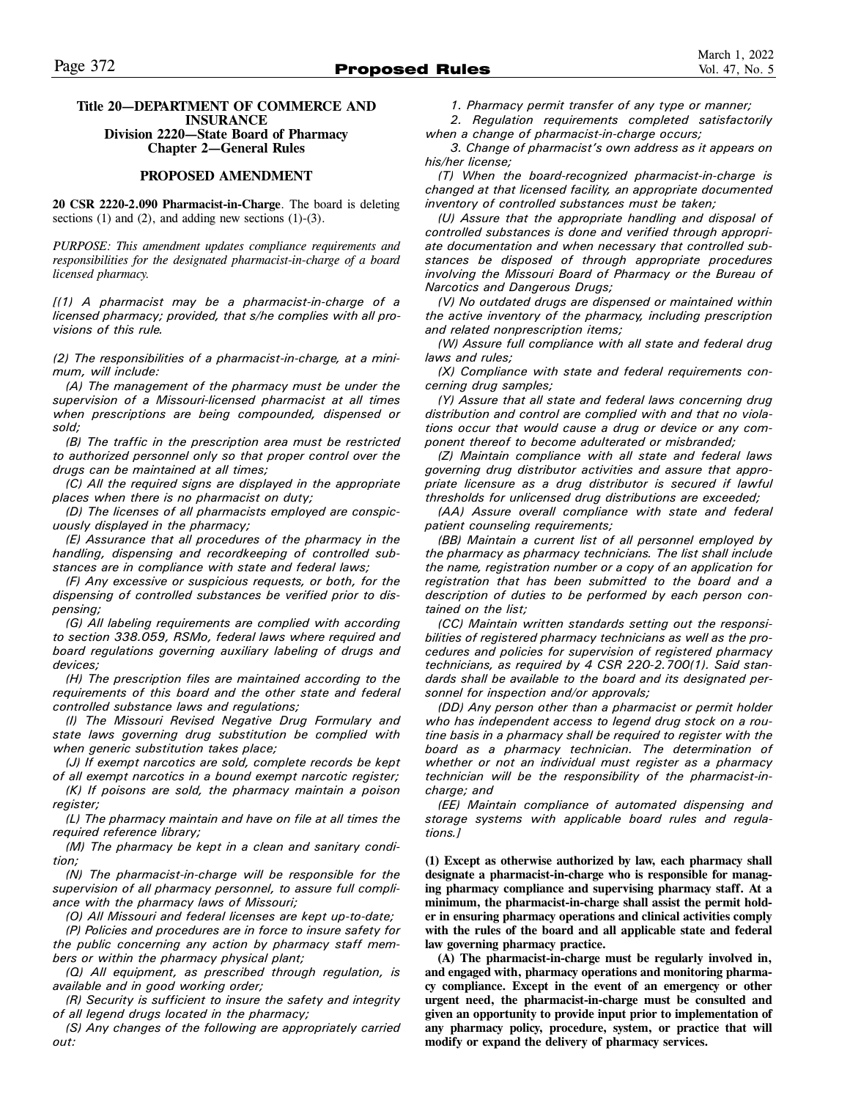### **Title 20—DEPARTMENT OF COMMERCE AND INSURANCE Division 2220—State Board of Pharmacy Chapter 2—General Rules**

### **PROPOSED AMENDMENT**

**20 CSR 2220-2.090 Pharmacist-in-Charge**. The board is deleting sections  $(1)$  and  $(2)$ , and adding new sections  $(1)-(3)$ .

*PURPOSE: This amendment updates compliance requirements and responsibilities for the designated pharmacist-in-charge of a board licensed pharmacy.* 

*[(1) A pharmacist may be a pharmacist-in-charge of a licensed pharmacy; provided, that s/he complies with all provisions of this rule.* 

*(2) The responsibilities of a pharmacist-in-charge, at a minimum, will include:* 

*(A) The management of the pharmacy must be under the supervision of a Missouri-licensed pharmacist at all times when prescriptions are being compounded, dispensed or sold;* 

*(B) The traffic in the prescription area must be restricted to authorized personnel only so that proper control over the drugs can be maintained at all times;* 

*(C) All the required signs are displayed in the appropriate places when there is no pharmacist on duty;* 

*(D) The licenses of all pharmacists employed are conspicuously displayed in the pharmacy;* 

*(E) Assurance that all procedures of the pharmacy in the handling, dispensing and recordkeeping of controlled substances are in compliance with state and federal laws;* 

*(F) Any excessive or suspicious requests, or both, for the dispensing of controlled substances be verified prior to dispensing;* 

*(G) All labeling requirements are complied with according to section 338.059, RSMo, federal laws where required and board regulations governing auxiliary labeling of drugs and devices;* 

*(H) The prescription files are maintained according to the requirements of this board and the other state and federal controlled substance laws and regulations;* 

*(I) The Missouri Revised Negative Drug Formulary and state laws governing drug substitution be complied with when generic substitution takes place;* 

*(J) If exempt narcotics are sold, complete records be kept of all exempt narcotics in a bound exempt narcotic register;* 

*(K) If poisons are sold, the pharmacy maintain a poison register;* 

*(L) The pharmacy maintain and have on file at all times the required reference library;* 

*(M) The pharmacy be kept in a clean and sanitary condition;* 

*(N) The pharmacist-in-charge will be responsible for the supervision of all pharmacy personnel, to assure full compliance with the pharmacy laws of Missouri;* 

*(O) All Missouri and federal licenses are kept up-to-date;* 

*(P) Policies and procedures are in force to insure safety for the public concerning any action by pharmacy staff members or within the pharmacy physical plant;* 

*(Q) All equipment, as prescribed through regulation, is available and in good working order;* 

*(R) Security is sufficient to insure the safety and integrity of all legend drugs located in the pharmacy;* 

*(S) Any changes of the following are appropriately carried out:* 

*1. Pharmacy permit transfer of any type or manner;* 

*2. Regulation requirements completed satisfactorily when a change of pharmacist-in-charge occurs;* 

*3. Change of pharmacist's own address as it appears on his/her license;* 

*(T) When the board-recognized pharmacist-in-charge is changed at that licensed facility, an appropriate documented inventory of controlled substances must be taken;* 

*(U) Assure that the appropriate handling and disposal of controlled substances is done and verified through appropriate documentation and when necessary that controlled substances be disposed of through appropriate procedures involving the Missouri Board of Pharmacy or the Bureau of Narcotics and Dangerous Drugs;* 

*(V) No outdated drugs are dispensed or maintained within the active inventory of the pharmacy, including prescription and related nonprescription items;* 

*(W) Assure full compliance with all state and federal drug laws and rules;* 

*(X) Compliance with state and federal requirements concerning drug samples;* 

*(Y) Assure that all state and federal laws concerning drug distribution and control are complied with and that no violations occur that would cause a drug or device or any component thereof to become adulterated or misbranded;* 

*(Z) Maintain compliance with all state and federal laws governing drug distributor activities and assure that appropriate licensure as a drug distributor is secured if lawful thresholds for unlicensed drug distributions are exceeded;* 

*(AA) Assure overall compliance with state and federal patient counseling requirements;* 

*(BB) Maintain a current list of all personnel employed by the pharmacy as pharmacy technicians. The list shall include the name, registration number or a copy of an application for registration that has been submitted to the board and a description of duties to be performed by each person contained on the list;* 

*(CC) Maintain written standards setting out the responsibilities of registered pharmacy technicians as well as the procedures and policies for supervision of registered pharmacy technicians, as required by 4 CSR 220-2.700(1). Said standards shall be available to the board and its designated personnel for inspection and/or approvals;* 

*(DD) Any person other than a pharmacist or permit holder who has independent access to legend drug stock on a routine basis in a pharmacy shall be required to register with the board as a pharmacy technician. The determination of whether or not an individual must register as a pharmacy technician will be the responsibility of the pharmacist-incharge; and* 

*(EE) Maintain compliance of automated dispensing and storage systems with applicable board rules and regulations.]*

**(1) Except as otherwise authorized by law, each pharmacy shall designate a pharmacist-in-charge who is responsible for managing pharmacy compliance and supervising pharmacy staff. At a minimum, the pharmacist-in-charge shall assist the permit holder in ensuring pharmacy operations and clinical activities comply with the rules of the board and all applicable state and federal law governing pharmacy practice.** 

**(A) The pharmacist-in-charge must be regularly involved in, and engaged with, pharmacy operations and monitoring pharmacy compliance. Except in the event of an emergency or other urgent need, the pharmacist-in-charge must be consulted and given an opportunity to provide input prior to implementation of any pharmacy policy, procedure, system, or practice that will modify or expand the delivery of pharmacy services.**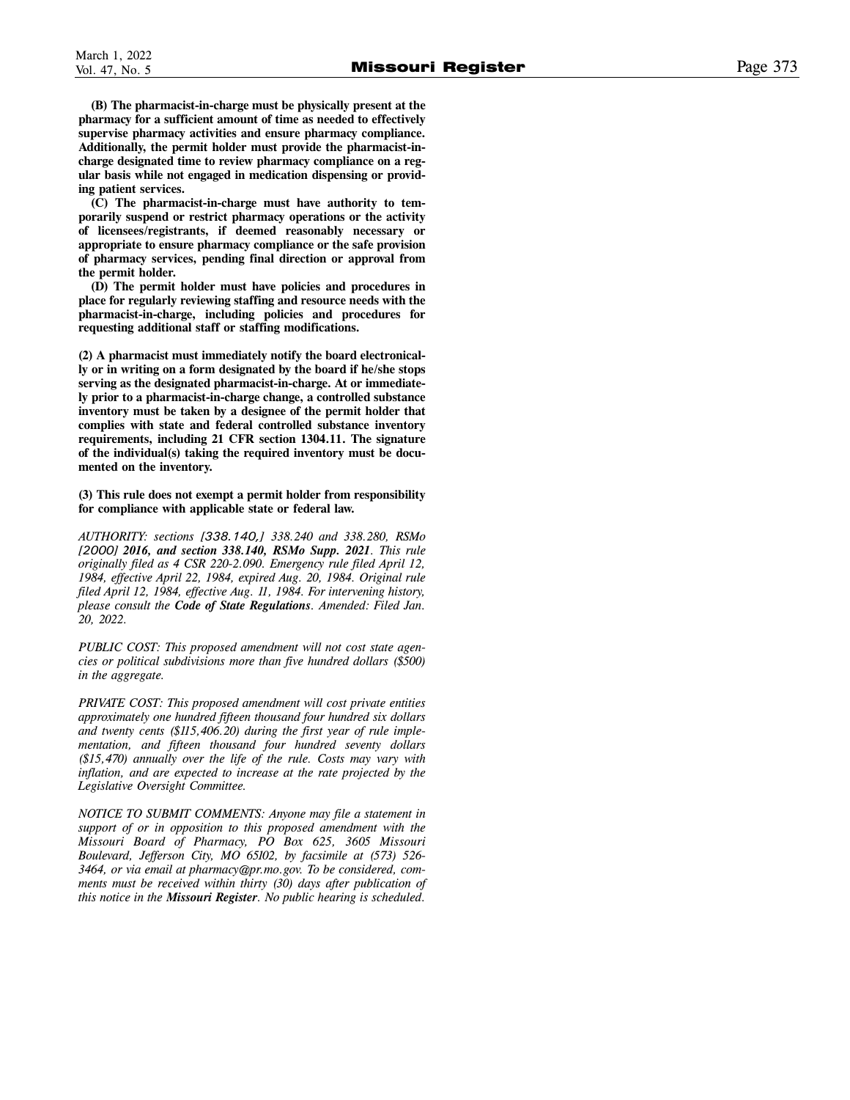**(B) The pharmacist-in-charge must be physically present at the pharmacy for a sufficient amount of time as needed to effectively supervise pharmacy activities and ensure pharmacy compliance. Additionally, the permit holder must provide the pharmacist-incharge designated time to review pharmacy compliance on a regular basis while not engaged in medication dispensing or providing patient services.** 

**(C) The pharmacist-in-charge must have authority to temporarily suspend or restrict pharmacy operations or the activity of licensees/registrants, if deemed reasonably necessary or appropriate to ensure pharmacy compliance or the safe provision of pharmacy services, pending final direction or approval from the permit holder.** 

**(D) The permit holder must have policies and procedures in place for regularly reviewing staffing and resource needs with the pharmacist-in-charge, including policies and procedures for requesting additional staff or staffing modifications.** 

**(2) A pharmacist must immediately notify the board electronically or in writing on a form designated by the board if he/she stops serving as the designated pharmacist-in-charge. At or immediately prior to a pharmacist-in-charge change, a controlled substance inventory must be taken by a designee of the permit holder that complies with state and federal controlled substance inventory requirements, including 21 CFR section 1304.11. The signature of the individual(s) taking the required inventory must be documented on the inventory.** 

**(3) This rule does not exempt a permit holder from responsibility for compliance with applicable state or federal law.** 

*AUTHORITY: sections [338.140,] 338.240 and 338.280, RSMo [2000] 2016, and section 338.140, RSMo Supp. 2021. This rule originally filed as 4 CSR 220-2.090. Emergency rule filed April 12, 1984, effective April 22, 1984, expired Aug. 20, 1984. Original rule filed April 12, 1984, effective Aug. 11, 1984. For intervening history, please consult the Code of State Regulations. Amended: Filed Jan. 20, 2022.* 

*PUBLIC COST: This proposed amendment will not cost state agencies or political subdivisions more than five hundred dollars (\$500) in the aggregate.* 

*PRIVATE COST: This proposed amendment will cost private entities approximately one hundred fifteen thousand four hundred six dollars and twenty cents (\$115,406.20) during the first year of rule implementation, and fifteen thousand four hundred seventy dollars (\$15,470) annually over the life of the rule. Costs may vary with inflation, and are expected to increase at the rate projected by the Legislative Oversight Committee.* 

*NOTICE TO SUBMIT COMMENTS: Anyone may file a statement in support of or in opposition to this proposed amendment with the Missouri Board of Pharmacy, PO Box 625, 3605 Missouri Boulevard, Jefferson City, MO 65102, by facsimile at (573) 526- 3464, or via email at pharmacy@pr.mo.gov. To be considered, comments must be received within thirty (30) days after publication of this notice in the Missouri Register. No public hearing is scheduled.*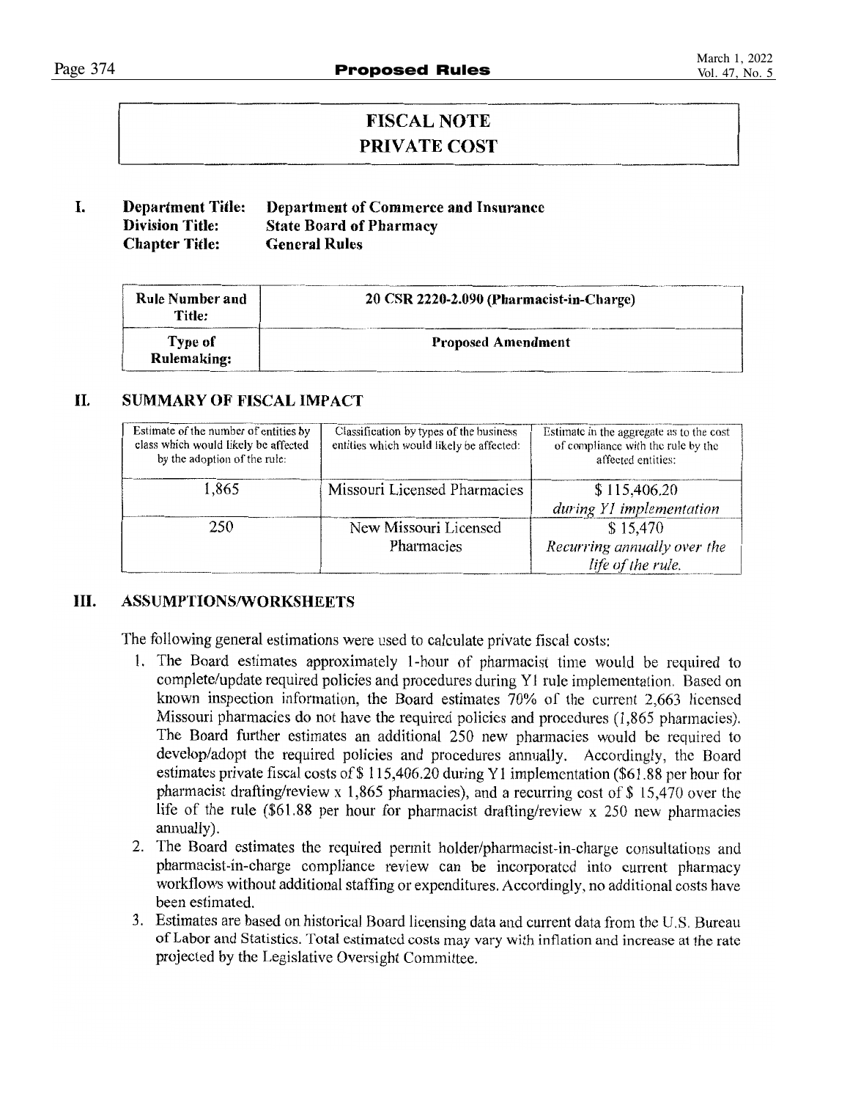### **FISCAL NOTE PRIVATE COST**

#### L. **Department Title:** Department of Commerce and Insurance **Division Title: State Board of Pharmacy Chapter Title: General Rules**

| Rule Number and<br>Title: | 20 CSR 2220-2.090 (Pharmacist-in-Charge) |
|---------------------------|------------------------------------------|
| Type of<br>Rulemaking:    | <b>Proposed Amendment</b>                |

#### II. **SUMMARY OF FISCAL IMPACT**

| Estimate of the number of entities by<br>class which would likely be affected<br>by the adoption of the rule: | Classification by types of the business<br>entities which would likely be affected: | Estimate in the aggregate as to the cost<br>of compliance with the rule by the<br>affected entities: |
|---------------------------------------------------------------------------------------------------------------|-------------------------------------------------------------------------------------|------------------------------------------------------------------------------------------------------|
| 1,865                                                                                                         | Missouri Licensed Pharmacies                                                        | \$115,406.20<br>during Y1 implementation                                                             |
| 250                                                                                                           | New Missouri Licensed<br>Pharmacies                                                 | \$15,470<br>Recurring annually over the<br>life of the rule.                                         |

#### Ш. **ASSUMPTIONS/WORKSHEETS**

The following general estimations were used to calculate private fiscal costs:

- 1. The Board estimates approximately 1-hour of pharmacist time would be required to complete/update required policies and procedures during Y1 rule implementation. Based on known inspection information, the Board estimates 70% of the current 2,663 licensed Missouri pharmacies do not have the required policies and procedures (1,865 pharmacies). The Board further estimates an additional 250 new pharmacies would be required to develop/adopt the required policies and procedures annually. Accordingly, the Board estimates private fiscal costs of \$115,406.20 during Y1 implementation (\$61.88 per hour for pharmacist drafting/review x 1,865 pharmacies), and a recurring cost of  $$15,470$  over the life of the rule (\$61.88 per hour for pharmacist drafting/review x 250 new pharmacies annually).
- 2. The Board estimates the required permit holder/pharmacist-in-charge consultations and pharmacist-in-charge compliance review can be incorporated into current pharmacy workflows without additional staffing or expenditures. Accordingly, no additional costs have been estimated.
- 3. Estimates are based on historical Board licensing data and current data from the U.S. Bureau of Labor and Statistics. Total estimated costs may vary with inflation and increase at the rate projected by the Legislative Oversight Committee.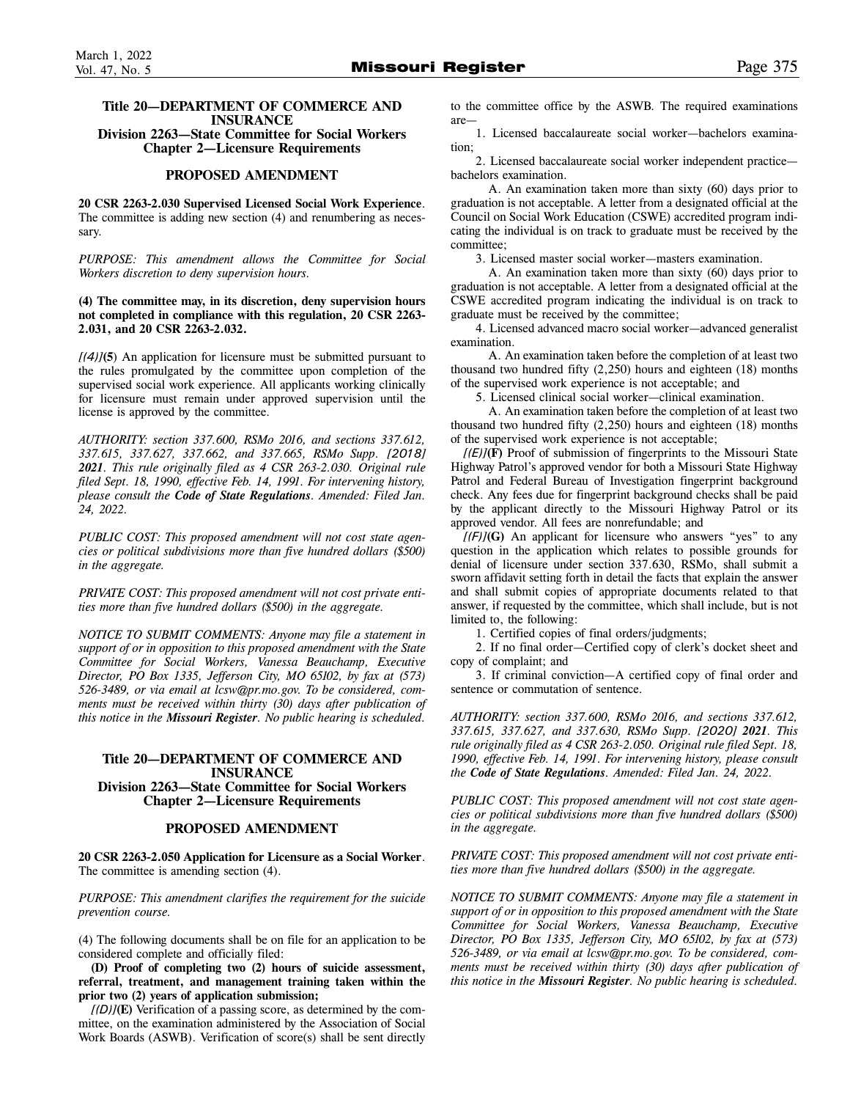### **Title 20—DEPARTMENT OF COMMERCE AND INSURANCE**

**Division 2263—State Committee for Social Workers Chapter 2—Licensure Requirements** 

### **PROPOSED AMENDMENT**

**20 CSR 2263-2.030 Supervised Licensed Social Work Experience**. The committee is adding new section (4) and renumbering as necessary.

*PURPOSE: This amendment allows the Committee for Social Workers discretion to deny supervision hours.* 

**(4) The committee may, in its discretion, deny supervision hours not completed in compliance with this regulation, 20 CSR 2263- 2.031, and 20 CSR 2263-2.032.**

*[(4)]***(5**) An application for licensure must be submitted pursuant to the rules promulgated by the committee upon completion of the supervised social work experience. All applicants working clinically for licensure must remain under approved supervision until the license is approved by the committee.

*AUTHORITY: section 337.600, RSMo 2016, and sections 337.612, 337.615, 337.627, 337.662, and 337.665, RSMo Supp. [2018] 2021. This rule originally filed as 4 CSR 263-2.030. Original rule filed Sept. 18, 1990, effective Feb. 14, 1991. For intervening history, please consult the Code of State Regulations. Amended: Filed Jan. 24, 2022.* 

*PUBLIC COST: This proposed amendment will not cost state agencies or political subdivisions more than five hundred dollars (\$500) in the aggregate.* 

*PRIVATE COST: This proposed amendment will not cost private entities more than five hundred dollars (\$500) in the aggregate.* 

*NOTICE TO SUBMIT COMMENTS: Anyone may file a statement in support of or in opposition to this proposed amendment with the State Committee for Social Workers, Vanessa Beauchamp, Executive Director, PO Box 1335, Jefferson City, MO 65102, by fax at (573) 526-3489, or via email at lcsw@pr.mo.gov. To be considered, comments must be received within thirty (30) days after publication of this notice in the Missouri Register. No public hearing is scheduled.* 

### **Title 20—DEPARTMENT OF COMMERCE AND INSURANCE Division 2263—State Committee for Social Workers Chapter 2—Licensure Requirements**

### **PROPOSED AMENDMENT**

**20 CSR 2263-2.050 Application for Licensure as a Social Worker**. The committee is amending section (4).

*PURPOSE: This amendment clarifies the requirement for the suicide prevention course.* 

(4) The following documents shall be on file for an application to be considered complete and officially filed:

**(D) Proof of completing two (2) hours of suicide assessment, referral, treatment, and management training taken within the prior two (2) years of application submission;** 

*[(D)]***(E)** Verification of a passing score, as determined by the committee, on the examination administered by the Association of Social Work Boards (ASWB). Verification of score(s) shall be sent directly to the committee office by the ASWB. The required examinations are—

1. Licensed baccalaureate social worker—bachelors examination;

2. Licensed baccalaureate social worker independent practice bachelors examination.

A. An examination taken more than sixty (60) days prior to graduation is not acceptable. A letter from a designated official at the Council on Social Work Education (CSWE) accredited program indicating the individual is on track to graduate must be received by the committee;

3. Licensed master social worker—masters examination.

A. An examination taken more than sixty (60) days prior to graduation is not acceptable. A letter from a designated official at the CSWE accredited program indicating the individual is on track to graduate must be received by the committee;

4. Licensed advanced macro social worker—advanced generalist examination.

A. An examination taken before the completion of at least two thousand two hundred fifty (2,250) hours and eighteen (18) months of the supervised work experience is not acceptable; and

5. Licensed clinical social worker—clinical examination.

A. An examination taken before the completion of at least two thousand two hundred fifty (2,250) hours and eighteen (18) months of the supervised work experience is not acceptable;

*[(E)]***(F)** Proof of submission of fingerprints to the Missouri State Highway Patrol's approved vendor for both a Missouri State Highway Patrol and Federal Bureau of Investigation fingerprint background check. Any fees due for fingerprint background checks shall be paid by the applicant directly to the Missouri Highway Patrol or its approved vendor. All fees are nonrefundable; and

*[(F)]***(G)** An applicant for licensure who answers "yes" to any question in the application which relates to possible grounds for denial of licensure under section 337.630, RSMo, shall submit a sworn affidavit setting forth in detail the facts that explain the answer and shall submit copies of appropriate documents related to that answer, if requested by the committee, which shall include, but is not limited to, the following:

1. Certified copies of final orders/judgments;

2. If no final order—Certified copy of clerk's docket sheet and copy of complaint; and

3. If criminal conviction—A certified copy of final order and sentence or commutation of sentence.

*AUTHORITY: section 337.600, RSMo 2016, and sections 337.612, 337.615, 337.627, and 337.630, RSMo Supp. [2020] 2021. This rule originally filed as 4 CSR 263-2.050. Original rule filed Sept. 18, 1990, effective Feb. 14, 1991. For intervening history, please consult the Code of State Regulations. Amended: Filed Jan. 24, 2022.* 

*PUBLIC COST: This proposed amendment will not cost state agencies or political subdivisions more than five hundred dollars (\$500) in the aggregate.* 

*PRIVATE COST: This proposed amendment will not cost private entities more than five hundred dollars (\$500) in the aggregate.* 

*NOTICE TO SUBMIT COMMENTS: Anyone may file a statement in support of or in opposition to this proposed amendment with the State Committee for Social Workers, Vanessa Beauchamp, Executive Director, PO Box 1335, Jefferson City, MO 65102, by fax at (573) 526-3489, or via email at lcsw@pr.mo.gov. To be considered, comments must be received within thirty (30) days after publication of this notice in the Missouri Register. No public hearing is scheduled.*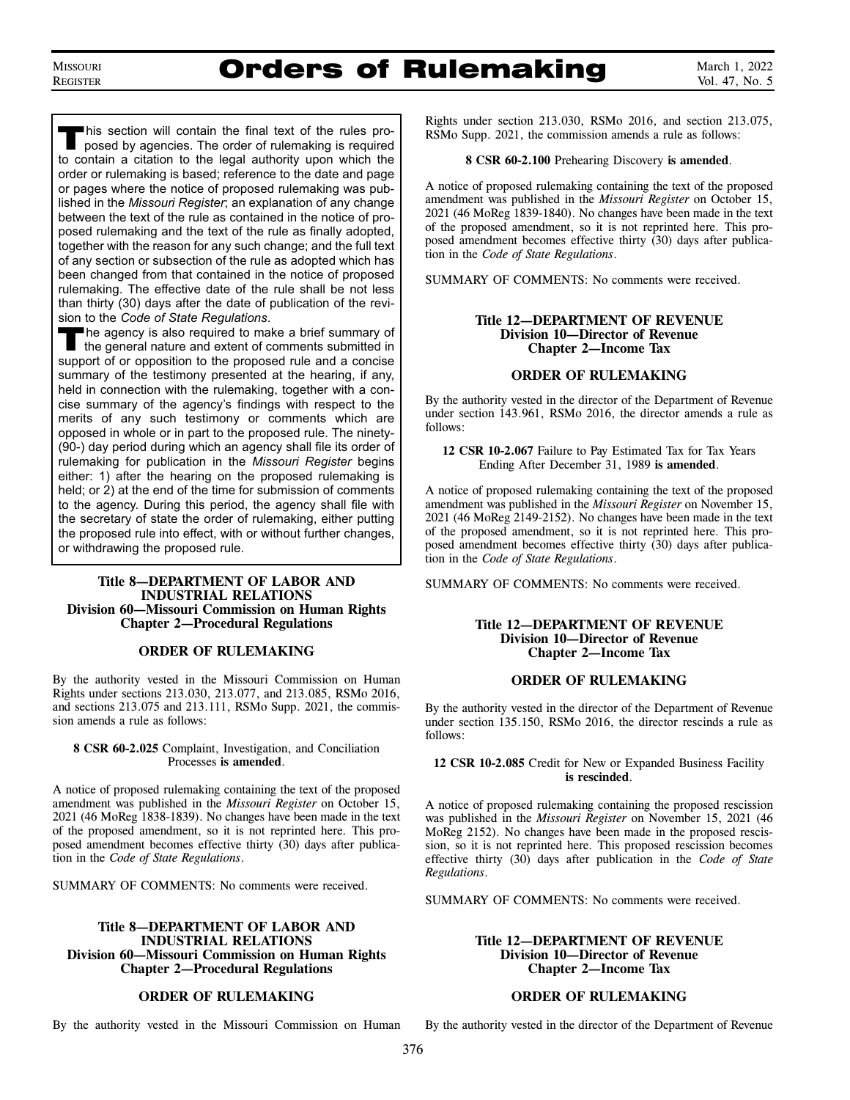### Orders of Rulemaking

March 1, 2022 Vol. 47, No. 5

This section will contain the final text of the rules pro-<br>posed by agencies. The order of rulemaking is required to contain a citation to the legal authority upon which the order or rulemaking is based; reference to the date and page or pages where the notice of proposed rulemaking was published in the *Missouri Register*; an explanation of any change between the text of the rule as contained in the notice of proposed rulemaking and the text of the rule as finally adopted, together with the reason for any such change; and the full text of any section or subsection of the rule as adopted which has been changed from that contained in the notice of proposed rulemaking. The effective date of the rule shall be not less than thirty (30) days after the date of publication of the revision to the *Code of State Regulations*.

The agency is also required to make a brief summary of the general nature and extent of comments submitted in support of or opposition to the proposed rule and a concise summary of the testimony presented at the hearing, if any, held in connection with the rulemaking, together with a concise summary of the agency's findings with respect to the merits of any such testimony or comments which are opposed in whole or in part to the proposed rule. The ninety- (90-) day period during which an agency shall file its order of rulemaking for publication in the *Missouri Register* begins either: 1) after the hearing on the proposed rulemaking is held; or 2) at the end of the time for submission of comments to the agency. During this period, the agency shall file with the secretary of state the order of rulemaking, either putting the proposed rule into effect, with or without further changes, or withdrawing the proposed rule.

### **Title 8—DEPARTMENT OF LABOR AND INDUSTRIAL RELATIONS Division 60—Missouri Commission on Human Rights Chapter 2—Procedural Regulations**

### **ORDER OF RULEMAKING**

By the authority vested in the Missouri Commission on Human Rights under sections 213.030, 213.077, and 213.085, RSMo 2016, and sections 213.075 and 213.111, RSMo Supp. 2021, the commission amends a rule as follows:

### **8 CSR 60-2.025** Complaint, Investigation, and Conciliation Processes **is amended**.

A notice of proposed rulemaking containing the text of the proposed amendment was published in the *Missouri Register* on October 15, 2021 (46 MoReg 1838-1839). No changes have been made in the text of the proposed amendment, so it is not reprinted here. This proposed amendment becomes effective thirty (30) days after publication in the *Code of State Regulations*.

SUMMARY OF COMMENTS: No comments were received.

### **Title 8—DEPARTMENT OF LABOR AND INDUSTRIAL RELATIONS Division 60—Missouri Commission on Human Rights Chapter 2—Procedural Regulations**

### **ORDER OF RULEMAKING**

By the authority vested in the Missouri Commission on Human

Rights under section 213.030, RSMo 2016, and section 213.075, RSMo Supp. 2021, the commission amends a rule as follows:

### **8 CSR 60-2.100** Prehearing Discovery **is amended**.

A notice of proposed rulemaking containing the text of the proposed amendment was published in the *Missouri Register* on October 15, 2021 (46 MoReg 1839-1840). No changes have been made in the text of the proposed amendment, so it is not reprinted here. This proposed amendment becomes effective thirty  $(30)$  days after publication in the *Code of State Regulations*.

SUMMARY OF COMMENTS: No comments were received.

### **Title 12—DEPARTMENT OF REVENUE Division 10—Director of Revenue Chapter 2—Income Tax**

### **ORDER OF RULEMAKING**

By the authority vested in the director of the Department of Revenue under section 143.961, RSMo 2016, the director amends a rule as follows:

**12 CSR 10-2.067** Failure to Pay Estimated Tax for Tax Years Ending After December 31, 1989 **is amended**.

A notice of proposed rulemaking containing the text of the proposed amendment was published in the *Missouri Register* on November 15, 2021 (46 MoReg 2149-2152). No changes have been made in the text of the proposed amendment, so it is not reprinted here. This proposed amendment becomes effective thirty (30) days after publication in the *Code of State Regulations*.

SUMMARY OF COMMENTS: No comments were received.

### **Title 12—DEPARTMENT OF REVENUE Division 10—Director of Revenue Chapter 2—Income Tax**

### **ORDER OF RULEMAKING**

By the authority vested in the director of the Department of Revenue under section 135.150, RSMo 2016, the director rescinds a rule as follows:

**12 CSR 10-2.085** Credit for New or Expanded Business Facility **is rescinded**.

A notice of proposed rulemaking containing the proposed rescission was published in the *Missouri Register* on November 15, 2021 (46 MoReg 2152). No changes have been made in the proposed rescission, so it is not reprinted here. This proposed rescission becomes effective thirty (30) days after publication in the *Code of State Regulations*.

SUMMARY OF COMMENTS: No comments were received.

### **Title 12—DEPARTMENT OF REVENUE Division 10—Director of Revenue Chapter 2—Income Tax**

### **ORDER OF RULEMAKING**

By the authority vested in the director of the Department of Revenue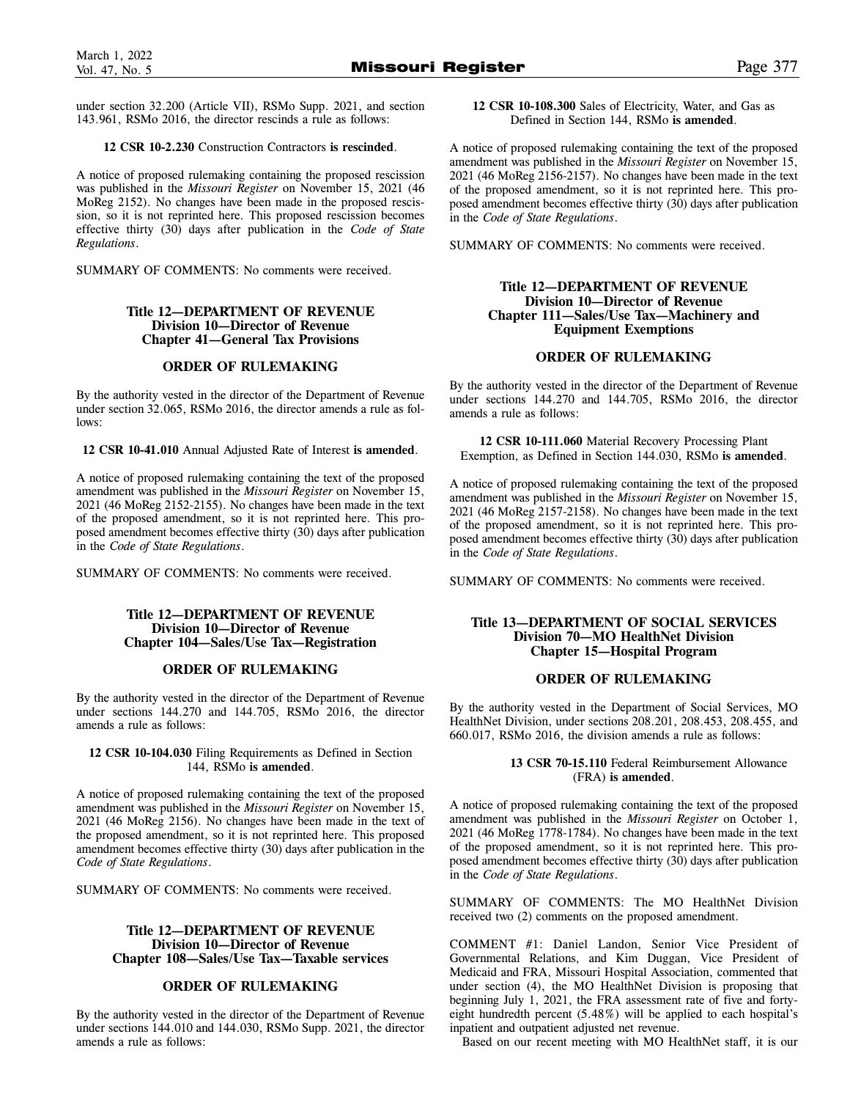under section 32.200 (Article VII), RSMo Supp. 2021, and section 143.961, RSMo 2016, the director rescinds a rule as follows:

### **12 CSR 10-2.230** Construction Contractors **is rescinded**.

A notice of proposed rulemaking containing the proposed rescission was published in the *Missouri Register* on November 15, 2021 (46 MoReg 2152). No changes have been made in the proposed rescission, so it is not reprinted here. This proposed rescission becomes effective thirty (30) days after publication in the *Code of State Regulations*.

SUMMARY OF COMMENTS: No comments were received.

### **Title 12—DEPARTMENT OF REVENUE Division 10—Director of Revenue Chapter 41—General Tax Provisions**

### **ORDER OF RULEMAKING**

By the authority vested in the director of the Department of Revenue under section 32.065, RSMo 2016, the director amends a rule as follows:

**12 CSR 10-41.010** Annual Adjusted Rate of Interest **is amended**.

A notice of proposed rulemaking containing the text of the proposed amendment was published in the *Missouri Register* on November 15, 2021 (46 MoReg 2152-2155). No changes have been made in the text of the proposed amendment, so it is not reprinted here. This proposed amendment becomes effective thirty (30) days after publication in the *Code of State Regulations*.

SUMMARY OF COMMENTS: No comments were received.

### **Title 12—DEPARTMENT OF REVENUE Division 10—Director of Revenue Chapter 104—Sales/Use Tax—Registration**

### **ORDER OF RULEMAKING**

By the authority vested in the director of the Department of Revenue under sections 144.270 and 144.705, RSMo 2016, the director amends a rule as follows:

### **12 CSR 10-104.030** Filing Requirements as Defined in Section 144, RSMo **is amended**.

A notice of proposed rulemaking containing the text of the proposed amendment was published in the *Missouri Register* on November 15, 2021 (46 MoReg 2156). No changes have been made in the text of the proposed amendment, so it is not reprinted here. This proposed amendment becomes effective thirty (30) days after publication in the *Code of State Regulations*.

SUMMARY OF COMMENTS: No comments were received.

### **Title 12—DEPARTMENT OF REVENUE Division 10—Director of Revenue Chapter 108—Sales/Use Tax—Taxable services**

### **ORDER OF RULEMAKING**

By the authority vested in the director of the Department of Revenue under sections 144.010 and 144.030, RSMo Supp. 2021, the director amends a rule as follows:

**12 CSR 10-108.300** Sales of Electricity, Water, and Gas as Defined in Section 144, RSMo **is amended**.

A notice of proposed rulemaking containing the text of the proposed amendment was published in the *Missouri Register* on November 15, 2021 (46 MoReg 2156-2157). No changes have been made in the text of the proposed amendment, so it is not reprinted here. This proposed amendment becomes effective thirty (30) days after publication in the *Code of State Regulations*.

SUMMARY OF COMMENTS: No comments were received.

### **Title 12—DEPARTMENT OF REVENUE Division 10—Director of Revenue Chapter 111—Sales/Use Tax—Machinery and Equipment Exemptions**

### **ORDER OF RULEMAKING**

By the authority vested in the director of the Department of Revenue under sections 144.270 and 144.705, RSMo 2016, the director amends a rule as follows:

**12 CSR 10-111.060** Material Recovery Processing Plant Exemption, as Defined in Section 144.030, RSMo **is amended**.

A notice of proposed rulemaking containing the text of the proposed amendment was published in the *Missouri Register* on November 15, 2021 (46 MoReg 2157-2158). No changes have been made in the text of the proposed amendment, so it is not reprinted here. This proposed amendment becomes effective thirty (30) days after publication in the *Code of State Regulations*.

SUMMARY OF COMMENTS: No comments were received.

### **Title 13—DEPARTMENT OF SOCIAL SERVICES Division 70—MO HealthNet Division Chapter 15—Hospital Program**

### **ORDER OF RULEMAKING**

By the authority vested in the Department of Social Services, MO HealthNet Division, under sections 208.201, 208.453, 208.455, and 660.017, RSMo 2016, the division amends a rule as follows:

### **13 CSR 70-15.110** Federal Reimbursement Allowance (FRA) **is amended**.

A notice of proposed rulemaking containing the text of the proposed amendment was published in the *Missouri Register* on October 1, 2021 (46 MoReg 1778-1784). No changes have been made in the text of the proposed amendment, so it is not reprinted here. This proposed amendment becomes effective thirty (30) days after publication in the *Code of State Regulations*.

SUMMARY OF COMMENTS: The MO HealthNet Division received two (2) comments on the proposed amendment.

COMMENT #1: Daniel Landon, Senior Vice President of Governmental Relations, and Kim Duggan, Vice President of Medicaid and FRA, Missouri Hospital Association, commented that under section (4), the MO HealthNet Division is proposing that beginning July 1, 2021, the FRA assessment rate of five and fortyeight hundredth percent (5.48%) will be applied to each hospital's inpatient and outpatient adjusted net revenue.

Based on our recent meeting with MO HealthNet staff, it is our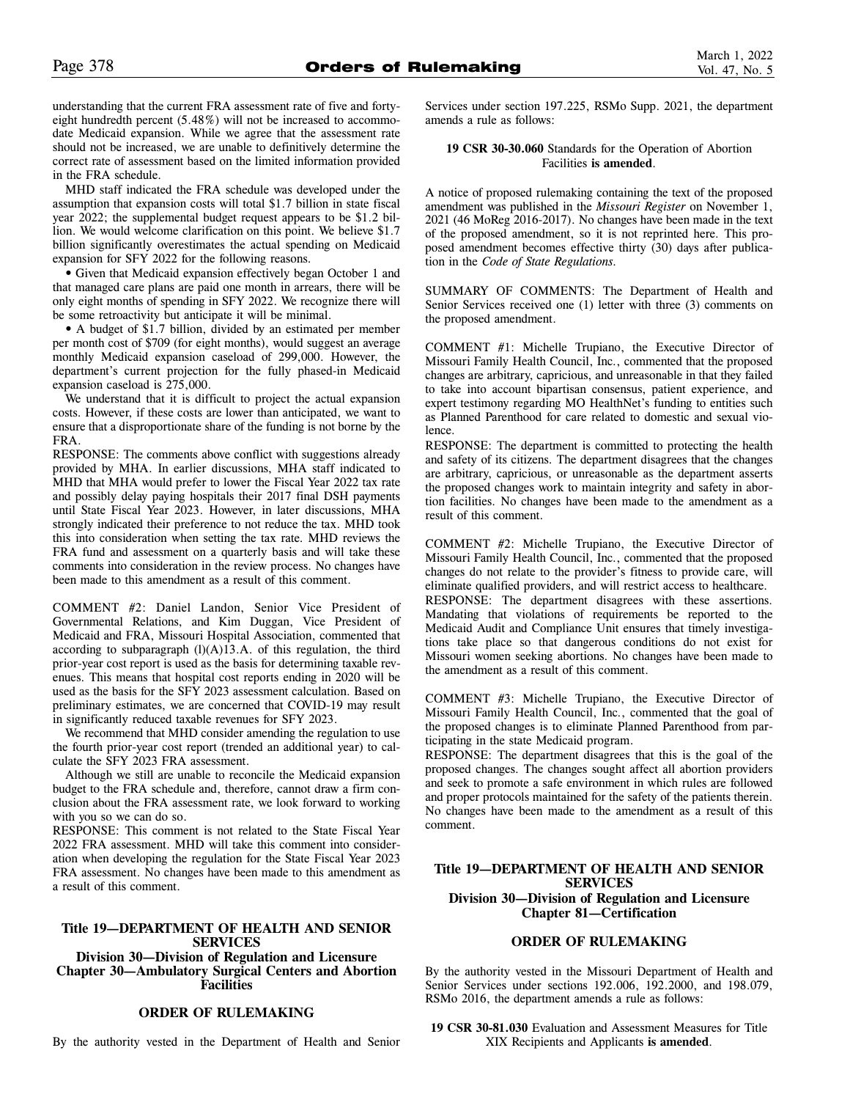understanding that the current FRA assessment rate of five and fortyeight hundredth percent (5.48%) will not be increased to accommodate Medicaid expansion. While we agree that the assessment rate should not be increased, we are unable to definitively determine the correct rate of assessment based on the limited information provided in the FRA schedule.

MHD staff indicated the FRA schedule was developed under the assumption that expansion costs will total \$1.7 billion in state fiscal year 2022; the supplemental budget request appears to be \$1.2 billion. We would welcome clarification on this point. We believe \$1.7 billion significantly overestimates the actual spending on Medicaid expansion for SFY 2022 for the following reasons.

• Given that Medicaid expansion effectively began October 1 and that managed care plans are paid one month in arrears, there will be only eight months of spending in SFY 2022. We recognize there will be some retroactivity but anticipate it will be minimal.

• A budget of \$1.7 billion, divided by an estimated per member per month cost of \$709 (for eight months), would suggest an average monthly Medicaid expansion caseload of 299,000. However, the department's current projection for the fully phased-in Medicaid expansion caseload is 275,000.

We understand that it is difficult to project the actual expansion costs. However, if these costs are lower than anticipated, we want to ensure that a disproportionate share of the funding is not borne by the FRA.

RESPONSE: The comments above conflict with suggestions already provided by MHA. In earlier discussions, MHA staff indicated to MHD that MHA would prefer to lower the Fiscal Year 2022 tax rate and possibly delay paying hospitals their 2017 final DSH payments until State Fiscal Year 2023. However, in later discussions, MHA strongly indicated their preference to not reduce the tax. MHD took this into consideration when setting the tax rate. MHD reviews the FRA fund and assessment on a quarterly basis and will take these comments into consideration in the review process. No changes have been made to this amendment as a result of this comment.

COMMENT #2: Daniel Landon, Senior Vice President of Governmental Relations, and Kim Duggan, Vice President of Medicaid and FRA, Missouri Hospital Association, commented that according to subparagraph  $(l)(A)13.A.$  of this regulation, the third prior-year cost report is used as the basis for determining taxable revenues. This means that hospital cost reports ending in 2020 will be used as the basis for the SFY 2023 assessment calculation. Based on preliminary estimates, we are concerned that COVID-19 may result in significantly reduced taxable revenues for SFY 2023.

We recommend that MHD consider amending the regulation to use the fourth prior-year cost report (trended an additional year) to calculate the SFY 2023 FRA assessment.

Although we still are unable to reconcile the Medicaid expansion budget to the FRA schedule and, therefore, cannot draw a firm conclusion about the FRA assessment rate, we look forward to working with you so we can do so.

RESPONSE: This comment is not related to the State Fiscal Year 2022 FRA assessment. MHD will take this comment into consideration when developing the regulation for the State Fiscal Year 2023 FRA assessment. No changes have been made to this amendment as a result of this comment.

### **Title 19—DEPARTMENT OF HEALTH AND SENIOR SERVICES**

**Division 30—Division of Regulation and Licensure Chapter 30—Ambulatory Surgical Centers and Abortion Facilities** 

### **ORDER OF RULEMAKING**

By the authority vested in the Department of Health and Senior

Services under section 197.225, RSMo Supp. 2021, the department amends a rule as follows:

### **19 CSR 30-30.060** Standards for the Operation of Abortion Facilities **is amended**.

A notice of proposed rulemaking containing the text of the proposed amendment was published in the *Missouri Register* on November 1, 2021 (46 MoReg 2016-2017). No changes have been made in the text of the proposed amendment, so it is not reprinted here. This proposed amendment becomes effective thirty (30) days after publication in the *Code of State Regulations.* 

SUMMARY OF COMMENTS: The Department of Health and Senior Services received one (1) letter with three (3) comments on the proposed amendment.

COMMENT #1: Michelle Trupiano, the Executive Director of Missouri Family Health Council, Inc., commented that the proposed changes are arbitrary, capricious, and unreasonable in that they failed to take into account bipartisan consensus, patient experience, and expert testimony regarding MO HealthNet's funding to entities such as Planned Parenthood for care related to domestic and sexual violence.

RESPONSE: The department is committed to protecting the health and safety of its citizens. The department disagrees that the changes are arbitrary, capricious, or unreasonable as the department asserts the proposed changes work to maintain integrity and safety in abortion facilities. No changes have been made to the amendment as a result of this comment.

COMMENT #2: Michelle Trupiano, the Executive Director of Missouri Family Health Council, Inc., commented that the proposed changes do not relate to the provider's fitness to provide care, will eliminate qualified providers, and will restrict access to healthcare.

RESPONSE: The department disagrees with these assertions. Mandating that violations of requirements be reported to the Medicaid Audit and Compliance Unit ensures that timely investigations take place so that dangerous conditions do not exist for Missouri women seeking abortions. No changes have been made to the amendment as a result of this comment.

COMMENT #3: Michelle Trupiano, the Executive Director of Missouri Family Health Council, Inc., commented that the goal of the proposed changes is to eliminate Planned Parenthood from participating in the state Medicaid program.

RESPONSE: The department disagrees that this is the goal of the proposed changes. The changes sought affect all abortion providers and seek to promote a safe environment in which rules are followed and proper protocols maintained for the safety of the patients therein. No changes have been made to the amendment as a result of this comment.

### **Title 19—DEPARTMENT OF HEALTH AND SENIOR SERVICES Division 30—Division of Regulation and Licensure Chapter 81—Certification**

### **ORDER OF RULEMAKING**

By the authority vested in the Missouri Department of Health and Senior Services under sections 192.006, 192.2000, and 198.079, RSMo 2016, the department amends a rule as follows:

**19 CSR 30-81.030** Evaluation and Assessment Measures for Title XIX Recipients and Applicants **is amended**.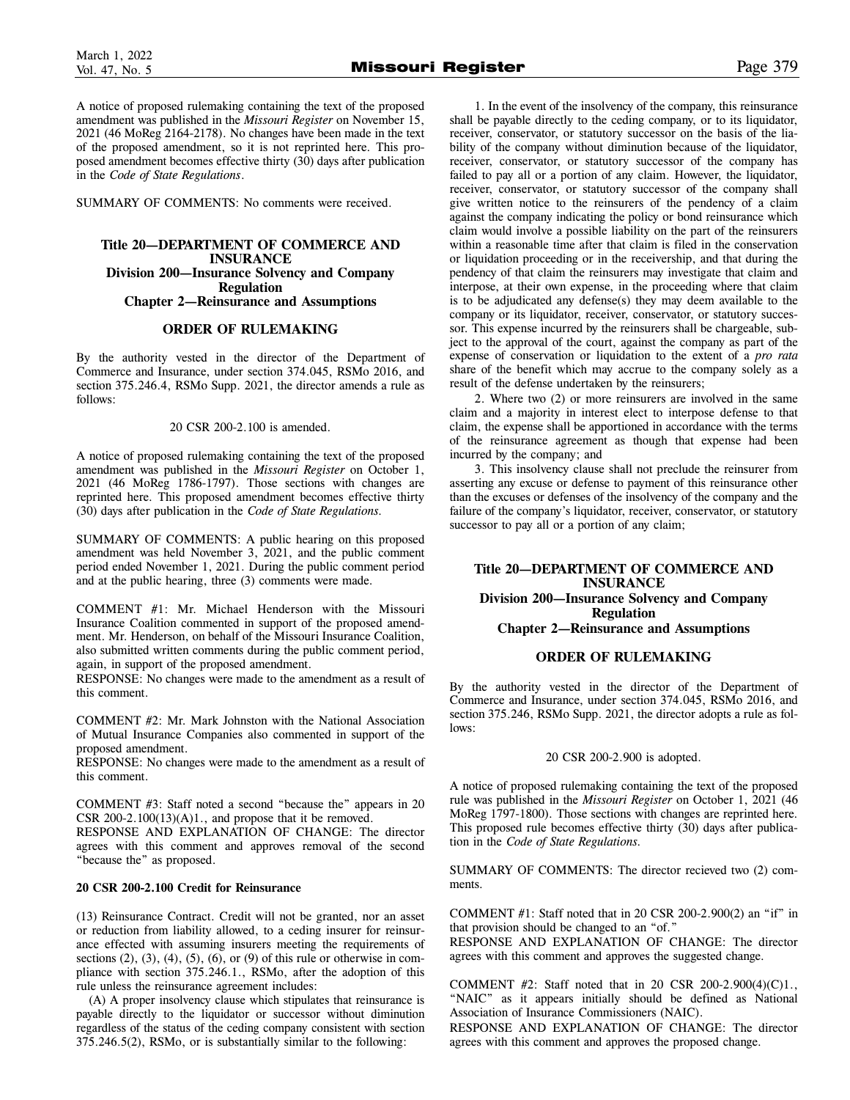A notice of proposed rulemaking containing the text of the proposed amendment was published in the *Missouri Register* on November 15, 2021 (46 MoReg 2164-2178). No changes have been made in the text of the proposed amendment, so it is not reprinted here. This proposed amendment becomes effective thirty (30) days after publication in the *Code of State Regulations*.

SUMMARY OF COMMENTS: No comments were received.

### **Title 20—DEPARTMENT OF COMMERCE AND INSURANCE Division 200—Insurance Solvency and Company Regulation**

### **Chapter 2—Reinsurance and Assumptions**

### **ORDER OF RULEMAKING**

By the authority vested in the director of the Department of Commerce and Insurance, under section 374.045, RSMo 2016, and section 375.246.4, RSMo Supp. 2021, the director amends a rule as follows:

### 20 CSR 200-2.100 is amended.

A notice of proposed rulemaking containing the text of the proposed amendment was published in the *Missouri Register* on October 1, 2021 (46 MoReg 1786-1797). Those sections with changes are reprinted here. This proposed amendment becomes effective thirty (30) days after publication in the *Code of State Regulations.*

SUMMARY OF COMMENTS: A public hearing on this proposed amendment was held November 3, 2021, and the public comment period ended November 1, 2021. During the public comment period and at the public hearing, three (3) comments were made.

COMMENT #1: Mr. Michael Henderson with the Missouri Insurance Coalition commented in support of the proposed amendment. Mr. Henderson, on behalf of the Missouri Insurance Coalition, also submitted written comments during the public comment period, again, in support of the proposed amendment.

RESPONSE: No changes were made to the amendment as a result of this comment.

COMMENT #2: Mr. Mark Johnston with the National Association of Mutual Insurance Companies also commented in support of the proposed amendment.

RESPONSE: No changes were made to the amendment as a result of this comment.

COMMENT #3: Staff noted a second "because the" appears in 20 CSR 200-2.100 $(13)(A)1$ ., and propose that it be removed.

RESPONSE AND EXPLANATION OF CHANGE: The director agrees with this comment and approves removal of the second "because the" as proposed.

### **20 CSR 200-2.100 Credit for Reinsurance**

(13) Reinsurance Contract. Credit will not be granted, nor an asset or reduction from liability allowed, to a ceding insurer for reinsurance effected with assuming insurers meeting the requirements of sections  $(2)$ ,  $(3)$ ,  $(4)$ ,  $(5)$ ,  $(6)$ , or  $(9)$  of this rule or otherwise in compliance with section 375.246.1., RSMo, after the adoption of this rule unless the reinsurance agreement includes:

(A) A proper insolvency clause which stipulates that reinsurance is payable directly to the liquidator or successor without diminution regardless of the status of the ceding company consistent with section 375.246.5(2), RSMo, or is substantially similar to the following:

1. In the event of the insolvency of the company, this reinsurance shall be payable directly to the ceding company, or to its liquidator, receiver, conservator, or statutory successor on the basis of the liability of the company without diminution because of the liquidator, receiver, conservator, or statutory successor of the company has failed to pay all or a portion of any claim. However, the liquidator, receiver, conservator, or statutory successor of the company shall give written notice to the reinsurers of the pendency of a claim against the company indicating the policy or bond reinsurance which claim would involve a possible liability on the part of the reinsurers within a reasonable time after that claim is filed in the conservation or liquidation proceeding or in the receivership, and that during the pendency of that claim the reinsurers may investigate that claim and interpose, at their own expense, in the proceeding where that claim is to be adjudicated any defense(s) they may deem available to the company or its liquidator, receiver, conservator, or statutory successor. This expense incurred by the reinsurers shall be chargeable, subject to the approval of the court, against the company as part of the expense of conservation or liquidation to the extent of a *pro rata* share of the benefit which may accrue to the company solely as a result of the defense undertaken by the reinsurers;

2. Where two (2) or more reinsurers are involved in the same claim and a majority in interest elect to interpose defense to that claim, the expense shall be apportioned in accordance with the terms of the reinsurance agreement as though that expense had been incurred by the company; and

3. This insolvency clause shall not preclude the reinsurer from asserting any excuse or defense to payment of this reinsurance other than the excuses or defenses of the insolvency of the company and the failure of the company's liquidator, receiver, conservator, or statutory successor to pay all or a portion of any claim;

### **Title 20—DEPARTMENT OF COMMERCE AND INSURANCE Division 200—Insurance Solvency and Company Regulation Chapter 2—Reinsurance and Assumptions**

### **ORDER OF RULEMAKING**

By the authority vested in the director of the Department of Commerce and Insurance, under section 374.045, RSMo 2016, and section 375.246, RSMo Supp. 2021, the director adopts a rule as follows:

### 20 CSR 200-2.900 is adopted.

A notice of proposed rulemaking containing the text of the proposed rule was published in the *Missouri Register* on October 1, 2021 (46 MoReg 1797-1800). Those sections with changes are reprinted here. This proposed rule becomes effective thirty (30) days after publication in the *Code of State Regulations.*

SUMMARY OF COMMENTS: The director recieved two (2) comments.

COMMENT #1: Staff noted that in 20 CSR 200-2.900(2) an "if" in that provision should be changed to an "of."

RESPONSE AND EXPLANATION OF CHANGE: The director agrees with this comment and approves the suggested change.

COMMENT #2: Staff noted that in 20 CSR 200-2.900(4)(C)1., "NAIC" as it appears initially should be defined as National Association of Insurance Commissioners (NAIC).

RESPONSE AND EXPLANATION OF CHANGE: The director agrees with this comment and approves the proposed change.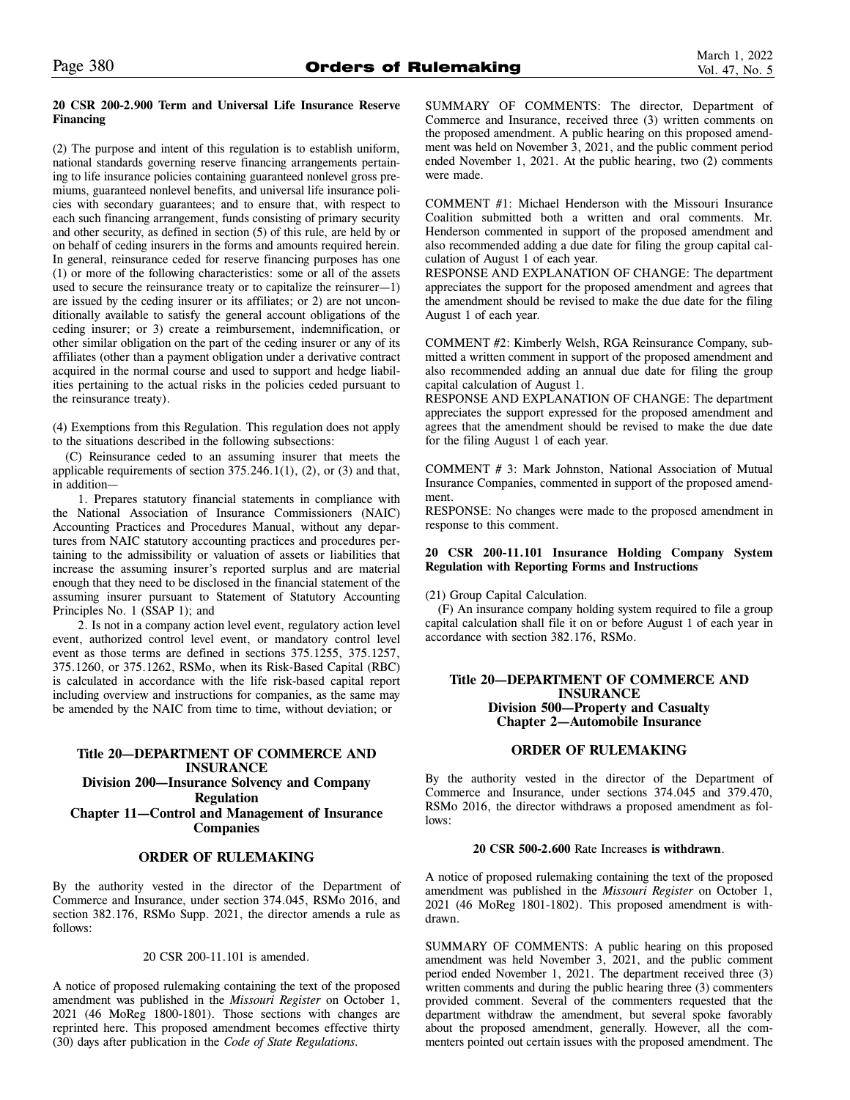### **20 CSR 200-2.900 Term and Universal Life Insurance Reserve Financing**

(2) The purpose and intent of this regulation is to establish uniform, national standards governing reserve financing arrangements pertaining to life insurance policies containing guaranteed nonlevel gross premiums, guaranteed nonlevel benefits, and universal life insurance policies with secondary guarantees; and to ensure that, with respect to each such financing arrangement, funds consisting of primary security and other security, as defined in section (5) of this rule, are held by or on behalf of ceding insurers in the forms and amounts required herein. In general, reinsurance ceded for reserve financing purposes has one (1) or more of the following characteristics: some or all of the assets used to secure the reinsurance treaty or to capitalize the reinsurer—1) are issued by the ceding insurer or its affiliates; or 2) are not unconditionally available to satisfy the general account obligations of the ceding insurer; or 3) create a reimbursement, indemnification, or other similar obligation on the part of the ceding insurer or any of its affiliates (other than a payment obligation under a derivative contract acquired in the normal course and used to support and hedge liabilities pertaining to the actual risks in the policies ceded pursuant to the reinsurance treaty).

(4) Exemptions from this Regulation. This regulation does not apply to the situations described in the following subsections:

(C) Reinsurance ceded to an assuming insurer that meets the applicable requirements of section  $375.246.1(1)$ ,  $(2)$ , or  $(3)$  and that, in addition—

1. Prepares statutory financial statements in compliance with the National Association of Insurance Commissioners (NAIC) Accounting Practices and Procedures Manual, without any departures from NAIC statutory accounting practices and procedures pertaining to the admissibility or valuation of assets or liabilities that increase the assuming insurer's reported surplus and are material enough that they need to be disclosed in the financial statement of the assuming insurer pursuant to Statement of Statutory Accounting Principles No. 1 (SSAP 1); and

2. Is not in a company action level event, regulatory action level event, authorized control level event, or mandatory control level event as those terms are defined in sections 375.1255, 375.1257, 375.1260, or 375.1262, RSMo, when its Risk-Based Capital (RBC) is calculated in accordance with the life risk-based capital report including overview and instructions for companies, as the same may be amended by the NAIC from time to time, without deviation; or

### **Title 20—DEPARTMENT OF COMMERCE AND INSURANCE Division 200—Insurance Solvency and Company Regulation Chapter 11—Control and Management of Insurance Companies**

### **ORDER OF RULEMAKING**

By the authority vested in the director of the Department of Commerce and Insurance, under section 374.045, RSMo 2016, and section 382.176, RSMo Supp. 2021, the director amends a rule as follows:

20 CSR 200-11.101 is amended.

A notice of proposed rulemaking containing the text of the proposed amendment was published in the *Missouri Register* on October 1, 2021 (46 MoReg 1800-1801). Those sections with changes are reprinted here. This proposed amendment becomes effective thirty (30) days after publication in the *Code of State Regulations.*

SUMMARY OF COMMENTS: The director, Department of Commerce and Insurance, received three (3) written comments on the proposed amendment. A public hearing on this proposed amendment was held on November 3, 2021, and the public comment period ended November 1, 2021. At the public hearing, two (2) comments were made.

COMMENT #1: Michael Henderson with the Missouri Insurance Coalition submitted both a written and oral comments. Mr. Henderson commented in support of the proposed amendment and also recommended adding a due date for filing the group capital calculation of August 1 of each year.

RESPONSE AND EXPLANATION OF CHANGE: The department appreciates the support for the proposed amendment and agrees that the amendment should be revised to make the due date for the filing August 1 of each year.

COMMENT #2: Kimberly Welsh, RGA Reinsurance Company, submitted a written comment in support of the proposed amendment and also recommended adding an annual due date for filing the group capital calculation of August 1.

RESPONSE AND EXPLANATION OF CHANGE: The department appreciates the support expressed for the proposed amendment and agrees that the amendment should be revised to make the due date for the filing August 1 of each year.

COMMENT # 3: Mark Johnston, National Association of Mutual Insurance Companies, commented in support of the proposed amendment.

RESPONSE: No changes were made to the proposed amendment in response to this comment.

### **20 CSR 200-11.101 Insurance Holding Company System Regulation with Reporting Forms and Instructions**

(21) Group Capital Calculation.

(F) An insurance company holding system required to file a group capital calculation shall file it on or before August 1 of each year in accordance with section 382.176, RSMo.

### **Title 20—DEPARTMENT OF COMMERCE AND INSURANCE Division 500—Property and Casualty Chapter 2—Automobile Insurance**

### **ORDER OF RULEMAKING**

By the authority vested in the director of the Department of Commerce and Insurance, under sections 374.045 and 379.470, RSMo 2016, the director withdraws a proposed amendment as follows:

### **20 CSR 500-2.600** Rate Increases **is withdrawn**.

A notice of proposed rulemaking containing the text of the proposed amendment was published in the *Missouri Register* on October 1, 2021 (46 MoReg 1801-1802). This proposed amendment is withdrawn.

SUMMARY OF COMMENTS: A public hearing on this proposed amendment was held November 3, 2021, and the public comment period ended November 1, 2021. The department received three (3) written comments and during the public hearing three (3) commenters provided comment. Several of the commenters requested that the department withdraw the amendment, but several spoke favorably about the proposed amendment, generally. However, all the commenters pointed out certain issues with the proposed amendment. The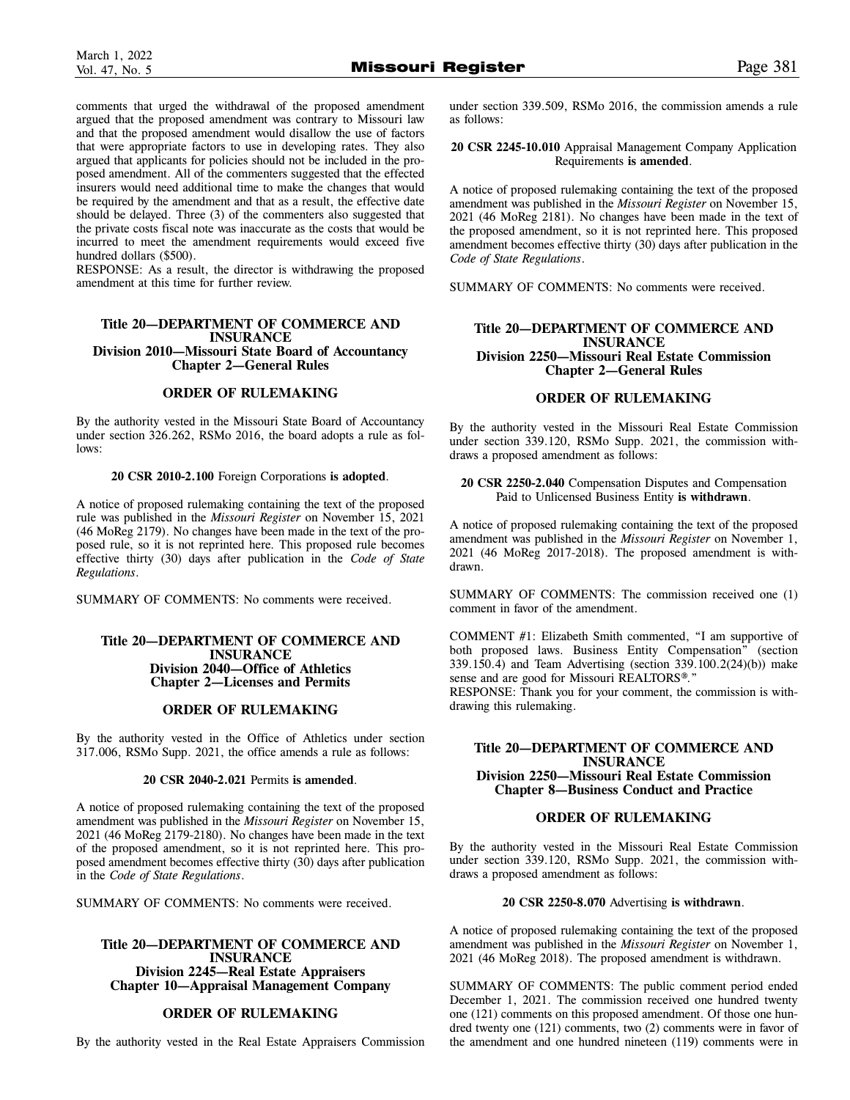comments that urged the withdrawal of the proposed amendment argued that the proposed amendment was contrary to Missouri law and that the proposed amendment would disallow the use of factors that were appropriate factors to use in developing rates. They also argued that applicants for policies should not be included in the proposed amendment. All of the commenters suggested that the effected insurers would need additional time to make the changes that would be required by the amendment and that as a result, the effective date should be delayed. Three (3) of the commenters also suggested that the private costs fiscal note was inaccurate as the costs that would be incurred to meet the amendment requirements would exceed five hundred dollars (\$500).

RESPONSE: As a result, the director is withdrawing the proposed amendment at this time for further review.

### **Title 20—DEPARTMENT OF COMMERCE AND INSURANCE Division 2010—Missouri State Board of Accountancy Chapter 2—General Rules**

### **ORDER OF RULEMAKING**

By the authority vested in the Missouri State Board of Accountancy under section 326.262, RSMo 2016, the board adopts a rule as follows:

#### **20 CSR 2010-2.100** Foreign Corporations **is adopted**.

A notice of proposed rulemaking containing the text of the proposed rule was published in the *Missouri Register* on November 15, 2021 (46 MoReg 2179). No changes have been made in the text of the proposed rule, so it is not reprinted here. This proposed rule becomes effective thirty (30) days after publication in the *Code of State Regulations*.

SUMMARY OF COMMENTS: No comments were received.

### **Title 20—DEPARTMENT OF COMMERCE AND INSURANCE Division 2040—Office of Athletics Chapter 2—Licenses and Permits**

### **ORDER OF RULEMAKING**

By the authority vested in the Office of Athletics under section 317.006, RSMo Supp. 2021, the office amends a rule as follows:

### **20 CSR 2040-2.021** Permits **is amended**.

A notice of proposed rulemaking containing the text of the proposed amendment was published in the *Missouri Register* on November 15, 2021 (46 MoReg 2179-2180). No changes have been made in the text of the proposed amendment, so it is not reprinted here. This proposed amendment becomes effective thirty (30) days after publication in the *Code of State Regulations*.

SUMMARY OF COMMENTS: No comments were received.

### **Title 20—DEPARTMENT OF COMMERCE AND INSURANCE Division 2245—Real Estate Appraisers Chapter 10—Appraisal Management Company**

### **ORDER OF RULEMAKING**

By the authority vested in the Real Estate Appraisers Commission

under section 339.509, RSMo 2016, the commission amends a rule as follows:

**20 CSR 2245-10.010** Appraisal Management Company Application Requirements **is amended**.

A notice of proposed rulemaking containing the text of the proposed amendment was published in the *Missouri Register* on November 15, 2021 (46 MoReg 2181). No changes have been made in the text of the proposed amendment, so it is not reprinted here. This proposed amendment becomes effective thirty (30) days after publication in the *Code of State Regulations*.

SUMMARY OF COMMENTS: No comments were received.

### **Title 20—DEPARTMENT OF COMMERCE AND INSURANCE Division 2250—Missouri Real Estate Commission Chapter 2—General Rules**

### **ORDER OF RULEMAKING**

By the authority vested in the Missouri Real Estate Commission under section 339.120, RSMo Supp. 2021, the commission withdraws a proposed amendment as follows:

**20 CSR 2250-2.040** Compensation Disputes and Compensation Paid to Unlicensed Business Entity **is withdrawn**.

A notice of proposed rulemaking containing the text of the proposed amendment was published in the *Missouri Register* on November 1, 2021 (46 MoReg 2017-2018). The proposed amendment is withdrawn.

SUMMARY OF COMMENTS: The commission received one (1) comment in favor of the amendment.

COMMENT #1: Elizabeth Smith commented, "I am supportive of both proposed laws. Business Entity Compensation" (section 339.150.4) and Team Advertising (section 339.100.2(24)(b)) make sense and are good for Missouri REALTORS®."

RESPONSE: Thank you for your comment, the commission is withdrawing this rulemaking.

### **Title 20—DEPARTMENT OF COMMERCE AND INSURANCE Division 2250—Missouri Real Estate Commission**

**Chapter 8—Business Conduct and Practice** 

### **ORDER OF RULEMAKING**

By the authority vested in the Missouri Real Estate Commission under section 339.120, RSMo Supp. 2021, the commission withdraws a proposed amendment as follows:

### **20 CSR 2250-8.070** Advertising **is withdrawn**.

A notice of proposed rulemaking containing the text of the proposed amendment was published in the *Missouri Register* on November 1, 2021 (46 MoReg 2018). The proposed amendment is withdrawn.

SUMMARY OF COMMENTS: The public comment period ended December 1, 2021. The commission received one hundred twenty one (121) comments on this proposed amendment. Of those one hundred twenty one (121) comments, two (2) comments were in favor of the amendment and one hundred nineteen (119) comments were in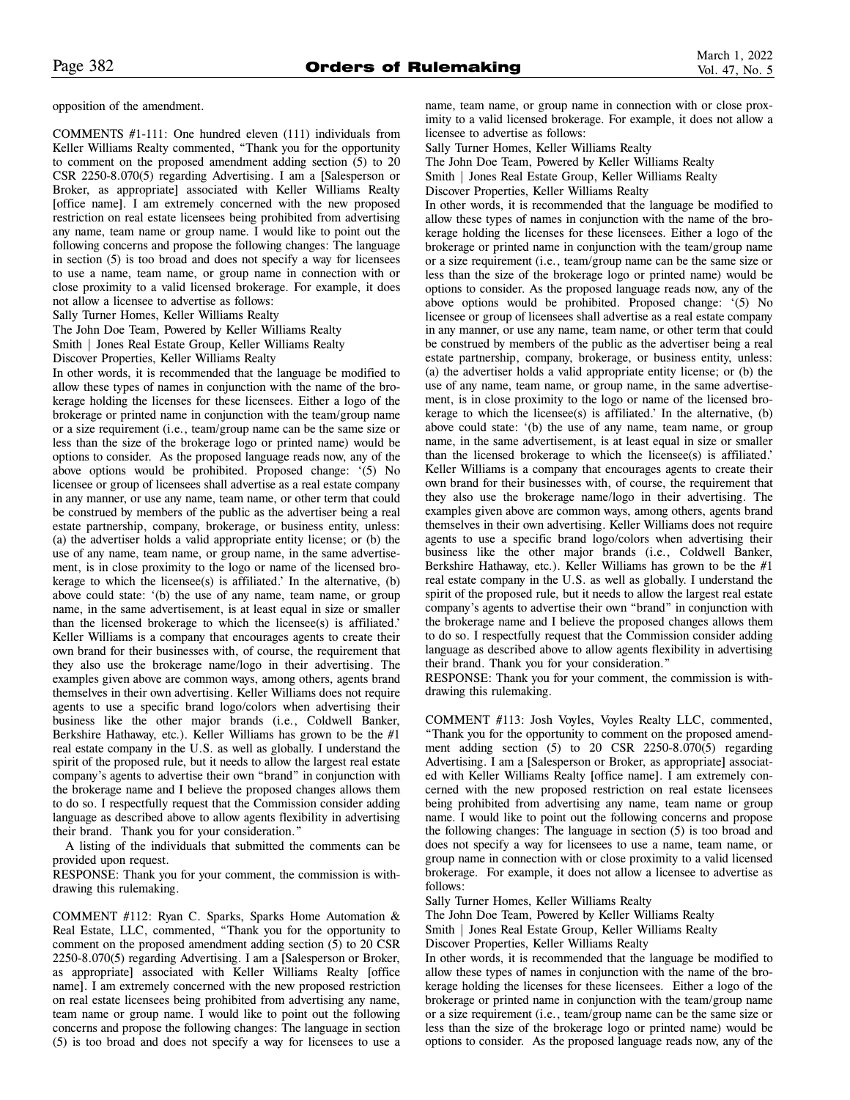opposition of the amendment.

COMMENTS #1-111: One hundred eleven (111) individuals from Keller Williams Realty commented, "Thank you for the opportunity to comment on the proposed amendment adding section (5) to 20 CSR 2250-8.070(5) regarding Advertising. I am a [Salesperson or Broker, as appropriate] associated with Keller Williams Realty [office name]. I am extremely concerned with the new proposed restriction on real estate licensees being prohibited from advertising any name, team name or group name. I would like to point out the following concerns and propose the following changes: The language in section (5) is too broad and does not specify a way for licensees to use a name, team name, or group name in connection with or close proximity to a valid licensed brokerage. For example, it does not allow a licensee to advertise as follows:

Sally Turner Homes, Keller Williams Realty

The John Doe Team, Powered by Keller Williams Realty

Smith | Jones Real Estate Group, Keller Williams Realty

Discover Properties, Keller Williams Realty

In other words, it is recommended that the language be modified to allow these types of names in conjunction with the name of the brokerage holding the licenses for these licensees. Either a logo of the brokerage or printed name in conjunction with the team/group name or a size requirement (i.e., team/group name can be the same size or less than the size of the brokerage logo or printed name) would be options to consider. As the proposed language reads now, any of the above options would be prohibited. Proposed change: '(5) No licensee or group of licensees shall advertise as a real estate company in any manner, or use any name, team name, or other term that could be construed by members of the public as the advertiser being a real estate partnership, company, brokerage, or business entity, unless: (a) the advertiser holds a valid appropriate entity license; or (b) the use of any name, team name, or group name, in the same advertisement, is in close proximity to the logo or name of the licensed brokerage to which the licensee(s) is affiliated.' In the alternative, (b) above could state: '(b) the use of any name, team name, or group name, in the same advertisement, is at least equal in size or smaller than the licensed brokerage to which the licensee(s) is affiliated.' Keller Williams is a company that encourages agents to create their own brand for their businesses with, of course, the requirement that they also use the brokerage name/logo in their advertising. The examples given above are common ways, among others, agents brand themselves in their own advertising. Keller Williams does not require agents to use a specific brand logo/colors when advertising their business like the other major brands (i.e., Coldwell Banker, Berkshire Hathaway, etc.). Keller Williams has grown to be the #1 real estate company in the U.S. as well as globally. I understand the spirit of the proposed rule, but it needs to allow the largest real estate company's agents to advertise their own "brand" in conjunction with the brokerage name and I believe the proposed changes allows them to do so. I respectfully request that the Commission consider adding language as described above to allow agents flexibility in advertising their brand. Thank you for your consideration."

A listing of the individuals that submitted the comments can be provided upon request.

RESPONSE: Thank you for your comment, the commission is withdrawing this rulemaking.

COMMENT #112: Ryan C. Sparks, Sparks Home Automation & Real Estate, LLC, commented, "Thank you for the opportunity to comment on the proposed amendment adding section (5) to 20 CSR 2250-8.070(5) regarding Advertising. I am a [Salesperson or Broker, as appropriate] associated with Keller Williams Realty [office name]. I am extremely concerned with the new proposed restriction on real estate licensees being prohibited from advertising any name, team name or group name. I would like to point out the following concerns and propose the following changes: The language in section (5) is too broad and does not specify a way for licensees to use a name, team name, or group name in connection with or close proximity to a valid licensed brokerage. For example, it does not allow a licensee to advertise as follows:

Sally Turner Homes, Keller Williams Realty

The John Doe Team, Powered by Keller Williams Realty Smith | Jones Real Estate Group, Keller Williams Realty Discover Properties, Keller Williams Realty

In other words, it is recommended that the language be modified to allow these types of names in conjunction with the name of the brokerage holding the licenses for these licensees. Either a logo of the brokerage or printed name in conjunction with the team/group name or a size requirement (i.e., team/group name can be the same size or less than the size of the brokerage logo or printed name) would be options to consider. As the proposed language reads now, any of the above options would be prohibited. Proposed change: '(5) No licensee or group of licensees shall advertise as a real estate company in any manner, or use any name, team name, or other term that could be construed by members of the public as the advertiser being a real estate partnership, company, brokerage, or business entity, unless: (a) the advertiser holds a valid appropriate entity license; or (b) the use of any name, team name, or group name, in the same advertisement, is in close proximity to the logo or name of the licensed brokerage to which the licensee(s) is affiliated.' In the alternative, (b) above could state: '(b) the use of any name, team name, or group name, in the same advertisement, is at least equal in size or smaller than the licensed brokerage to which the licensee(s) is affiliated.' Keller Williams is a company that encourages agents to create their own brand for their businesses with, of course, the requirement that they also use the brokerage name/logo in their advertising. The examples given above are common ways, among others, agents brand themselves in their own advertising. Keller Williams does not require agents to use a specific brand logo/colors when advertising their business like the other major brands (i.e., Coldwell Banker, Berkshire Hathaway, etc.). Keller Williams has grown to be the #1 real estate company in the U.S. as well as globally. I understand the spirit of the proposed rule, but it needs to allow the largest real estate company's agents to advertise their own "brand" in conjunction with the brokerage name and I believe the proposed changes allows them to do so. I respectfully request that the Commission consider adding language as described above to allow agents flexibility in advertising their brand. Thank you for your consideration."

RESPONSE: Thank you for your comment, the commission is withdrawing this rulemaking.

COMMENT #113: Josh Voyles, Voyles Realty LLC, commented, "Thank you for the opportunity to comment on the proposed amendment adding section (5) to 20 CSR 2250-8.070(5) regarding Advertising. I am a [Salesperson or Broker, as appropriate] associated with Keller Williams Realty [office name]. I am extremely concerned with the new proposed restriction on real estate licensees being prohibited from advertising any name, team name or group name. I would like to point out the following concerns and propose the following changes: The language in section (5) is too broad and does not specify a way for licensees to use a name, team name, or group name in connection with or close proximity to a valid licensed brokerage. For example, it does not allow a licensee to advertise as follows:

Sally Turner Homes, Keller Williams Realty

The John Doe Team, Powered by Keller Williams Realty

Smith | Jones Real Estate Group, Keller Williams Realty

Discover Properties, Keller Williams Realty

In other words, it is recommended that the language be modified to allow these types of names in conjunction with the name of the brokerage holding the licenses for these licensees. Either a logo of the brokerage or printed name in conjunction with the team/group name or a size requirement (i.e., team/group name can be the same size or less than the size of the brokerage logo or printed name) would be options to consider. As the proposed language reads now, any of the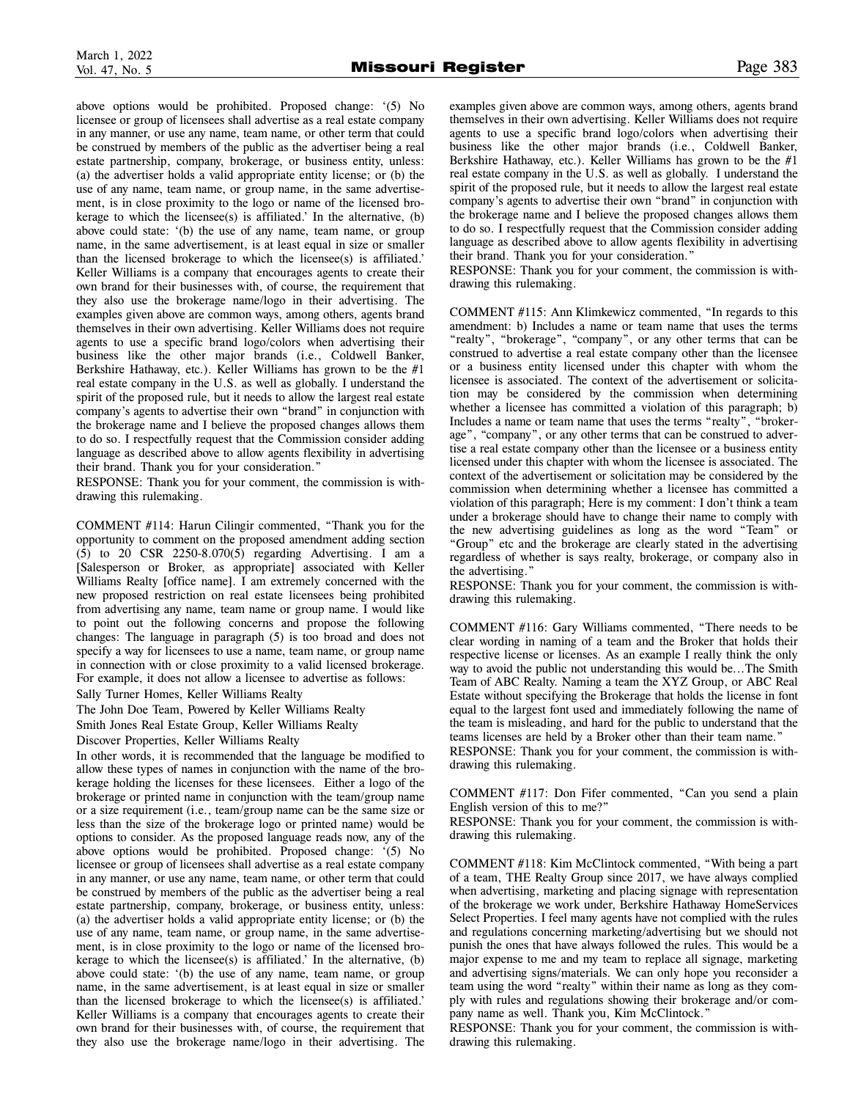above options would be prohibited. Proposed change: '(5) No licensee or group of licensees shall advertise as a real estate company in any manner, or use any name, team name, or other term that could be construed by members of the public as the advertiser being a real estate partnership, company, brokerage, or business entity, unless: (a) the advertiser holds a valid appropriate entity license; or (b) the use of any name, team name, or group name, in the same advertisement, is in close proximity to the logo or name of the licensed brokerage to which the licensee(s) is affiliated.' In the alternative, (b) above could state: '(b) the use of any name, team name, or group name, in the same advertisement, is at least equal in size or smaller than the licensed brokerage to which the licensee(s) is affiliated.' Keller Williams is a company that encourages agents to create their own brand for their businesses with, of course, the requirement that they also use the brokerage name/logo in their advertising. The examples given above are common ways, among others, agents brand themselves in their own advertising. Keller Williams does not require agents to use a specific brand logo/colors when advertising their business like the other major brands (i.e., Coldwell Banker, Berkshire Hathaway, etc.). Keller Williams has grown to be the #1 real estate company in the U.S. as well as globally. I understand the spirit of the proposed rule, but it needs to allow the largest real estate company's agents to advertise their own "brand" in conjunction with the brokerage name and I believe the proposed changes allows them to do so. I respectfully request that the Commission consider adding language as described above to allow agents flexibility in advertising their brand. Thank you for your consideration."

RESPONSE: Thank you for your comment, the commission is withdrawing this rulemaking.

COMMENT #114: Harun Cilingir commented, "Thank you for the opportunity to comment on the proposed amendment adding section (5) to 20 CSR 2250-8.070(5) regarding Advertising. I am a [Salesperson or Broker, as appropriate] associated with Keller Williams Realty [office name]. I am extremely concerned with the new proposed restriction on real estate licensees being prohibited from advertising any name, team name or group name. I would like to point out the following concerns and propose the following changes: The language in paragraph (5) is too broad and does not specify a way for licensees to use a name, team name, or group name in connection with or close proximity to a valid licensed brokerage. For example, it does not allow a licensee to advertise as follows:

Sally Turner Homes, Keller Williams Realty

The John Doe Team, Powered by Keller Williams Realty

Smith Jones Real Estate Group, Keller Williams Realty

Discover Properties, Keller Williams Realty

In other words, it is recommended that the language be modified to allow these types of names in conjunction with the name of the brokerage holding the licenses for these licensees. Either a logo of the brokerage or printed name in conjunction with the team/group name or a size requirement (i.e., team/group name can be the same size or less than the size of the brokerage logo or printed name) would be options to consider. As the proposed language reads now, any of the above options would be prohibited. Proposed change: '(5) No licensee or group of licensees shall advertise as a real estate company in any manner, or use any name, team name, or other term that could be construed by members of the public as the advertiser being a real estate partnership, company, brokerage, or business entity, unless: (a) the advertiser holds a valid appropriate entity license; or (b) the use of any name, team name, or group name, in the same advertisement, is in close proximity to the logo or name of the licensed brokerage to which the licensee(s) is affiliated.' In the alternative, (b) above could state: '(b) the use of any name, team name, or group name, in the same advertisement, is at least equal in size or smaller than the licensed brokerage to which the licensee(s) is affiliated.' Keller Williams is a company that encourages agents to create their own brand for their businesses with, of course, the requirement that they also use the brokerage name/logo in their advertising. The

examples given above are common ways, among others, agents brand themselves in their own advertising. Keller Williams does not require agents to use a specific brand logo/colors when advertising their business like the other major brands (i.e., Coldwell Banker, Berkshire Hathaway, etc.). Keller Williams has grown to be the #1 real estate company in the U.S. as well as globally. I understand the spirit of the proposed rule, but it needs to allow the largest real estate company's agents to advertise their own "brand" in conjunction with the brokerage name and I believe the proposed changes allows them to do so. I respectfully request that the Commission consider adding language as described above to allow agents flexibility in advertising their brand. Thank you for your consideration."

RESPONSE: Thank you for your comment, the commission is withdrawing this rulemaking.

COMMENT #115: Ann Klimkewicz commented, "In regards to this amendment: b) Includes a name or team name that uses the terms "realty", "brokerage", "company", or any other terms that can be construed to advertise a real estate company other than the licensee or a business entity licensed under this chapter with whom the licensee is associated. The context of the advertisement or solicitation may be considered by the commission when determining whether a licensee has committed a violation of this paragraph; b) Includes a name or team name that uses the terms "realty", "brokerage", "company", or any other terms that can be construed to advertise a real estate company other than the licensee or a business entity licensed under this chapter with whom the licensee is associated. The context of the advertisement or solicitation may be considered by the commission when determining whether a licensee has committed a violation of this paragraph; Here is my comment: I don't think a team under a brokerage should have to change their name to comply with the new advertising guidelines as long as the word "Team" or "Group" etc and the brokerage are clearly stated in the advertising regardless of whether is says realty, brokerage, or company also in the advertising."

RESPONSE: Thank you for your comment, the commission is withdrawing this rulemaking.

COMMENT #116: Gary Williams commented, "There needs to be clear wording in naming of a team and the Broker that holds their respective license or licenses. As an example I really think the only way to avoid the public not understanding this would be...The Smith Team of ABC Realty. Naming a team the XYZ Group, or ABC Real Estate without specifying the Brokerage that holds the license in font equal to the largest font used and immediately following the name of the team is misleading, and hard for the public to understand that the teams licenses are held by a Broker other than their team name." RESPONSE: Thank you for your comment, the commission is with-

drawing this rulemaking.

COMMENT #117: Don Fifer commented, "Can you send a plain English version of this to me?"

RESPONSE: Thank you for your comment, the commission is withdrawing this rulemaking.

COMMENT #118: Kim McClintock commented, "With being a part of a team, THE Realty Group since 2017, we have always complied when advertising, marketing and placing signage with representation of the brokerage we work under, Berkshire Hathaway HomeServices Select Properties. I feel many agents have not complied with the rules and regulations concerning marketing/advertising but we should not punish the ones that have always followed the rules. This would be a major expense to me and my team to replace all signage, marketing and advertising signs/materials. We can only hope you reconsider a team using the word "realty" within their name as long as they comply with rules and regulations showing their brokerage and/or company name as well. Thank you, Kim McClintock."

RESPONSE: Thank you for your comment, the commission is withdrawing this rulemaking.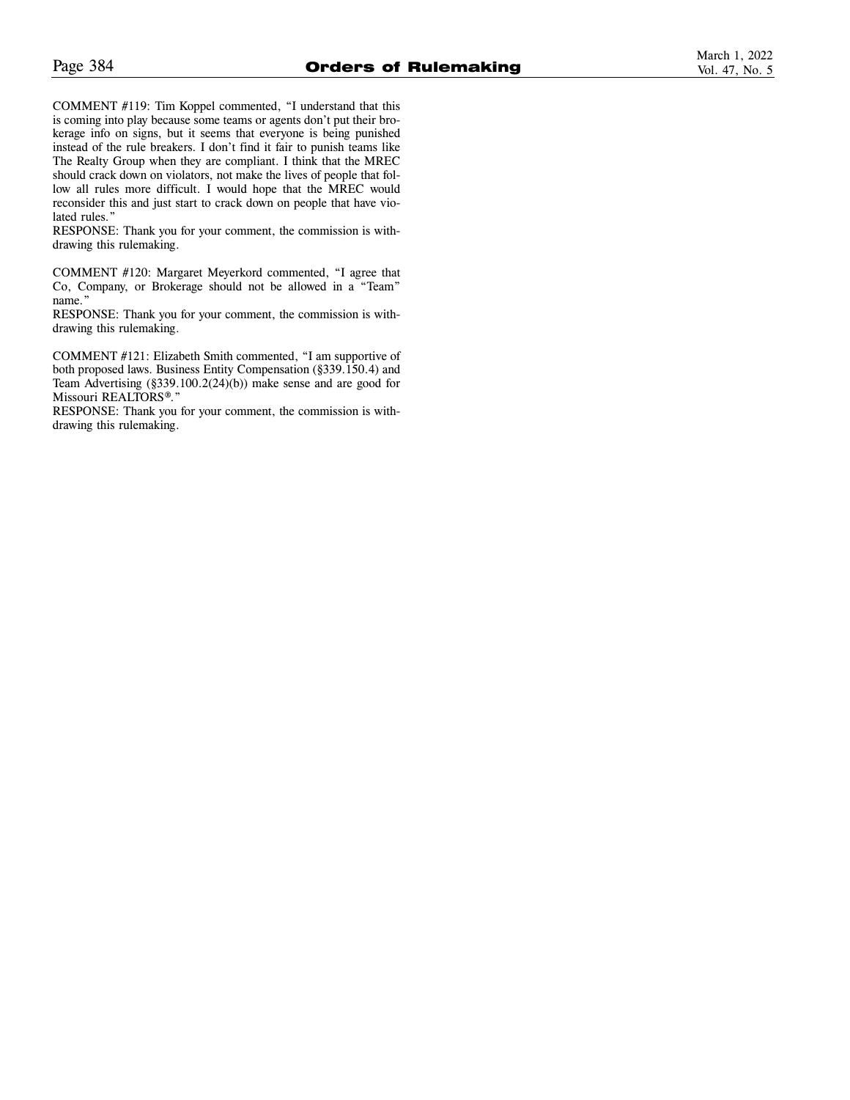COMMENT #119: Tim Koppel commented, "I understand that this is coming into play because some teams or agents don't put their brokerage info on signs, but it seems that everyone is being punished instead of the rule breakers. I don't find it fair to punish teams like The Realty Group when they are compliant. I think that the MREC should crack down on violators, not make the lives of people that follow all rules more difficult. I would hope that the MREC would reconsider this and just start to crack down on people that have violated rules."

RESPONSE: Thank you for your comment, the commission is withdrawing this rulemaking.

COMMENT #120: Margaret Meyerkord commented, "I agree that Co, Company, or Brokerage should not be allowed in a "Team" name."

RESPONSE: Thank you for your comment, the commission is withdrawing this rulemaking.

COMMENT #121: Elizabeth Smith commented, "I am supportive of both proposed laws. Business Entity Compensation (§339.150.4) and Team Advertising (§339.100.2(24)(b)) make sense and are good for Missouri REALTORS®."

RESPONSE: Thank you for your comment, the commission is withdrawing this rulemaking.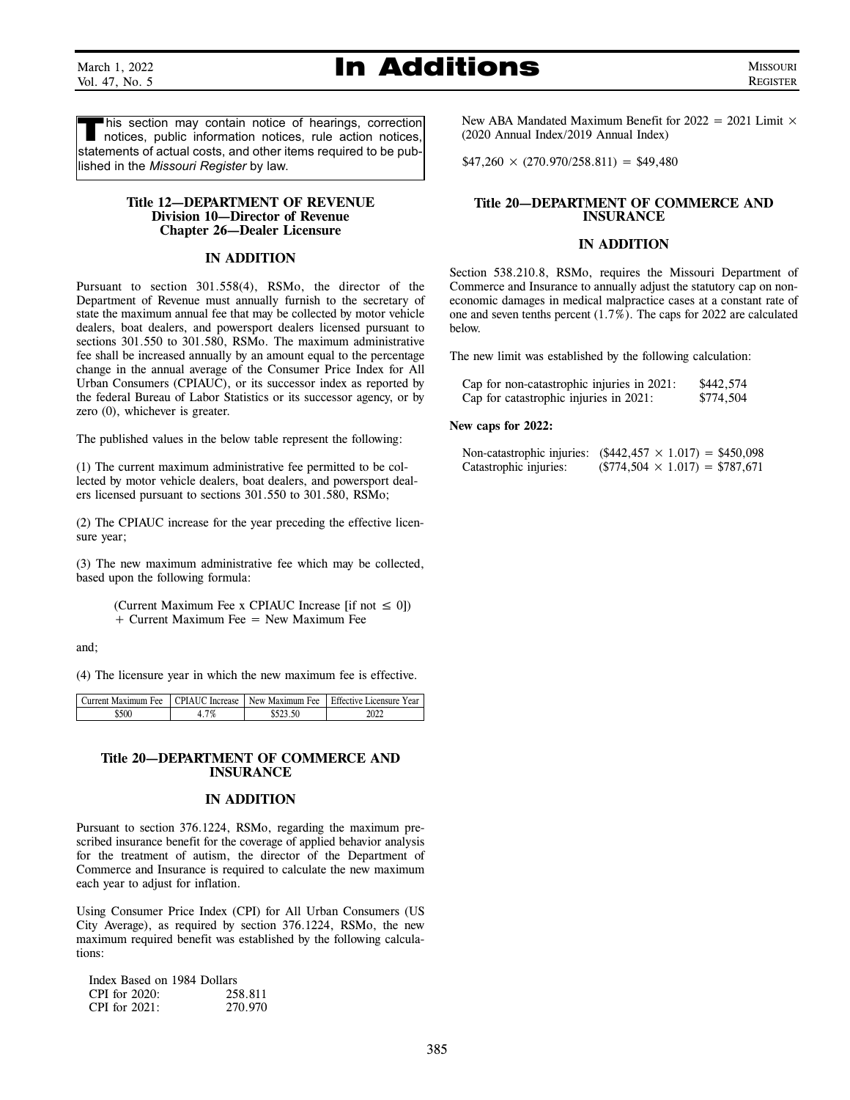March 1, 2022 Vol. 47, No. 5

### **In Additions** MISSOURI

REGISTER

This section may contain notice of hearings, correction notices, public information notices, rule action notices, statements of actual costs, and other items required to be published in the *Missouri Register* by law.

### **Title 12—DEPARTMENT OF REVENUE Division 10—Director of Revenue Chapter 26—Dealer Licensure**

### **IN ADDITION**

Pursuant to section 301.558(4), RSMo, the director of the Department of Revenue must annually furnish to the secretary of state the maximum annual fee that may be collected by motor vehicle dealers, boat dealers, and powersport dealers licensed pursuant to sections 301.550 to 301.580, RSMo. The maximum administrative fee shall be increased annually by an amount equal to the percentage change in the annual average of the Consumer Price Index for All Urban Consumers (CPIAUC), or its successor index as reported by the federal Bureau of Labor Statistics or its successor agency, or by zero (0), whichever is greater.

The published values in the below table represent the following:

(1) The current maximum administrative fee permitted to be collected by motor vehicle dealers, boat dealers, and powersport dealers licensed pursuant to sections 301.550 to 301.580, RSMo;

(2) The CPIAUC increase for the year preceding the effective licensure year;

(3) The new maximum administrative fee which may be collected, based upon the following formula:

> (Current Maximum Fee x CPIAUC Increase [if not  $\leq 0$ ]) + Current Maximum Fee = New Maximum Fee

and;

(4) The licensure year in which the new maximum fee is effective.

| Current Maximum Fee | CPIAUC Increase | New Maximum Fee | Fffective Licensure Year |
|---------------------|-----------------|-----------------|--------------------------|
| \$50C               | 1%              |                 |                          |

### **Title 20—DEPARTMENT OF COMMERCE AND INSURANCE**

### **IN ADDITION**

Pursuant to section 376.1224, RSMo, regarding the maximum prescribed insurance benefit for the coverage of applied behavior analysis for the treatment of autism, the director of the Department of Commerce and Insurance is required to calculate the new maximum each year to adjust for inflation.

Using Consumer Price Index (CPI) for All Urban Consumers (US City Average), as required by section 376.1224, RSMo, the new maximum required benefit was established by the following calculations:

| Index Based on 1984 Dollars |         |
|-----------------------------|---------|
| CPI for $2020$ :            | 258.811 |
| CPI for $2021$ :            | 270.970 |

New ABA Mandated Maximum Benefit for  $2022 = 2021$  Limit  $\times$ (2020 Annual Index/2019 Annual Index)

 $$47,260 \times (270.970/258.811) = $49,480$ 

### **Title 20—DEPARTMENT OF COMMERCE AND INSURANCE**

### **IN ADDITION**

Section 538.210.8, RSMo, requires the Missouri Department of Commerce and Insurance to annually adjust the statutory cap on noneconomic damages in medical malpractice cases at a constant rate of one and seven tenths percent (1.7%). The caps for 2022 are calculated below.

The new limit was established by the following calculation:

| Cap for non-catastrophic injuries in 2021: | \$442,574 |
|--------------------------------------------|-----------|
| Cap for catastrophic injuries in 2021:     | \$774,504 |

### **New caps for 2022:**

|                        | Non-catastrophic injuries: $(\$442,457 \times 1.017) = \$450,098$ |
|------------------------|-------------------------------------------------------------------|
| Catastrophic injuries: | $(\$774,504 \times 1.017) = \$787,671$                            |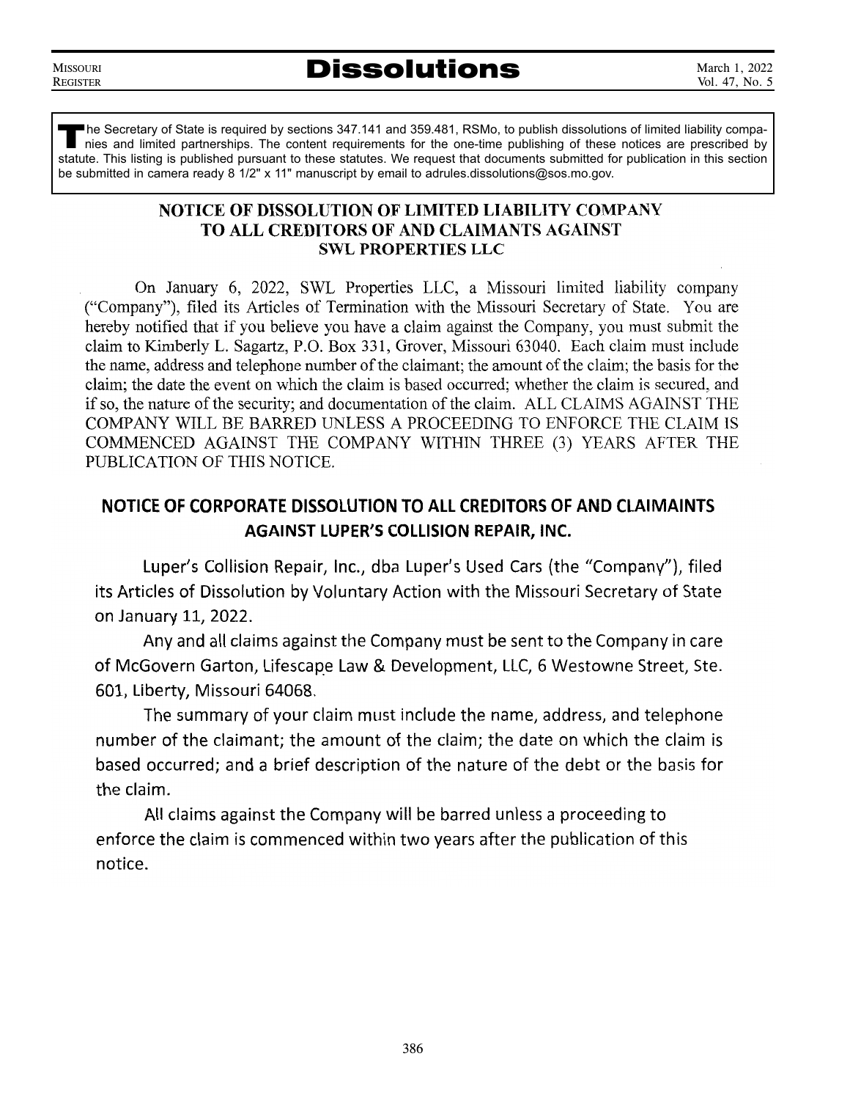**MISSOURI REGISTER** <u>register</u>

The Secretary of State is required by sections 347.141 and 359.481, RSMo, to publish dissolutions of limited liability compa-<br>nies and limited partnerships. The content requirements for the one-time publishing of these not nies and limited partnerships. The content requirements for the one-time publishing of these notices are prescribed by statute. This listing is published pursuant to these statutes. We request that documents submitted for publication in this section be submitted in camera ready 8 1/2" x 11" manuscript by email to adrules.dissolutions@sos.mo.gov.

### NOTICE OF DISSOLUTION OF LIMITED LIABILITY COMPANY TO ALL CREDITORS OF AND CLAIMANTS AGAINST **SWL PROPERTIES LLC**

On January 6, 2022, SWL Properties LLC, a Missouri limited liability company ("Company"), filed its Articles of Termination with the Missouri Secretary of State. You are hereby notified that if you believe you have a claim against the Company, you must submit the claim to Kimberly L. Sagartz, P.O. Box 331, Grover, Missouri 63040. Each claim must include the name, address and telephone number of the claimant; the amount of the claim; the basis for the claim: the date the event on which the claim is based occurred; whether the claim is secured, and if so, the nature of the security; and documentation of the claim. ALL CLAIMS AGAINST THE COMPANY WILL BE BARRED UNLESS A PROCEEDING TO ENFORCE THE CLAIM IS COMMENCED AGAINST THE COMPANY WITHIN THREE (3) YEARS AFTER THE PUBLICATION OF THIS NOTICE.

### NOTICE OF CORPORATE DISSOLUTION TO ALL CREDITORS OF AND CLAIMAINTS **AGAINST LUPER'S COLLISION REPAIR, INC.**

Luper's Collision Repair, Inc., dba Luper's Used Cars (the "Company"), filed its Articles of Dissolution by Voluntary Action with the Missouri Secretary of State on January 11, 2022.

Any and all claims against the Company must be sent to the Company in care of McGovern Garton, Lifescape Law & Development, LLC, 6 Westowne Street, Ste. 601. Liberty. Missouri 64068.

The summary of your claim must include the name, address, and telephone number of the claimant; the amount of the claim; the date on which the claim is based occurred; and a brief description of the nature of the debt or the basis for the claim.

All claims against the Company will be barred unless a proceeding to enforce the claim is commenced within two years after the publication of this notice.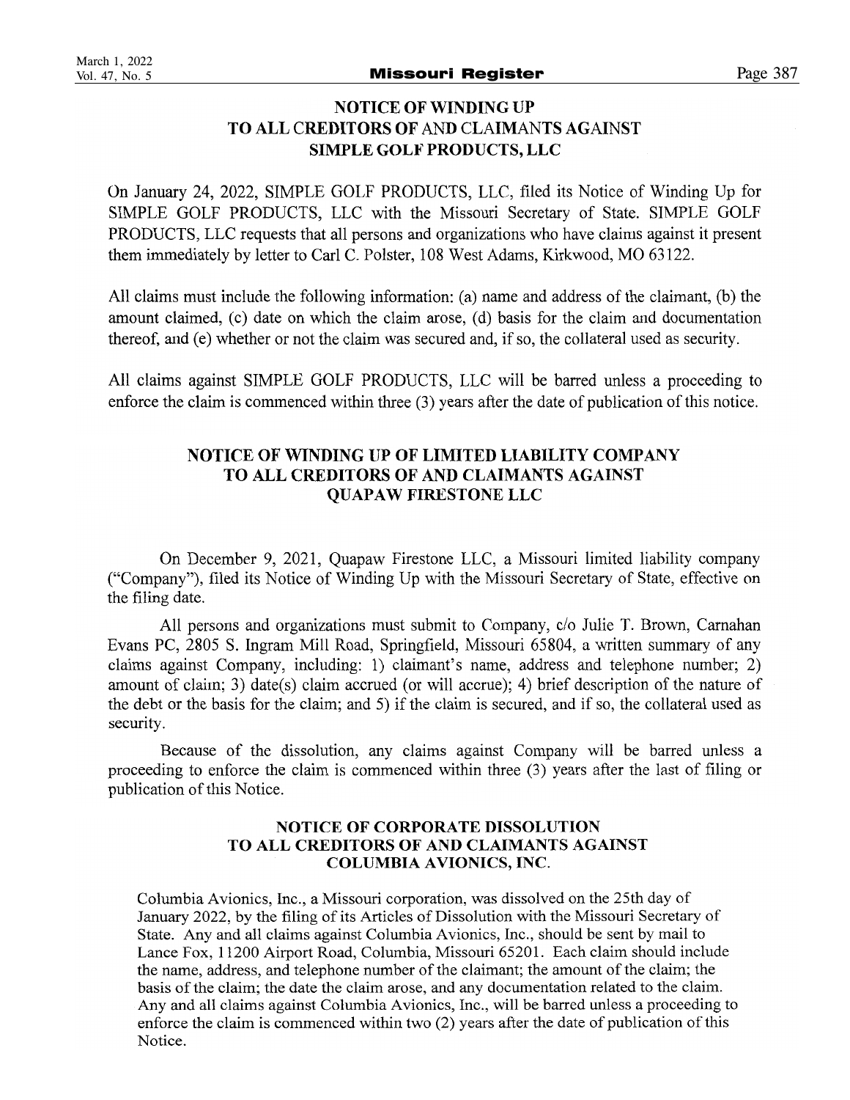### **NOTICE OF WINDING UP** TO ALL CREDITORS OF AND CLAIMANTS AGAINST **SIMPLE GOLF PRODUCTS, LLC**

On January 24, 2022, SIMPLE GOLF PRODUCTS, LLC, filed its Notice of Winding Up for SIMPLE GOLF PRODUCTS, LLC with the Missouri Secretary of State. SIMPLE GOLF PRODUCTS, LLC requests that all persons and organizations who have claims against it present them immediately by letter to Carl C. Polster, 108 West Adams, Kirkwood, MO 63122.

All claims must include the following information: (a) name and address of the claimant, (b) the amount claimed, (c) date on which the claim arose, (d) basis for the claim and documentation thereof, and (e) whether or not the claim was secured and, if so, the collateral used as security.

All claims against SIMPLE GOLF PRODUCTS, LLC will be barred unless a proceeding to enforce the claim is commenced within three (3) years after the date of publication of this notice.

### NOTICE OF WINDING UP OF LIMITED LIABILITY COMPANY TO ALL CREDITORS OF AND CLAIMANTS AGAINST **OUAPAW FIRESTONE LLC**

On December 9, 2021, Quapaw Firestone LLC, a Missouri limited liability company ("Company"), filed its Notice of Winding Up with the Missouri Secretary of State, effective on the filing date.

All persons and organizations must submit to Company, c/o Julie T. Brown, Carnahan Evans PC, 2805 S. Ingram Mill Road, Springfield, Missouri 65804, a written summary of any claims against Company, including: 1) claimant's name, address and telephone number; 2) amount of claim; 3) date(s) claim accrued (or will accrue); 4) brief description of the nature of the debt or the basis for the claim; and 5) if the claim is secured, and if so, the collateral used as security.

Because of the dissolution, any claims against Company will be barred unless a proceeding to enforce the claim is commenced within three (3) years after the last of filing or publication of this Notice.

### NOTICE OF CORPORATE DISSOLUTION TO ALL CREDITORS OF AND CLAIMANTS AGAINST **COLUMBIA AVIONICS, INC.**

Columbia Avionics, Inc., a Missouri corporation, was dissolved on the 25th day of January 2022, by the filing of its Articles of Dissolution with the Missouri Secretary of State. Any and all claims against Columbia Avionics, Inc., should be sent by mail to Lance Fox, 11200 Airport Road, Columbia, Missouri 65201. Each claim should include the name, address, and telephone number of the claimant; the amount of the claim; the basis of the claim; the date the claim arose, and any documentation related to the claim. Any and all claims against Columbia Avionics, Inc., will be barred unless a proceeding to enforce the claim is commenced within two (2) years after the date of publication of this Notice.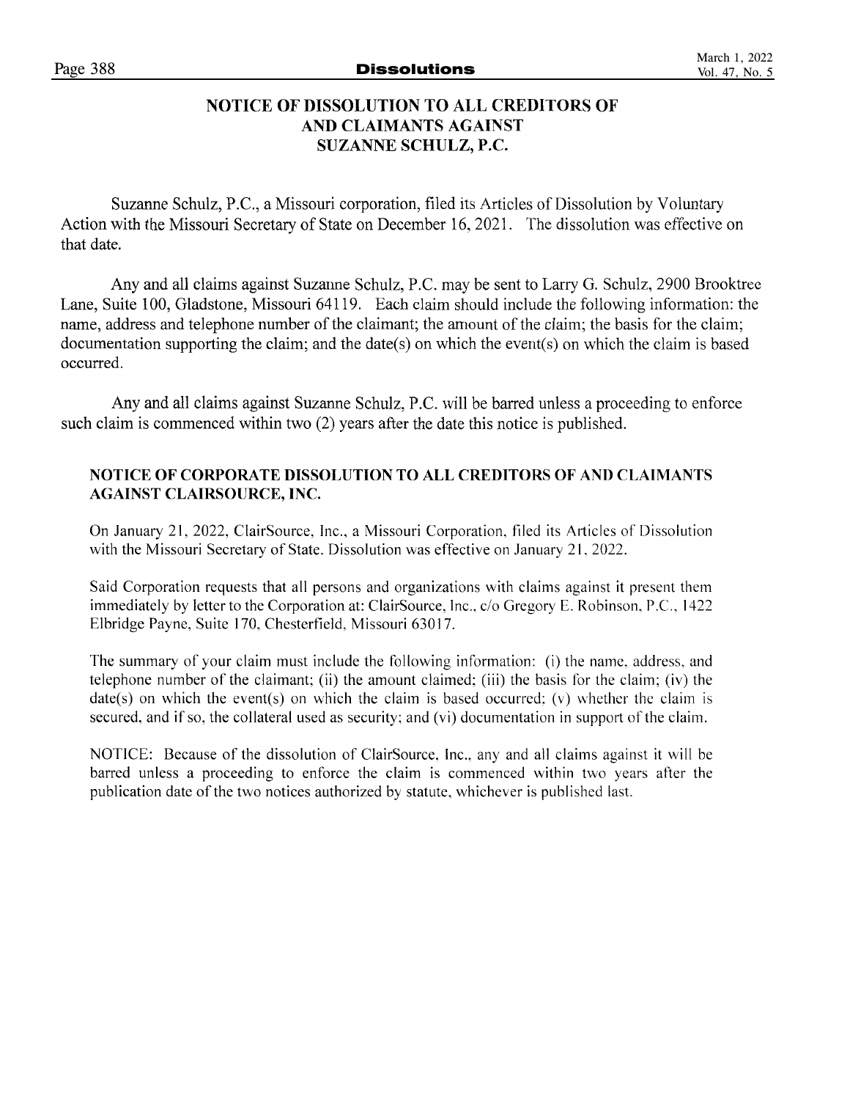### **NOTICE OF DISSOLUTION TO ALL CREDITORS OF** AND CLAIMANTS AGAINST SUZANNE SCHULZ, P.C.

Suzanne Schulz, P.C., a Missouri corporation, filed its Articles of Dissolution by Voluntary Action with the Missouri Secretary of State on December 16, 2021. The dissolution was effective on that date.

Any and all claims against Suzanne Schulz, P.C. may be sent to Larry G. Schulz, 2900 Brooktree Lane, Suite 100, Gladstone, Missouri 64119. Each claim should include the following information: the name, address and telephone number of the claimant: the amount of the claim; the basis for the claim; documentation supporting the claim; and the date(s) on which the event(s) on which the claim is based occurred.

Any and all claims against Suzanne Schulz, P.C. will be barred unless a proceeding to enforce such claim is commenced within two (2) years after the date this notice is published.

### NOTICE OF CORPORATE DISSOLUTION TO ALL CREDITORS OF AND CLAIMANTS **AGAINST CLAIRSOURCE, INC.**

On January 21, 2022, ClairSource, Inc., a Missouri Corporation, filed its Articles of Dissolution with the Missouri Secretary of State. Dissolution was effective on January 21, 2022.

Said Corporation requests that all persons and organizations with claims against it present them immediately by letter to the Corporation at: ClairSource, Inc., c/o Gregory E. Robinson, P.C., 1422 Elbridge Payne, Suite 170, Chesterfield, Missouri 63017.

The summary of your claim must include the following information: (i) the name, address, and telephone number of the claimant; (ii) the amount claimed; (iii) the basis for the claim; (iv) the  $date(s)$  on which the event(s) on which the claim is based occurred; (v) whether the claim is secured, and if so, the collateral used as security; and (vi) documentation in support of the claim.

NOTICE: Because of the dissolution of ClairSource, Inc., any and all claims against it will be barred unless a proceeding to enforce the claim is commenced within two years after the publication date of the two notices authorized by statute, whichever is published last.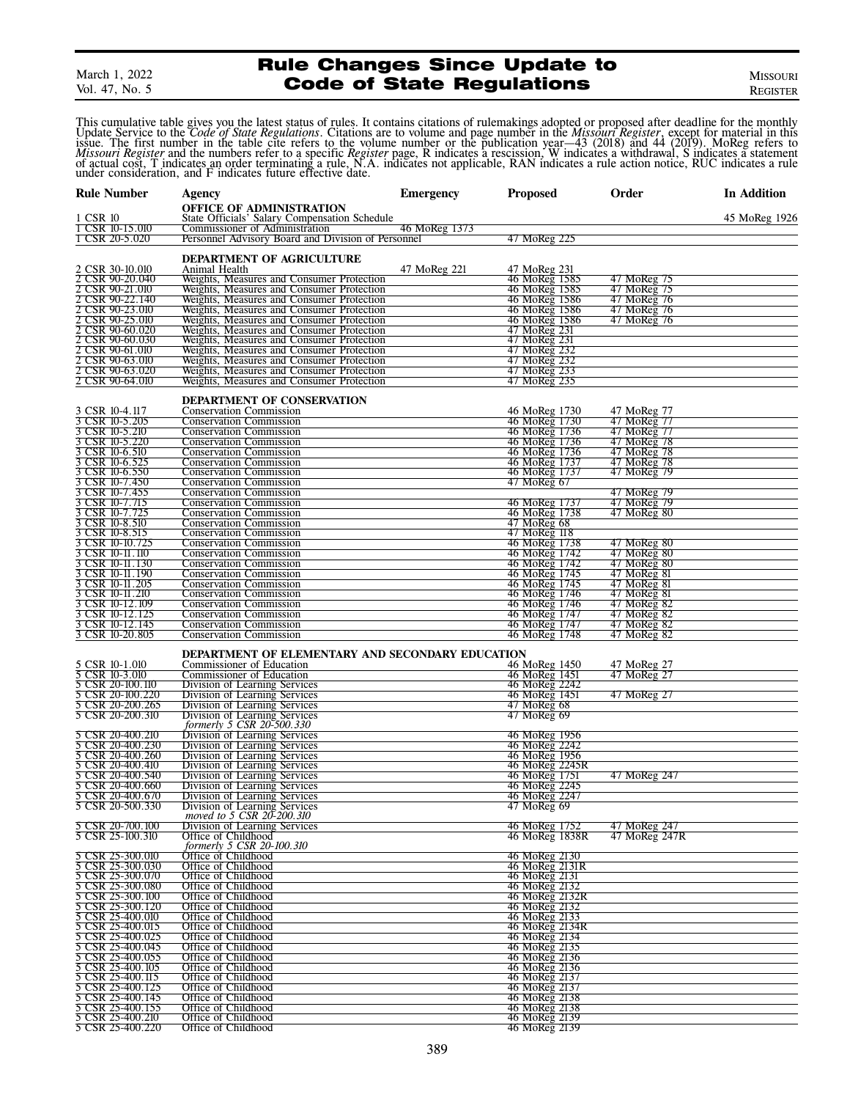March 1, 2022 Vol. 47, No. 5

### Rule Changes Since Update to **Code of State Regulations**

REGISTER

This cumulative table gives you the latest status of rules. It contains citations of rulemakings adopted or proposed after deadline for the monthly Update Service to the Code of State Regulations. Citations are to volume a *Missouri Register* and the numbers refer to a specific *Register* page, R indicates a rescission, W indicates a withdrawal, S indicates a statement of actual cost, T indicates an order terminating a rule, N.A. indicates n

| <b>Rule Number</b>                        | <b>Agency</b>                                                                          | <b>Emergency</b> | <b>Proposed</b>                 | Order                      | In Addition   |
|-------------------------------------------|----------------------------------------------------------------------------------------|------------------|---------------------------------|----------------------------|---------------|
|                                           | OFFICE OF ADMINISTRATION                                                               |                  |                                 |                            |               |
| 1 CSR 10                                  | State Officials' Salary Compensation Schedule                                          |                  |                                 |                            | 45 MoReg 1926 |
| CSR 10-15.010                             | Commissioner of Administration                                                         | 46 MoReg 1373    |                                 |                            |               |
| 1 CSR 20-5.020                            | Personnel Advisory Board and Division of Personnel                                     |                  | 47 MoReg 225                    |                            |               |
|                                           | DEPARTMENT OF AGRICULTURE                                                              |                  |                                 |                            |               |
| 2 CSR 30-10.010                           | Animal Health                                                                          | 47 MoReg 221     | 47 MoReg 231                    |                            |               |
| 2 CSR 90-20.040                           | Weights, Measures and Consumer Protection                                              |                  | 46 MoReg 1585                   | 47 MoReg 75                |               |
| CSR 90-21.010<br>$\overline{\mathcal{Z}}$ | Weights, Measures and Consumer Protection                                              |                  | 46 MoReg 1585                   | 47 MoReg 75                |               |
| CSR 90-22.140                             | Weights, Measures and Consumer Protection                                              |                  | 46 MoReg 1586                   | 47 MoReg 76                |               |
| CSR 90-23.010                             | Weights, Measures and Consumer Protection                                              |                  | 46 MoReg 1586                   | 47 MoReg 76                |               |
| CSR 90-25.010                             | Weights, Measures and Consumer Protection                                              |                  | 46 MoReg 1586<br>47 MoReg 231   | 47 MoReg 76                |               |
| CSR 90-60.020<br>2 CSR 90-60.030          | Weights, Measures and Consumer Protection<br>Weights, Measures and Consumer Protection |                  | 47 MoReg 231                    |                            |               |
| CSR 90-61.010                             | Weights, Measures and Consumer Protection                                              |                  | 47 MoReg 232                    |                            |               |
| Σ<br>CSR 90-63.010                        | Weights, Measures and Consumer Protection                                              |                  | 47 MoReg 232                    |                            |               |
| CSR 90-63.020                             | Weights, Measures and Consumer Protection                                              |                  | 47 MoReg 233                    |                            |               |
| 2 CSR 90-64.010                           | Weights, Measures and Consumer Protection                                              |                  | 47 MoReg 235                    |                            |               |
|                                           |                                                                                        |                  |                                 |                            |               |
| 3 CSR 10-4.117                            | DEPARTMENT OF CONSERVATION                                                             |                  |                                 |                            |               |
| 3 CSR 10-5.205                            | <b>Conservation Commission</b><br><b>Conservation Commission</b>                       |                  | 46 MoReg 1730<br>46 MoReg 1730  | 47 MoReg 77<br>47 MoReg 77 |               |
| 3 CSR 10-5.210                            | <b>Conservation Commission</b>                                                         |                  | 46 MoReg 1736                   | 47 MoReg 77                |               |
| CSR 10-5.220                              | <b>Conservation Commission</b>                                                         |                  | 46 MoReg 1736                   | 47 MoReg 78                |               |
| 3 CSR 10-6.510                            | <b>Conservation Commission</b>                                                         |                  | 46 MoReg 1736                   | 47 MoReg 78                |               |
| CSR 10-6.525                              | <b>Conservation Commission</b>                                                         |                  | 46 MoReg 1737                   | 47 MoReg 78                |               |
| 3<br>CSR 10-6.550                         | <b>Conservation Commission</b>                                                         |                  | 46 MoReg 1737                   | 47 MoReg 79                |               |
| CSR 10-7.450                              | <b>Conservation Commission</b>                                                         |                  | 47 MoReg 67                     |                            |               |
| 3 CSR 10-7.455                            | <b>Conservation Commission</b>                                                         |                  |                                 | 47 MoReg 79                |               |
| CSR 10-7.715<br>3 CSR 10-7.725            | <b>Conservation Commission</b><br><b>Conservation Commission</b>                       |                  | 46 MoReg 1737<br>46 MoReg 1738  | 47 MoReg 79<br>47 MoReg 80 |               |
| 3 CSR 10-8.510                            | <b>Conservation Commission</b>                                                         |                  | $47$ MoReg 68                   |                            |               |
| 3 CSR 10-8.515                            | <b>Conservation Commission</b>                                                         |                  | 47 MoReg 118                    |                            |               |
| 3 CSR 10-10.725                           | <b>Conservation Commission</b>                                                         |                  | 46 MoReg 1738                   | 47 MoReg 80                |               |
| CSR 10-11.110                             | <b>Conservation Commission</b>                                                         |                  | 46 MoReg 1742                   | 47 MoReg 80                |               |
| 3 CSR 10-11.130                           | <b>Conservation Commission</b>                                                         |                  | 46 MoReg 1742                   | 47 MoReg 80                |               |
| 3 CSR 10-11.190                           | <b>Conservation Commission</b>                                                         |                  | 46 MoReg 1745                   | 47 MoReg 81                |               |
| 3 CSR 10-11.205                           | <b>Conservation Commission</b>                                                         |                  | 46 MoReg 1745                   | 47 MoReg 81                |               |
| 3 CSR 10-11.210<br>CSR 10-12.109          | <b>Conservation Commission</b><br><b>Conservation Commission</b>                       |                  | 46 MoReg 1746<br>46 MoReg 1746  | 47 MoReg 81<br>47 MoReg 82 |               |
| 3 CSR 10-12.125                           | <b>Conservation Commission</b>                                                         |                  | 46 MoReg 1747                   | 47 MoReg 82                |               |
| 3<br>CSR 10-12.145                        | <b>Conservation Commission</b>                                                         |                  | 46 MoReg 1747                   | 47 MoReg 82                |               |
| 3 CSR 10-20.805                           | <b>Conservation Commission</b>                                                         |                  | 46 MoReg 1748                   | 47 MoReg 82                |               |
|                                           |                                                                                        |                  |                                 |                            |               |
| 5 CSR 10-1.010                            | DEPARTMENT OF ELEMENTARY AND SECONDARY EDUCATION                                       |                  |                                 |                            |               |
| 5 CSR 10-3.010                            | Commissioner of Education<br>Commissioner of Education                                 |                  | 46 MoReg 1450<br>46 MoReg 1451  | 47 MoReg 27<br>47 MoReg 27 |               |
| 5<br>CSR 20-100.110                       | Division of Learning Services                                                          |                  | 46 MoReg 2242                   |                            |               |
| 5<br>CSR 20-100.220                       | Division of Learning Services                                                          |                  | 46 MoReg 1451                   | 47 MoReg 27                |               |
| 5 CSR 20-200.265                          | Division of Learning Services                                                          |                  | 47 MoReg 68                     |                            |               |
| 5 CSR 20-200.310                          | Division of Learning Services                                                          |                  | 47 MoReg 69                     |                            |               |
|                                           | formerly 5 CSR 20-500.330                                                              |                  |                                 |                            |               |
| 5 CSR 20-400.210                          | Division of Learning Services                                                          |                  | 46 MoReg 1956                   |                            |               |
| CSR 20-400.230<br>5 CSR 20-400.260        | Division of Learning Services<br>Division of Learning Services                         |                  | 46 MoReg 2242<br>46 MoReg 1956  |                            |               |
| CSR 20-400.410<br>5                       | Division of Learning Services                                                          |                  | 46 MoReg 2245R                  |                            |               |
| 5 CSR 20-400.540                          | Division of Learning Services                                                          |                  | 46 MoReg 1751                   | 47 MoReg 247               |               |
| 5<br>CSR 20-400.660                       | Division of Learning Services                                                          |                  | 46 MoReg 2245                   |                            |               |
| 5 CSR 20-400.670                          | Division of Learning Services                                                          |                  | 46 MoReg 2247                   |                            |               |
| 5 CSR 20-500.330                          | Division of Learning Services                                                          |                  | 47 MoReg 69                     |                            |               |
| 5 CSR 20-700.100                          | moved to 5 CSR 20-200.310<br>Division of Learning Services                             |                  | 46 MoReg 1752                   | 47 MoReg 247               |               |
| 5 CSR 25-100.310                          | Office of Childhood                                                                    |                  | 46 MoReg 1838R                  | 47 MoReg 247R              |               |
|                                           | formerly 5 CSR 20-100.310                                                              |                  |                                 |                            |               |
| 5 CSR 25-300.010                          | Office of Childhood                                                                    |                  | 46 MoReg 2130                   |                            |               |
| 5 CSR 25-300.030                          | Office of Childhood                                                                    |                  | 46 MoReg 2131R                  |                            |               |
| 5 CSR 25-300.070                          | Office of Childhood                                                                    |                  | 46 MoReg 2131                   |                            |               |
| 5 CSR 25-300.080                          | Office of Childhood                                                                    |                  | 46 MoReg 2132<br>46 MoReg 2132R |                            |               |
| 5 CSR 25-300.100                          | Office of Childhood                                                                    |                  | 46 MoReg 2132                   |                            |               |
| 5 CSR 25-300.120<br>5 CSR 25-400.010      | Office of Childhood<br>Office of Childhood                                             |                  | 46 MoReg 2133                   |                            |               |
| 5 CSR 25-400.015                          | Office of Childhood                                                                    |                  | 46 MoReg 2134R                  |                            |               |
|                                           | Office of Childhood                                                                    |                  | 46 MoReg 2134                   |                            |               |
| 5 CSR 25-400.025<br>5 CSR 25-400.045      | Office of Childhood                                                                    |                  | 46 MoReg 2135                   |                            |               |
| 5 CSR 25-400.055                          | Office of Childhood                                                                    |                  | 46 MoReg 2136                   |                            |               |
| 5 CSR 25-400.105                          | Office of Childhood                                                                    |                  | 46 MoReg 2136                   |                            |               |
| 5 CSR 25-400.115                          | Office of Childhood                                                                    |                  | 46 MoReg 2137                   |                            |               |
| 5 CSR 25-400.125<br>5 CSR 25-400.145      | Office of Childhood<br>Office of Childhood                                             |                  | 46 MoReg 2137<br>46 MoReg 2138  |                            |               |
| CSR 25-400.155                            | Office of Childhood                                                                    |                  | 46 MoReg 2138                   |                            |               |
| 5 CSR 25-400.210                          | Office of Childhood                                                                    |                  | 46 MoReg 2139                   |                            |               |
| 5 CSR 25-400.220                          | Office of Childhood                                                                    |                  | 46 MoReg 2139                   |                            |               |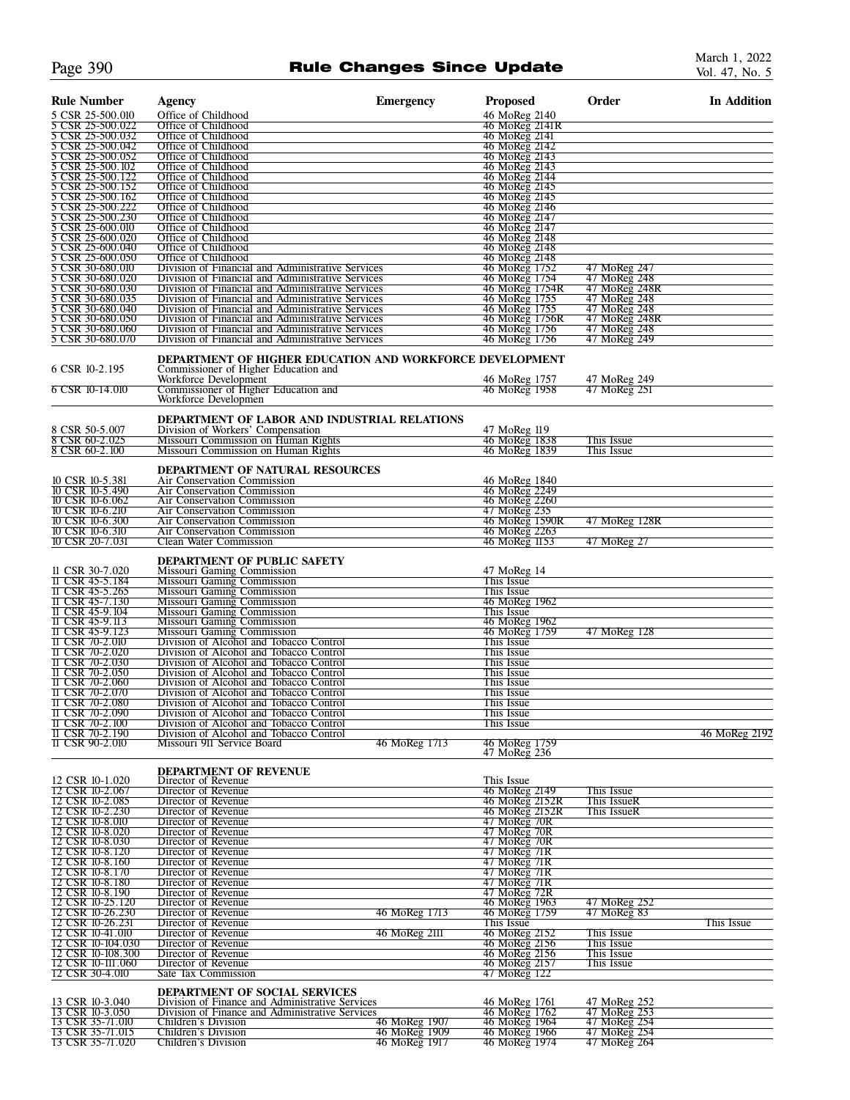### Page 390 **Rule Changes Since Update**

| <b>Rule Number</b>                      | <b>Agency</b>                                                                                          | <b>Emergency</b> | <b>Proposed</b>                 | Order                         | <b>In Addition</b> |
|-----------------------------------------|--------------------------------------------------------------------------------------------------------|------------------|---------------------------------|-------------------------------|--------------------|
| 5 CSR 25-500.010                        | Office of Childhood                                                                                    |                  | 46 MoReg 2140                   |                               |                    |
| CSR 25-500.022<br>5 CSR 25-500.032      | Office of Childhood<br>Office of Childhood                                                             |                  | 46 MoReg 2141R<br>46 MoReg 2141 |                               |                    |
| 5 CSR 25-500.042                        | Office of Childhood                                                                                    |                  | 46 MoReg 2142                   |                               |                    |
| 5 CSR 25-500.052                        | Office of Childhood                                                                                    |                  | 46 MoReg 2143                   |                               |                    |
| 5 CSR 25-500.102                        | Office of Childhood<br>Office of Childhood                                                             |                  | 46 MoReg 2143<br>46 MoReg 2144  |                               |                    |
| 5 CSR 25-500.122<br>5 CSR 25-500.152    | Office of Childhood                                                                                    |                  | 46 MoReg 2145                   |                               |                    |
| 5 CSR 25-500.162<br>CSR 25-500.222      | Office of Childhood<br>Office of Childhood                                                             |                  | 46 MoReg 2145<br>46 MoReg 2146  |                               |                    |
| 5 CSR 25-500.230                        | Office of Childhood                                                                                    |                  | 46 MoReg 2147                   |                               |                    |
| 5 CSR 25-600.010                        | Office of Childhood                                                                                    |                  | 46 MoReg 2147<br>46 MoReg 2148  |                               |                    |
| 5 CSR 25-600.020<br>3<br>CSR 25-600.040 | Office of Childhood<br>Office of Childhood                                                             |                  | 46 MoReg 2148                   |                               |                    |
| 5 CSR 25-600.050                        | Office of Childhood                                                                                    |                  | 46 MoReg 2148                   |                               |                    |
| CSR 30-680.010<br>5 CSR 30-680.020      | Division of Financial and Administrative Services<br>Division of Financial and Administrative Services |                  | 46 MoReg 1752<br>46 MoReg 1754  | 47 MoReg 247<br>47 MoReg 248  |                    |
| 5 CSR 30-680.030                        | Division of Financial and Administrative Services                                                      |                  | 46 MoReg 1754R                  | 47 MoReg 248R                 |                    |
| 5 CSR 30-680.035<br>5 CSR 30-680.040    | Division of Financial and Administrative Services                                                      |                  | 46 MoReg 1755                   | 47 MoReg 248                  |                    |
| 5 CSR 30-680.050                        | Division of Financial and Administrative Services<br>Division of Financial and Administrative Services |                  | 46 MoReg 1755<br>46 MoReg 1756R | 47 MoReg 248<br>47 MoReg 248R |                    |
| 5 CSR 30-680.060                        | Division of Financial and Administrative Services                                                      |                  | 46 MoReg 1756                   | 47 MoReg 248                  |                    |
| 5 CSR 30-680.070                        | Division of Financial and Administrative Services                                                      |                  | 46 MoReg 1756                   | 47 MoReg 249                  |                    |
|                                         | <b>DEPARTMENT OF HIGHER EDUCATION AND WORKFORCE DEVELOPMENT</b>                                        |                  |                                 |                               |                    |
| 6 CSR 10-2.195                          | Commissioner of Higher Education and<br>Workforce Development                                          |                  | 46 MoReg 1757                   | 47 MoReg 249                  |                    |
| 6 CSR 10-14.010                         | Commissioner of Higher Education and                                                                   |                  | 46 MoReg 1958                   | 47 MoReg 251                  |                    |
|                                         | Workforce Developmen                                                                                   |                  |                                 |                               |                    |
| 8 CSR 50-5.007                          | <b>DEPARTMENT OF LABOR AND INDUSTRIAL RELATIONS</b><br>Division of Workers' Compensation               |                  |                                 |                               |                    |
| 8 CSR 60-2.025                          | Missouri Commission on Human Rights                                                                    |                  | 47 MoReg 119<br>46 MoReg 1838   | This Issue                    |                    |
| 8 CSR 60-2.100                          | Missouri Commission on Human Rights                                                                    |                  | 46 MoReg 1839                   | This Issue                    |                    |
|                                         | <b>DEPARTMENT OF NATURAL RESOURCES</b>                                                                 |                  |                                 |                               |                    |
| 10 CSR 10-5.381                         | Air Conservation Commission                                                                            |                  | 46 MoReg 1840                   |                               |                    |
| 10 CSR 10-5.490<br>10 CSR 10-6.062      | Air Conservation Commission<br>Air Conservation Commission                                             |                  | 46 MoReg 2249<br>46 MoReg 2260  |                               |                    |
| 10 CSR 10-6.210                         | Air Conservation Commission                                                                            |                  | 47 MoReg 235                    |                               |                    |
| 10 CSR 10-6.300                         | Air Conservation Commission                                                                            |                  | 46 MoReg 1590R                  | 47 MoReg 128R                 |                    |
| 10 CSR 10-6.310<br>10 CSR 20-7.031      | Air Conservation Commission<br><b>Clean Water Commission</b>                                           |                  | 46 MoReg 2263<br>46 MoReg 1153  | 47 MoReg 27                   |                    |
|                                         |                                                                                                        |                  |                                 |                               |                    |
| 11 CSR 30-7.020                         | <b>DEPARTMENT OF PUBLIC SAFETY</b><br>Missouri Gaming Commission                                       |                  | 47 MoReg 14                     |                               |                    |
| 11 CSR 45-5.184                         | Missouri Gaming Commission                                                                             |                  | This Issue                      |                               |                    |
| 11 CSR 45-5.265<br>11 CSR 45-7.130      | <b>Missouri Gaming Commission</b><br>Missouri Gaming Commission                                        |                  | This Issue<br>46 MoReg 1962     |                               |                    |
| 11 CSR 45-9.104                         | Missouri Gaming Commission                                                                             |                  | This Issue                      |                               |                    |
| 11 CSR 45-9.113<br>II CSR 45-9.123      | <b>Missouri Gaming Commission</b><br>Missouri Gaming Commission                                        |                  | 46 MoReg 1962<br>46 MoReg 1759  | 47 MoReg 128                  |                    |
| 11 CSR 70-2.010                         | Division of Alcohol and Tobacco Control                                                                |                  | This Issue                      |                               |                    |
| 11 CSR 70-2.020                         | Division of Alcohol and Tobacco Control                                                                |                  | This Issue                      |                               |                    |
| 11 CSR 70-2.030<br>11 CSR 70-2.050      | Division of Alcohol and Tobacco Control<br>Division of Alcohol and Tobacco Control                     |                  | This Issue<br>This Issue        |                               |                    |
| <b>II CSR 70-2.060</b>                  | Division of Alcohol and Tobacco Control                                                                |                  | This Issue                      |                               |                    |
| 11 CSR 70-2.070<br>11 CSR 70-2.080      | Division of Alcohol and Tobacco Control<br>Division of Alcohol and Tobacco Control                     |                  | This Issue<br>This Issue        |                               |                    |
| II CSR 70-2.090                         | Division of Alcohol and Tobacco Control                                                                |                  | This Issue                      |                               |                    |
| 11 CSR 70-2.100                         | Division of Alcohol and Tobacco Control                                                                |                  | This Issue                      |                               |                    |
| II CSR 70-2.190<br>11 CSR 90-2.010      | Division of Alcohol and Tobacco Control<br>Missouri 911 Service Board                                  | 46 MoReg 1713    |                                 |                               | 46 MoReg 2192      |
|                                         |                                                                                                        |                  | 46 MoReg 1759<br>47 MoReg 236   |                               |                    |
|                                         | DEPARTMENT OF REVENUE                                                                                  |                  |                                 |                               |                    |
| 12 CSR 10-1.020<br>12 CSR 10-2.067      | Director of Revenue<br>Director of Revenue                                                             |                  | This Issue<br>46 MoReg 2149     | This Issue                    |                    |
| 12 CSR 10-2.085                         | Director of Revenue                                                                                    |                  | 46 MoReg 2152R                  | This IssueR                   |                    |
| 12 CSR 10-2.230<br>12 CSR 10-8.010      | Director of Revenue<br>Director of Revenue                                                             |                  | 46 MoReg 2152R<br>47 MoReg 70R  | This IssueR                   |                    |
| 12 CSR 10-8.020                         | Director of Revenue                                                                                    |                  | 47 MoReg 70R                    |                               |                    |
| 12 CSR 10-8.030                         | Director of Revenue                                                                                    |                  | 47 MoReg 70R                    |                               |                    |
| 12 CSR 10-8.120<br>12 CSR 10-8.160      | Director of Revenue<br>Director of Revenue                                                             |                  | 47 MoReg 71R<br>47 MoReg 71R    |                               |                    |
| 12 CSR 10-8.170                         | Director of Revenue                                                                                    |                  | 47 MoReg 71R<br>47 MoReg 71R    |                               |                    |
| 12 CSR 10-8.180<br>12 CSR 10-8.190      | Director of Revenue<br>Director of Revenue                                                             |                  | 47 MoReg 72R                    |                               |                    |
| 12 CSR 10-25.120                        | Director of Revenue                                                                                    |                  | 46 MoReg 1963                   | 47 MoReg 252                  |                    |
| 12 CSR 10-26.230<br>12 CSR 10-26.231    | Director of Revenue<br>Director of Revenue                                                             | 46 MoReg 1713    | 46 MoReg 1759<br>This Issue     | 47 MoReg 83                   | This Issue         |
| 12 CSR 10-41.010                        | Director of Revenue                                                                                    | 46 MoReg 2111    | 46 MoReg 2152                   | This Issue                    |                    |
| 12 CSR 10-104.030                       | Director of Revenue                                                                                    |                  | 46 MoReg 2156<br>46 MoReg 2156  | This Issue                    |                    |
| 12 CSR 10-108.300<br>12 CSR 10-111.060  | Director of Revenue<br>Director of Revenue                                                             |                  | 46 MoReg 2157                   | This Issue<br>This Issue      |                    |
| 12 CSR 30-4.010                         | Sate Tax Commission                                                                                    |                  | 47 MoReg 122                    |                               |                    |
|                                         | DEPARTMENT OF SOCIAL SERVICES                                                                          |                  |                                 |                               |                    |
| 13 CSR 10-3.040<br>13 CSR 10-3.050      | Division of Finance and Administrative Services<br>Division of Finance and Administrative Services     |                  | 46 MoReg 1761<br>46 MoReg 1762  | 47 MoReg 252<br>47 MoReg 253  |                    |
|                                         | <b>Children's Division</b>                                                                             | 46 MoReg 1907    | 46 MoReg 1964                   | 47 MoReg 254                  |                    |
| 13 CSR 35-71.010<br>13 CSR 35-71.015    | Children's Division<br>Children's Division                                                             | 46 MoReg 1909    | 46 MoReg 1966                   | 47 MoReg 254                  |                    |
| 13 CSR 35-71.020                        |                                                                                                        | 46 MoReg 1917    | 46 MoReg 1974                   | 47 MoReg 264                  |                    |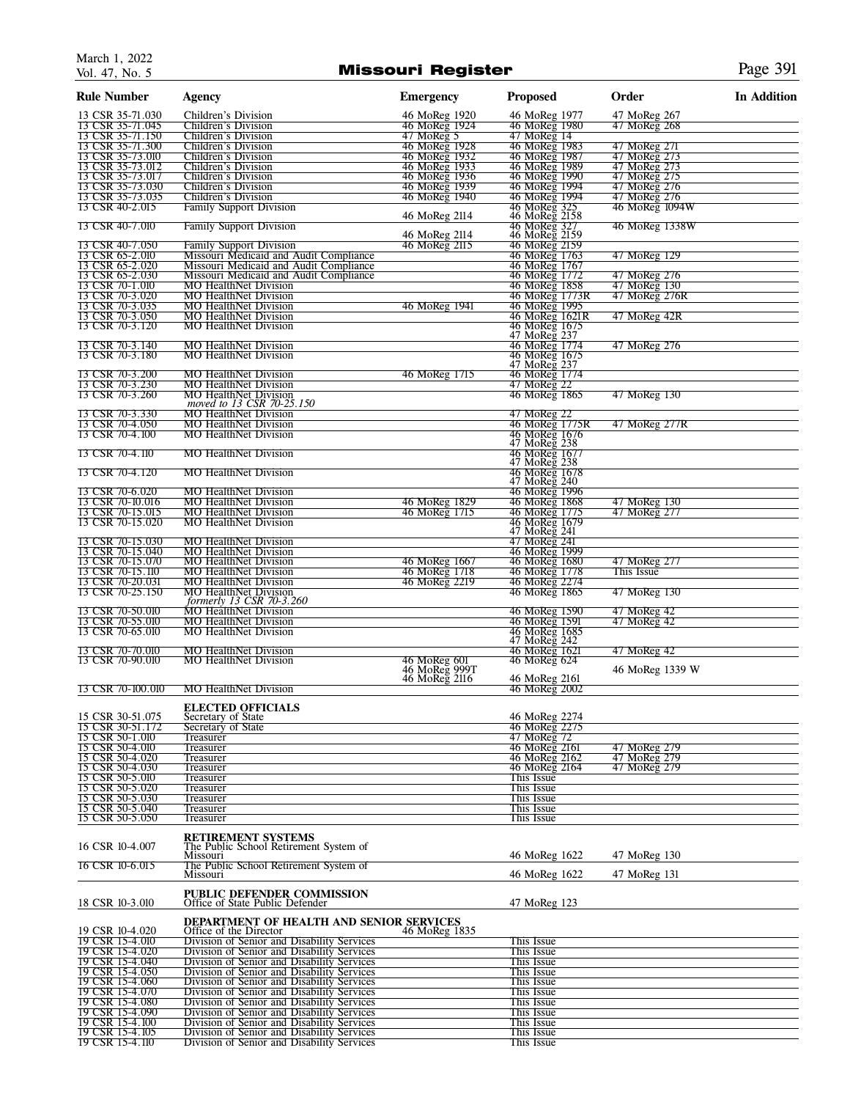### Missouri Register Page 391

| <b>Rule Number</b>                   | <b>Agency</b>                                                                            | <b>Emergency</b>                               | <b>Proposed</b>                 | Order                          | <b>In Addition</b> |
|--------------------------------------|------------------------------------------------------------------------------------------|------------------------------------------------|---------------------------------|--------------------------------|--------------------|
| 13 CSR 35-71.030                     | Children's Division                                                                      | 46 MoReg 1920                                  | 46 MoReg 1977                   | 47 MoReg 267                   |                    |
| 13 CSR 35-71.045<br>13 CSR 35-71.150 | Children's Division<br><b>Children's Division</b>                                        | 46 MoReg 1924<br>$47$ MoReg 5                  | 46 MoReg 1980<br>47 MoReg 14    | 47 MoReg 268                   |                    |
| 13 CSR 35-71.300                     | <b>Children's Division</b>                                                               | 46 MoReg 1928                                  | 46 MoReg 1983                   | 47 MoReg 271                   |                    |
| 13 CSR 35-73.010<br>13 CSR 35-73.012 | Children's Division<br>Children's Division                                               | 46 MoReg 1932<br>46 MoReg 1933                 | 46 MoReg 1987<br>46 MoReg 1989  | 47 MoReg 273<br>47 MoReg 273   |                    |
| 13 CSR 35-73.017                     | Children's Division                                                                      | 46 MoReg 1936                                  | 46 MoReg 1990                   | 47 MoReg 275                   |                    |
| 13 CSR 35-73.030                     | Children's Division                                                                      | 46 MoReg 1939                                  | 46 MoReg 1994                   | 47 MoReg 276                   |                    |
| 13 CSR 35-73.035<br>13 CSR 40-2.015  | Children's Division                                                                      | 46 MoReg 1940                                  | 46 MoReg 1994                   | 47 MoReg 276<br>46 MoReg 1094W |                    |
|                                      | Family Support Division                                                                  | 46 MoReg 2114                                  | 46 MoReg 325<br>46 MoReg 2158   |                                |                    |
| 13 CSR 40-7.010                      | <b>Family Support Division</b>                                                           | 46 MoReg 2114                                  | 46 MoReg 327<br>46 MoReg 2159   | 46 MoReg 1338W                 |                    |
| 13 CSR 40-7.050<br>13 CSR 65-2.010   | <b>Family Support Division</b><br>Missouri Medicaid and Audit Compliance                 | 46 MoReg 2115                                  | 46 MoReg 2159<br>46 MoReg 1763  | 47 MoReg 129                   |                    |
| 13 CSR 65-2.020                      | Missouri Medicaid and Audit Compliance                                                   |                                                | 46 MoReg 1767                   |                                |                    |
| 13 CSR 65-2.030                      | Missouri Medicaid and Audit Compliance                                                   |                                                | 46 MoReg 1772                   | 47 MoReg 276                   |                    |
| 13 CSR 70-1.010<br>13 CSR 70-3.020   | <b>MO HealthNet Division</b><br><b>MO HealthNet Division</b>                             |                                                | 46 MoReg 1858<br>46 MoReg 1773R | 47 MoReg 130<br>47 MoReg 276R  |                    |
| 13 CSR 70-3.035                      | <b>MO HealthNet Division</b>                                                             | 46 MoReg 1941                                  | 46 MoReg 1995                   |                                |                    |
| 13 CSR 70-3.050                      | <b>MO HealthNet Division</b>                                                             |                                                | 46 MoReg 1621R                  | 47 MoReg 42R                   |                    |
| 13 CSR 70-3.120                      | <b>MO HealthNet Division</b>                                                             |                                                | 46 MoReg 1675<br>47 MoReg 237   |                                |                    |
| 13 CSR 70-3.140                      | <b>MO</b> HealthNet Division                                                             |                                                | 46 MoReg 1774                   | 47 MoReg 276                   |                    |
| 13 CSR 70-3.180                      | <b>MO</b> HealthNet Division                                                             |                                                | 46 MoReg 1675<br>47 MoReg 237   |                                |                    |
| 13 CSR 70-3.200                      | <b>MO</b> HealthNet Division                                                             | 46 MoReg 1715                                  | 46 MoReg 1774                   |                                |                    |
| 13 CSR 70-3.230<br>13 CSR 70-3.260   | <b>MO HealthNet Division</b>                                                             |                                                | 47 MoReg 22                     |                                |                    |
|                                      | <b>MO</b> HealthNet Division<br>moved to 13 CSR 70-25.150                                |                                                | 46 MoReg 1865                   | 47 MoReg 130                   |                    |
| 13 CSR 70-3.330                      | <b>MO HealthNet Division</b>                                                             |                                                | 47 MoReg 22                     |                                |                    |
| 13 CSR 70-4.050<br>13 CSR 70-4.100   | <b>MO HealthNet Division</b><br><b>MO HealthNet Division</b>                             |                                                | 46 MoReg 1775R<br>46 MoReg 1676 | 47 MoReg 277R                  |                    |
|                                      |                                                                                          |                                                | 47 MoReg 238<br>46 MoReg 1677   |                                |                    |
| 13 CSR 70-4.110                      | <b>MO HealthNet Division</b>                                                             |                                                |                                 |                                |                    |
| 13 CSR 70-4.120                      | <b>MO HealthNet Division</b>                                                             |                                                | 47 MoReg 238                    |                                |                    |
|                                      |                                                                                          |                                                | 46 MoReg 1678<br>47 MoReg 240   |                                |                    |
| 13 CSR 70-6.020<br>13 CSR 70-10.016  | <b>MO</b> HealthNet Division<br><b>MO HealthNet Division</b>                             | 46 MoReg 1829                                  | 46 MoReg 1996                   | 47 MoReg 130                   |                    |
| 13 CSR 70-15.015                     | <b>MO</b> HealthNet Division                                                             | 46 MoReg 1715                                  | 46 MoReg 1868<br>46 MoReg 1775  | 47 MoReg 277                   |                    |
| 13 CSR 70-15.020                     | <b>MO HealthNet Division</b>                                                             |                                                | 46 MoReg 1679<br>47 MoReg 241   |                                |                    |
| 13 CSR 70-15.030                     | <b>MO</b> HealthNet Division                                                             |                                                | 47 MoReg 241                    |                                |                    |
| 13 CSR 70-15.040                     | <b>MO</b> HealthNet Division                                                             |                                                | 46 MoReg 1999                   |                                |                    |
| 13 CSR 70-15.070                     | <b>MO</b> HealthNet Division                                                             | 46 MoReg 1667                                  | 46 MoReg 1680                   | 47 MoReg 277                   |                    |
| 13 CSR 70-15.110<br>13 CSR 70-20.031 | <b>MO HealthNet Division</b><br><b>MO</b> HealthNet Division                             | 46 MoReg 1718<br>46 MoReg 2219                 | 46 MoReg 1778<br>46 MoReg 2274  | This Issue                     |                    |
| 13 CSR 70-25.150                     | <b>MO HealthNet Division</b>                                                             |                                                | 46 MoReg 1865                   | 47 MoReg 130                   |                    |
| 13 CSR 70-50.010                     | formerly 13 CSR 70-3.260<br><b>MO HealthNet Division</b>                                 |                                                | 46 MoReg 1590                   | 47 MoReg 42                    |                    |
| 13 CSR 70-55.010                     | MO HealthNet Division                                                                    |                                                | 46 MoReg 1591                   | 47 MoReg 42                    |                    |
| 13 CSR 70-65.010                     | <b>MO</b> HealthNet Division                                                             |                                                | 46 MoReg 1685<br>47 MoReg 242   |                                |                    |
| 13 CSR 70-70.010                     | <b>MO</b> HealthNet Division                                                             |                                                | 46 MoReg 1621                   | 47 MoReg 42                    |                    |
| 13 CSR 70-90.010                     | <b>MO</b> HealthNet Division                                                             |                                                | 46 MoReg 624                    |                                |                    |
|                                      |                                                                                          | 46 MoReg 601<br>46 MoReg 999T<br>46 MoReg 2116 | 46 MoReg 2161                   | 46 MoReg 1339 W                |                    |
| 13 CSR 70-100.010                    | <b>MO</b> HealthNet Division                                                             |                                                | 46 MoReg 2002                   |                                |                    |
|                                      | <b>ELECTED OFFICIALS</b>                                                                 |                                                |                                 |                                |                    |
| 15 CSR 30-51.075                     | Secretary of State                                                                       |                                                | 46 MoReg 2274                   |                                |                    |
| 15 CSR 30-51.172<br>15 CSR 50-1.010  | Secretary of State<br>Treasurer                                                          |                                                | 46 MoReg 2275<br>47 MoReg 72    |                                |                    |
| 15 CSR 50-4.010                      | Treasurer                                                                                |                                                | 46 MoReg 2161                   | 47 MoReg 279                   |                    |
| 15 CSR 50-4.020                      | Treasurer                                                                                |                                                | 46 MoReg 2162                   | 47 MoReg 279                   |                    |
| 15 CSR 50-4.030<br>15 CSR 50-5.010   | Treasurer<br>Treasurer                                                                   |                                                | 46 MoReg 2164<br>This Issue     | 47 MoReg 279                   |                    |
| 15 CSR 50-5.020                      | Treasurer                                                                                |                                                | This Issue                      |                                |                    |
| 15 CSR 50-5.030                      | Treasurer                                                                                |                                                | This Issue                      |                                |                    |
| 15 CSR 50-5.040<br>15 CSR 50-5.050   | Treasurer<br>Treasurer                                                                   |                                                | This Issue<br>This Issue        |                                |                    |
|                                      |                                                                                          |                                                |                                 |                                |                    |
| 16 CSR 10-4.007                      | <b>RETIREMENT SYSTEMS</b><br>The Public School Retirement System of                      |                                                |                                 |                                |                    |
|                                      | Missouri                                                                                 |                                                | 46 MoReg 1622                   | 47 MoReg 130                   |                    |
| 16 CSR 10-6.015                      | The Public School Retirement System of<br>Missouri                                       |                                                | 46 MoReg 1622                   | 47 MoReg 131                   |                    |
|                                      |                                                                                          |                                                |                                 |                                |                    |
| 18 CSR 10-3.010                      | <b>PUBLIC DEFENDER COMMISSION</b><br>Office of State Public Defender                     |                                                | 47 MoReg 123                    |                                |                    |
|                                      | DEPARTMENT OF HEALTH AND SENIOR SERVICES                                                 |                                                |                                 |                                |                    |
| 19 CSR 10-4.020                      | Office of the Director                                                                   | 46 MoReg 1835                                  |                                 |                                |                    |
| 19 CSR 15-4.010                      | Division of Senior and Disability Services                                               |                                                | This Issue                      |                                |                    |
| 19 CSR 15-4.020<br>19 CSR 15-4.040   | Division of Senior and Disability Services<br>Division of Senior and Disability Services |                                                | This Issue<br>This Issue        |                                |                    |
| 19 CSR 15-4.050                      | Division of Senior and Disability Services                                               |                                                | This Issue                      |                                |                    |
| 19 CSR 15-4.060<br>19 CSR 15-4.070   | Division of Senior and Disability Services<br>Division of Senior and Disability Services |                                                | This Issue                      |                                |                    |
| 19 CSR 15-4.080                      | Division of Senior and Disability Services                                               |                                                | This Issue<br>This Issue        |                                |                    |
| 19 CSR 15-4.090                      | Division of Senior and Disability Services                                               |                                                | This Issue                      |                                |                    |
| 19 CSR 15-4.100<br>19 CSR 15-4.105   | Division of Senior and Disability Services<br>Division of Senior and Disability Services |                                                | This Issue<br>This Issue        |                                |                    |
| 19 CSR 15-4.110                      | Division of Senior and Disability Services                                               |                                                | This Issue                      |                                |                    |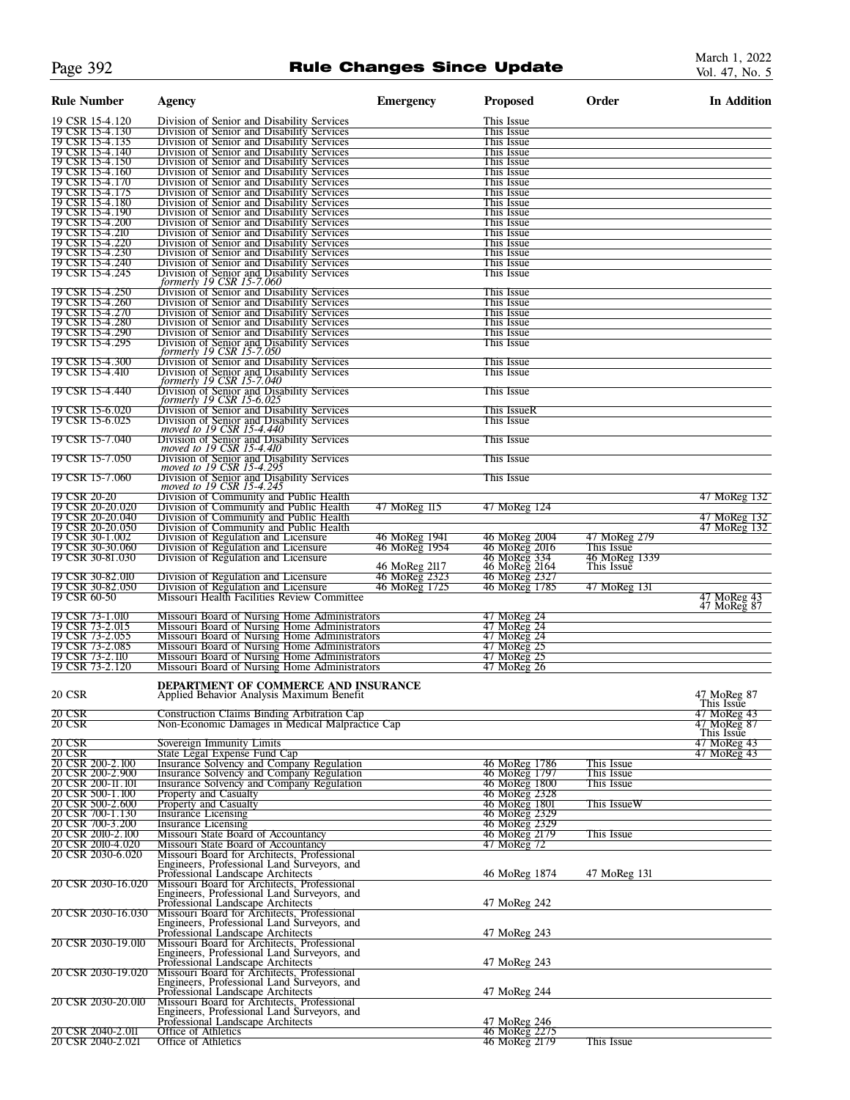### Page 392 **Rule Changes Since Update**

| <b>Rule Number</b>                    | <b>Agency</b>                                                                                                                   | <b>Emergency</b>               | <b>Proposed</b>                | Order                      | <b>In Addition</b>         |
|---------------------------------------|---------------------------------------------------------------------------------------------------------------------------------|--------------------------------|--------------------------------|----------------------------|----------------------------|
| 19 CSR 15-4.120                       | Division of Senior and Disability Services                                                                                      |                                | This Issue                     |                            |                            |
| 19 CSR 15-4.130                       | Division of Senior and Disability Services                                                                                      |                                | This Issue                     |                            |                            |
| 19 CSR 15-4.135<br>19 CSR 15-4.140    | Division of Senior and Disability Services<br>Division of Senior and Disability Services                                        |                                | This Issue<br>This Issue       |                            |                            |
| 19 CSR 15-4.150                       | Division of Senior and Disability Services                                                                                      |                                | This Issue                     |                            |                            |
| 19 CSR 15-4.160                       | Division of Senior and Disability Services                                                                                      |                                | This Issue                     |                            |                            |
| 19 CSR 15-4.170<br>19 CSR 15-4.175    | Division of Senior and Disability Services<br>Division of Senior and Disability Services                                        |                                | This Issue<br>This Issue       |                            |                            |
| 19 CSR 15-4.180                       | Division of Senior and Disability Services                                                                                      |                                | This Issue                     |                            |                            |
| 19 CSR 15-4.190                       | Division of Senior and Disability Services                                                                                      |                                | This Issue                     |                            |                            |
| 19 CSR 15-4.200<br>19 CSR 15-4.210    | Division of Senior and Disability Services<br>Division of Senior and Disability Services                                        |                                | This Issue<br>This Issue       |                            |                            |
| 19 CSR 15-4.220                       | Division of Senior and Disability Services                                                                                      |                                | This Issue                     |                            |                            |
| 19 CSR 15-4.230                       | Division of Senior and Disability Services                                                                                      |                                | This Issue                     |                            |                            |
| 19 CSR 15-4.240<br>19 CSR 15-4.245    | Division of Senior and Disability Services<br>Division of Senior and Disability Services                                        |                                | This Issue<br>This Issue       |                            |                            |
|                                       | formerly 19 CSR 15-7.060                                                                                                        |                                |                                |                            |                            |
| 19 CSR 15-4.250                       | Division of Senior and Disability Services                                                                                      |                                | This Issue                     |                            |                            |
| 19 CSR 15-4.260<br>19 CSR 15-4.270    | Division of Senior and Disability Services<br>Division of Senior and Disability Services                                        |                                | This Issue<br>This Issue       |                            |                            |
| 19 CSR 15-4.280                       | Division of Senior and Disability Services                                                                                      |                                | This Issue                     |                            |                            |
| 19 CSR 15-4.290                       | Division of Senior and Disability Services                                                                                      |                                | This Issue                     |                            |                            |
| 19 CSR 15-4.295                       | Division of Senior and Disability Services<br>formerly 19 CSR 15-7.050                                                          |                                | This Issue                     |                            |                            |
| 19 CSR 15-4.300                       | Division of Senior and Disability Services                                                                                      |                                | This Issue                     |                            |                            |
| 19 CSR 15-4.410                       | Division of Senior and Disability Services<br>formerly 19 CSR 15-7.040                                                          |                                | This Issue                     |                            |                            |
| 19 CSR 15-4.440                       | Division of Senior and Disability Services                                                                                      |                                | This Issue                     |                            |                            |
|                                       | formerly 19 CSR 15-6.025                                                                                                        |                                |                                |                            |                            |
| 19 CSR 15-6.020                       | Division of Senior and Disability Services                                                                                      |                                | This IssueR                    |                            |                            |
| 19 CSR 15-6.025                       | Division of Senior and Disability Services                                                                                      |                                | This Issue                     |                            |                            |
| 19 CSR 15-7.040                       | moved to 19 CSR 15-4.440<br>Division of Senior and Disability Services<br>moved to 19 CSR 15-4.410                              |                                | This Issue                     |                            |                            |
| 19 CSR 15-7.050                       |                                                                                                                                 |                                | This Issue                     |                            |                            |
|                                       | Division of Senior and Disability Services<br>moved to 19 CSR 15-4.295                                                          |                                |                                |                            |                            |
| 19 CSR 15-7.060                       | Division of Senior and Disability Services<br>moved to 19 CSR 15-4.245                                                          |                                | This Issue                     |                            |                            |
| 19 CSR 20-20                          | Division of Community and Public Health                                                                                         |                                |                                |                            | 47 MoReg 132               |
| 19 CSR 20-20.020                      | Division of Community and Public Health                                                                                         | 47 MoReg 115                   | 47 MoReg 124                   |                            |                            |
| 19 CSR 20-20.040                      | Division of Community and Public Health                                                                                         |                                |                                |                            | 47 MoReg 132               |
| 19 CSR 20-20.050                      | Division of Community and Public Health                                                                                         |                                |                                |                            | 47 MoReg 132               |
| 19 CSR 30-1.002<br>19 CSR 30-30.060   | Division of Regulation and Licensure<br>Division of Regulation and Licensure                                                    | 46 MoReg 1941<br>46 MoReg 1954 | 46 MoReg 2004<br>46 MoReg 2016 | 47 MoReg 279<br>This Issue |                            |
| 19 CSR 30-81.030                      | Division of Regulation and Licensure                                                                                            |                                | 46 MoReg 334                   | 46 MoReg 1339              |                            |
|                                       |                                                                                                                                 | 46 MoReg 2117                  | 46 MoReg 2164                  | This Issue                 |                            |
| 19 CSR 30-82.010<br>19 CSR 30-82.050  | Division of Regulation and Licensure<br>Division of Regulation and Licensure                                                    | 46 MoReg 2323<br>46 MoReg 1725 | 46 MoReg 2327<br>46 MoReg 1785 | 47 MoReg 131               |                            |
| 19 CSR 60-50                          | Missouri Health Facilities Review Committee                                                                                     |                                |                                |                            | 47 MoReg 43<br>47 MoReg 87 |
| 19 CSR 73-1.010                       | Missouri Board of Nursing Home Administrators                                                                                   |                                | 47 MoReg 24                    |                            |                            |
| 19 CSR 73-2.015                       | Missouri Board of Nursing Home Administrators                                                                                   |                                | 47 MoReg 24                    |                            |                            |
| 19 CSR 73-2.055                       | Missouri Board of Nursing Home Administrators                                                                                   |                                | 47 MoReg 24                    |                            |                            |
| 19 CSR 73-2.085                       | Missouri Board of Nursing Home Administrators                                                                                   |                                | 47 MoReg 25                    |                            |                            |
| 19 CSR 73-2.110<br>19 CSR 73-2.120    | Missouri Board of Nursing Home Administrators<br>Missouri Board of Nursing Home Administrators                                  |                                | 47 MoReg 25<br>47 MoReg 26     |                            |                            |
|                                       |                                                                                                                                 |                                |                                |                            |                            |
| 20 CSR                                | DEPARTMENT OF COMMERCE AND INSURANCE                                                                                            |                                |                                |                            |                            |
|                                       | Applied Behavior Analysis Maximum Benefit                                                                                       |                                |                                |                            | 47 MoReg 87<br>This Issue  |
| 20 CSR                                | <b>Construction Claims Binding Arbitration Cap</b>                                                                              |                                |                                |                            | 47 MoReg 43                |
| 20 CSR                                | Non-Economic Damages in Medical Malpractice Cap                                                                                 |                                |                                |                            | 47 MoReg 87                |
| 20 CSR                                | Sovereign Immunity Limits                                                                                                       |                                |                                |                            | This Issue<br>47 MoReg 43  |
| 20 CSR                                | State Legal Expense Fund Cap                                                                                                    |                                |                                |                            | 47 MoReg 43                |
| 20 CSR 200-2.100                      | Insurance Solvency and Company Regulation                                                                                       |                                | 46 MoReg 1786                  | This Issue                 |                            |
| 20 CSR 200-2.900<br>20 CSR 200-11.101 | Insurance Solvency and Company Regulation<br>Insurance Solvency and Company Regulation                                          |                                | 46 MoReg 1797<br>46 MoReg 1800 | This Issue<br>This Issue   |                            |
| 20 CSR 500-1.100                      | Property and Casualty                                                                                                           |                                | 46 MoReg 2328                  |                            |                            |
| 20 CSR 500-2.600                      | <b>Property and Casualty</b>                                                                                                    |                                | 46 MoReg 1801                  | This IssueW                |                            |
| 20 CSR 700-1.130<br>20 CSR 700-3.200  | <b>Insurance Licensing</b><br>Insurance Licensing                                                                               |                                | 46 MoReg 2329<br>46 MoReg 2329 |                            |                            |
| 20 CSR 2010-2.100                     | Missouri State Board of Accountancy                                                                                             |                                | 46 MoReg 2179                  | This Issue                 |                            |
| 20 CSR 2010-4.020                     | Missouri State Board of Accountancy                                                                                             |                                | 47 MoReg 72                    |                            |                            |
| 20 CSR 2030-6.020                     | Missouri Board for Architects, Professional<br>Engineers, Professional Land Surveyors, and                                      |                                |                                |                            |                            |
|                                       | Professional Landscape Architects                                                                                               |                                | 46 MoReg 1874                  | 47 MoReg 131               |                            |
| 20 CSR 2030-16.020                    | Missouri Board for Architects, Professional<br>Engineers, Professional Land Surveyors, and                                      |                                |                                |                            |                            |
|                                       | Professional Landscape Architects                                                                                               |                                | 47 MoReg 242                   |                            |                            |
| 20 CSR 2030-16.030                    |                                                                                                                                 |                                |                                |                            |                            |
|                                       | Missouri Board for Architects, Professional<br>Engineers, Professional Land Surveyors, and                                      |                                |                                |                            |                            |
|                                       | Professional Landscape Architects                                                                                               |                                | 47 MoReg 243                   |                            |                            |
| 20 CSR 2030-19.010                    | Missouri Board for Architects, Professional<br>Engineers, Professional Land Surveyors, and                                      |                                |                                |                            |                            |
|                                       | Professional Landscape Architects                                                                                               |                                | 47 MoReg 243                   |                            |                            |
| 20 CSR 2030-19.020                    | Missouri Board for Architects, Professional<br>Engineers, Professional Land Surveyors, and                                      |                                |                                |                            |                            |
|                                       |                                                                                                                                 |                                | 47 MoReg 244                   |                            |                            |
| 20 CSR 2030-20.010                    | Professional Landscape Architects<br>Missouri Board for Architects, Professional<br>Engineers, Professional Land Surveyors, and |                                |                                |                            |                            |
|                                       | Professional Landscape Architects                                                                                               |                                | 47 MoReg 246                   |                            |                            |
| 20 CSR 2040-2.011                     | Office of Athletics                                                                                                             |                                | 46 MoReg 2275                  |                            |                            |
| 20 CSR 2040-2.021                     | Office of Athletics                                                                                                             |                                | 46 MoReg 2179                  | This Issue                 |                            |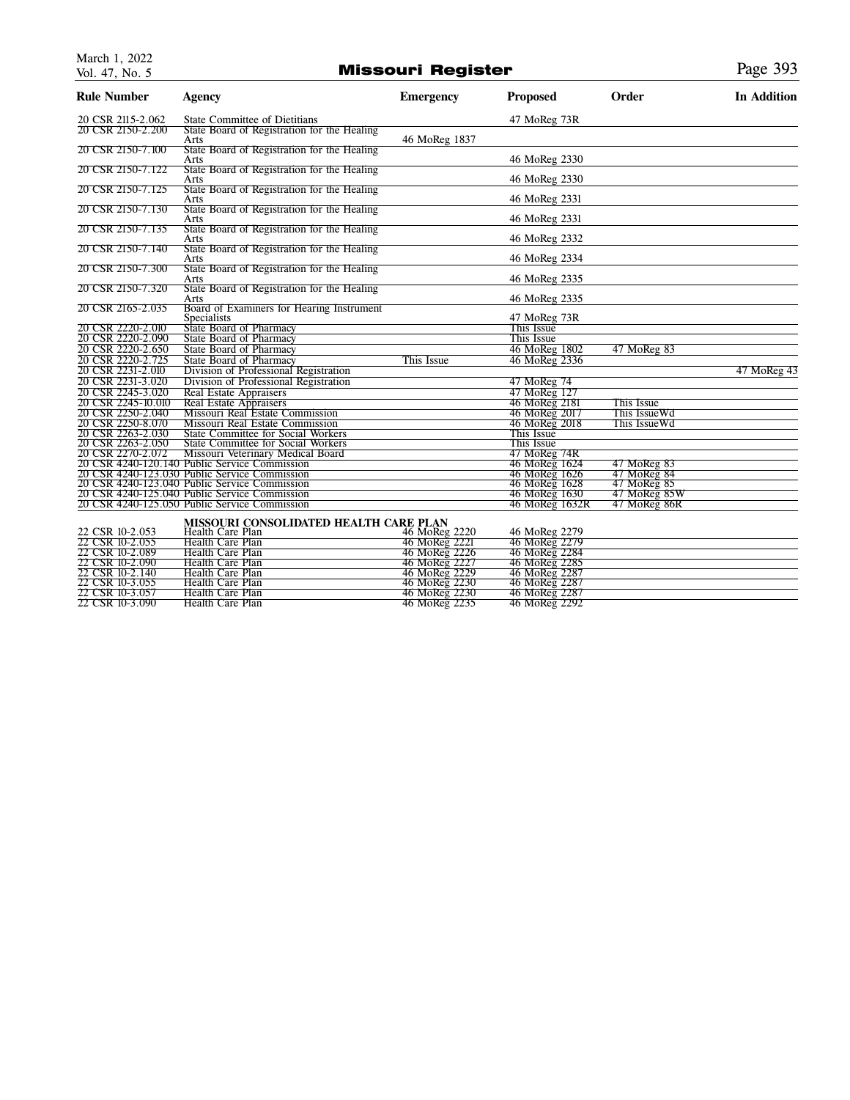### Missouri Register **Page 393**

| <b>Rule Number</b> | <b>Agency</b>                                       | <b>Emergency</b> | <b>Proposed</b> | Order        | <b>In Addition</b> |
|--------------------|-----------------------------------------------------|------------------|-----------------|--------------|--------------------|
| 20 CSR 2115-2.062  | State Committee of Dietitians                       |                  | 47 MoReg 73R    |              |                    |
| 20 CSR 2150-2.200  | State Board of Registration for the Healing         |                  |                 |              |                    |
| 20 CSR 2150-7.100  | Arts<br>State Board of Registration for the Healing | 46 MoReg 1837    |                 |              |                    |
|                    | Arts                                                |                  | 46 MoReg 2330   |              |                    |
| 20 CSR 2150-7.122  | State Board of Registration for the Healing         |                  |                 |              |                    |
|                    | Arts                                                |                  | 46 MoReg 2330   |              |                    |
| 20 CSR 2150-7.125  | State Board of Registration for the Healing<br>Arts |                  | 46 MoReg 2331   |              |                    |
| 20 CSR 2150-7.130  | State Board of Registration for the Healing         |                  |                 |              |                    |
|                    | Arts                                                |                  | 46 MoReg 2331   |              |                    |
| 20 CSR 2150-7.135  | State Board of Registration for the Healing         |                  |                 |              |                    |
| 20 CSR 2150-7.140  | Arts<br>State Board of Registration for the Healing |                  | 46 MoReg 2332   |              |                    |
|                    | Arts                                                |                  | 46 MoReg 2334   |              |                    |
| 20 CSR 2150-7.300  | State Board of Registration for the Healing         |                  |                 |              |                    |
|                    | Arts                                                |                  | 46 MoReg 2335   |              |                    |
| 20 CSR 2150-7.320  | State Board of Registration for the Healing<br>Arts |                  | 46 MoReg 2335   |              |                    |
| 20 CSR 2165-2.035  | Board of Examiners for Hearing Instrument           |                  |                 |              |                    |
|                    | <b>Specialists</b>                                  |                  | 47 MoReg 73R    |              |                    |
| 20 CSR 2220-2.010  | State Board of Pharmacy                             |                  | This Issue      |              |                    |
| 20 CSR 2220-2.090  | State Board of Pharmacy                             |                  | This Issue      |              |                    |
| 20 CSR 2220-2.650  | <b>State Board of Pharmacy</b>                      |                  | 46 MoReg 1802   | 47 MoReg 83  |                    |
| 20 CSR 2220-2.725  | <b>State Board of Pharmacy</b>                      | This Issue       | 46 MoReg 2336   |              |                    |
| 20 CSR 2231-2.010  | Division of Professional Registration               |                  |                 |              | 47 MoReg 43        |
| 20 CSR 2231-3.020  | Division of Professional Registration               |                  | 47 MoReg 74     |              |                    |
| 20 CSR 2245-3.020  | <b>Real Estate Appraisers</b>                       |                  | 47 MoReg 127    |              |                    |
| 20 CSR 2245-10.010 | Real Estate Appraisers                              |                  | 46 MoReg 2181   | This Issue   |                    |
| 20 CSR 2250-2.040  | Missouri Real Estate Commission                     |                  | 46 MoReg 2017   | This IssueWd |                    |
| 20 CSR 2250-8.070  | Missouri Real Estate Commission                     |                  | 46 MoReg 2018   | This IssueWd |                    |
| 20 CSR 2263-2.030  | <b>State Committee for Social Workers</b>           |                  | This Issue      |              |                    |
| 20 CSR 2263-2.050  | <b>State Committee for Social Workers</b>           |                  | This Issue      |              |                    |
| 20 CSR 2270-2.072  | Missouri Veterinary Medical Board                   |                  | 47 MoReg 74R    |              |                    |
|                    | 20 CSR 4240-120.140 Public Service Commission       |                  | 46 MoReg 1624   | 47 MoReg 83  |                    |
|                    | 20 CSR 4240-123.030 Public Service Commission       |                  | 46 MoReg 1626   | 47 MoReg 84  |                    |
|                    | 20 CSR 4240-123.040 Public Service Commission       |                  | 46 MoReg 1628   | 47 MoReg 85  |                    |
|                    | 20 CSR 4240-125.040 Public Service Commission       |                  | 46 MoReg 1630   | 47 MoReg 85W |                    |
|                    | 20 CSR 4240-125.050 Public Service Commission       |                  | 46 MoReg 1632R  | 47 MoReg 86R |                    |
|                    | MISSOURI CONSOLIDATED HEALTH CARE PLAN              |                  |                 |              |                    |
| 22 CSR 10-2.053    | Health Care Plan                                    | 46 MoReg 2220    | 46 MoReg 2279   |              |                    |
| 22 CSR 10-2.055    | Health Care Plan                                    | 46 MoReg 2221    | 46 MoReg 2279   |              |                    |
| 22 CSR 10-2.089    | <b>Health Care Plan</b>                             | 46 MoReg 2226    | 46 MoReg 2284   |              |                    |

| 22 CSR 10-2.055 | <b>Health Care Plan</b> | 46 MoReg 2221 | 46 MoReg 2279 |
|-----------------|-------------------------|---------------|---------------|
| 22 CSR 10-2.089 | <b>Health Care Plan</b> | 46 MoReg 2226 | 46 MoReg 2284 |
| 22 CSR 10-2.090 | Health Care Plan        | 46 MoReg 2227 | 46 MoReg 2285 |
| 22 CSR 10-2.140 | <b>Health Care Plan</b> | 46 MoReg 2229 | 46 MoReg 2287 |
| 22 CSR 10-3.055 | Health Care Plan        | 46 MoReg 2230 | 46 MoReg 2287 |
| 22 CSR 10-3.057 | <b>Health Care Plan</b> | 46 MoReg 2230 | 46 MoReg 2287 |
| 22 CSR 10-3.090 | <b>Health Care Plan</b> | 46 MoReg 2235 | 46 MoReg 2292 |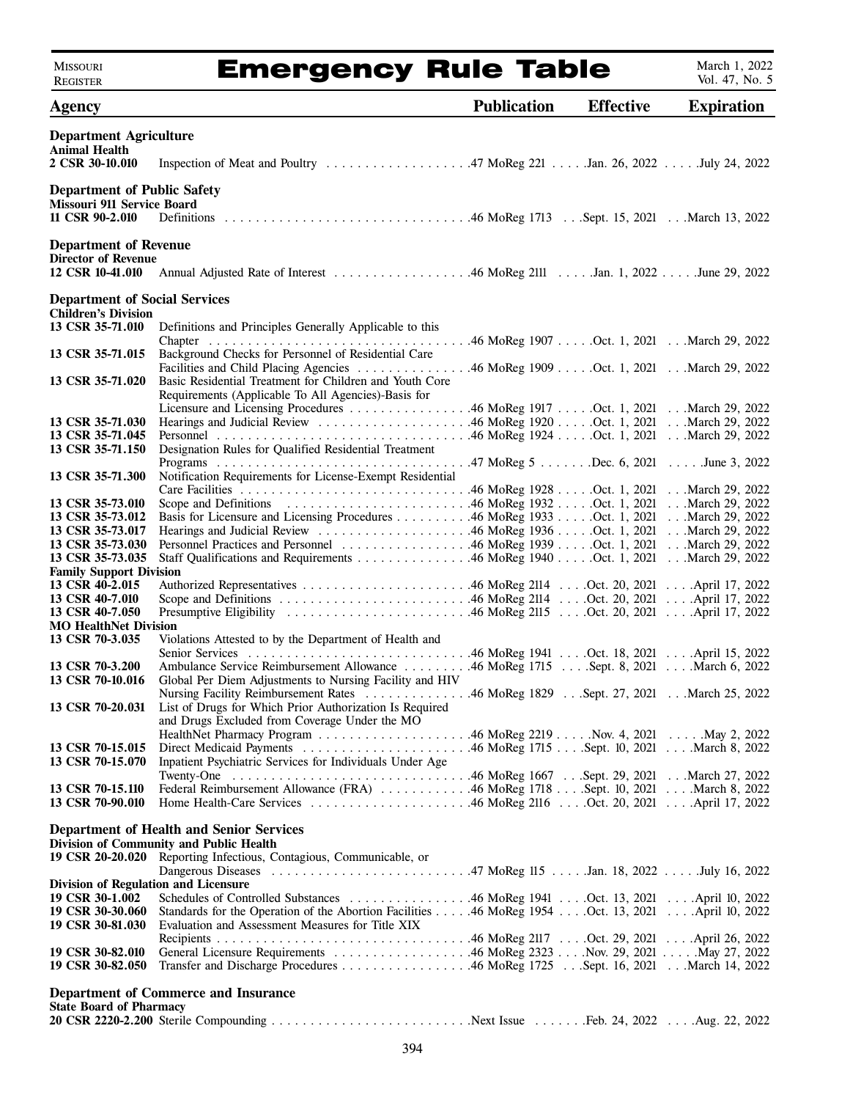### Emergency Rule Table

March 1, 2022 Vol. 47, No. 5

| <b>Agency</b>                                                                              |                                                                                                                                             | <b>Publication</b> | <b>Effective</b> | <b>Expiration</b> |  |
|--------------------------------------------------------------------------------------------|---------------------------------------------------------------------------------------------------------------------------------------------|--------------------|------------------|-------------------|--|
| <b>Department Agriculture</b><br><b>Animal Health</b>                                      |                                                                                                                                             |                    |                  |                   |  |
| 2 CSR 30-10.010                                                                            |                                                                                                                                             |                    |                  |                   |  |
| <b>Department of Public Safety</b><br>Missouri 911 Service Board                           |                                                                                                                                             |                    |                  |                   |  |
| 11 CSR 90-2.010                                                                            |                                                                                                                                             |                    |                  |                   |  |
| <b>Department of Revenue</b><br><b>Director of Revenue</b>                                 |                                                                                                                                             |                    |                  |                   |  |
| 12 CSR 10-41.010                                                                           |                                                                                                                                             |                    |                  |                   |  |
| <b>Department of Social Services</b>                                                       |                                                                                                                                             |                    |                  |                   |  |
| <b>Children's Division</b>                                                                 |                                                                                                                                             |                    |                  |                   |  |
| 13 CSR 35-71.010                                                                           | Definitions and Principles Generally Applicable to this                                                                                     |                    |                  |                   |  |
| 13 CSR 35-71.015                                                                           | Background Checks for Personnel of Residential Care<br>Facilities and Child Placing Agencies 46 MoReg 1909 Oct. 1, 2021 March 29, 2022      |                    |                  |                   |  |
| 13 CSR 35-71.020                                                                           | Basic Residential Treatment for Children and Youth Core<br>Requirements (Applicable To All Agencies)-Basis for                              |                    |                  |                   |  |
| 13 CSR 35-71.030                                                                           | Licensure and Licensing Procedures 46 MoReg 1917 Oct. 1, 2021 March 29, 2022                                                                |                    |                  |                   |  |
| 13 CSR 35-71.045                                                                           |                                                                                                                                             |                    |                  |                   |  |
| 13 CSR 35-71.150                                                                           | Designation Rules for Qualified Residential Treatment                                                                                       |                    |                  |                   |  |
| 13 CSR 35-71.300                                                                           | Notification Requirements for License-Exempt Residential                                                                                    |                    |                  |                   |  |
| 13 CSR 35-73.010                                                                           |                                                                                                                                             |                    |                  |                   |  |
| 13 CSR 35-73.012                                                                           | Basis for Licensure and Licensing Procedures 46 MoReg 1933 Oct. 1, 2021 March 29, 2022                                                      |                    |                  |                   |  |
| 13 CSR 35-73.017<br>13 CSR 35-73.030                                                       | Personnel Practices and Personnel 46 MoReg 1939 Oct. 1, 2021 March 29, 2022                                                                 |                    |                  |                   |  |
| 13 CSR 35-73.035                                                                           | Staff Qualifications and Requirements 46 MoReg 1940 Oct. 1, 2021 March 29, 2022                                                             |                    |                  |                   |  |
| <b>Family Support Division</b>                                                             |                                                                                                                                             |                    |                  |                   |  |
| 13 CSR 40-2.015<br>13 CSR 40-7.010                                                         |                                                                                                                                             |                    |                  |                   |  |
| 13 CSR 40-7.050                                                                            |                                                                                                                                             |                    |                  |                   |  |
| <b>MO HealthNet Division</b>                                                               |                                                                                                                                             |                    |                  |                   |  |
| 13 CSR 70-3.035                                                                            | Violations Attested to by the Department of Health and                                                                                      |                    |                  |                   |  |
| 13 CSR 70-3.200                                                                            | Ambulance Service Reimbursement Allowance 46 MoReg 1715 Sept. 8, 2021 March 6, 2022                                                         |                    |                  |                   |  |
| 13 CSR 70-10.016                                                                           | Global Per Diem Adjustments to Nursing Facility and HIV<br>Nursing Facility Reimbursement Rates 46 MoReg 1829 Sept. 27, 2021 March 25, 2022 |                    |                  |                   |  |
| 13 CSR 70-20.031                                                                           | List of Drugs for Which Prior Authorization Is Required<br>and Drugs Excluded from Coverage Under the MO                                    |                    |                  |                   |  |
| 13 CSR 70-15.015                                                                           |                                                                                                                                             |                    |                  |                   |  |
| 13 CSR 70-15.070                                                                           | Inpatient Psychiatric Services for Individuals Under Age                                                                                    |                    |                  |                   |  |
| 13 CSR 70-15.110                                                                           | Federal Reimbursement Allowance (FRA) 46 MoReg 1718 Sept. 10, 2021 March 8, 2022                                                            |                    |                  |                   |  |
| 13 CSR 70-90.010                                                                           |                                                                                                                                             |                    |                  |                   |  |
| <b>Department of Health and Senior Services</b><br>Division of Community and Public Health |                                                                                                                                             |                    |                  |                   |  |
|                                                                                            | 19 CSR 20-20.020 Reporting Infectious, Contagious, Communicable, or                                                                         |                    |                  |                   |  |
|                                                                                            |                                                                                                                                             |                    |                  |                   |  |
| <b>Division of Regulation and Licensure</b><br>19 CSR 30-1.002                             |                                                                                                                                             |                    |                  |                   |  |
| 19 CSR 30-30.060                                                                           | Standards for the Operation of the Abortion Facilities 46 MoReg 1954 Oct. 13, 2021 April 10, 2022                                           |                    |                  |                   |  |
| 19 CSR 30-81.030                                                                           | Evaluation and Assessment Measures for Title XIX                                                                                            |                    |                  |                   |  |
| 19 CSR 30-82.010<br>19 CSR 30-82.050                                                       |                                                                                                                                             |                    |                  |                   |  |
|                                                                                            |                                                                                                                                             |                    |                  |                   |  |
| <b>State Board of Pharmacy</b>                                                             | <b>Department of Commerce and Insurance</b>                                                                                                 |                    |                  |                   |  |
|                                                                                            |                                                                                                                                             |                    |                  |                   |  |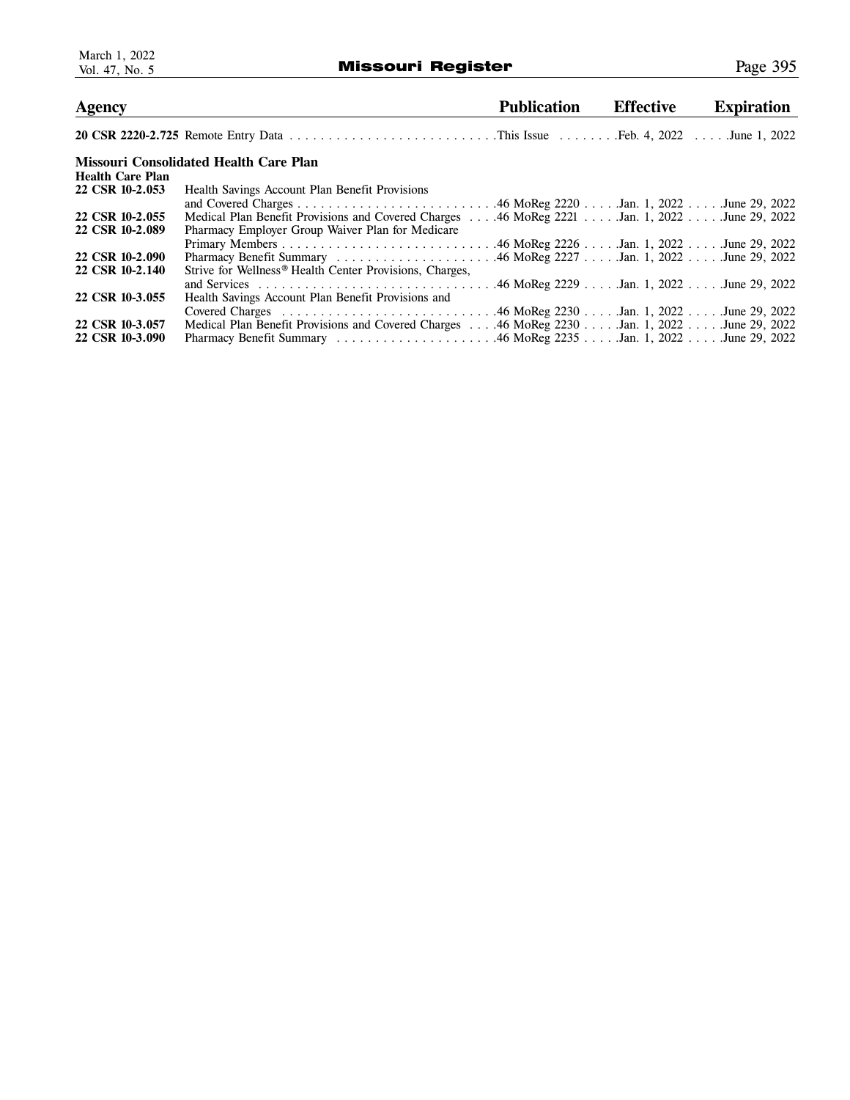| <b>Publication</b><br><b>Agency</b>                                                                                |  |
|--------------------------------------------------------------------------------------------------------------------|--|
|                                                                                                                    |  |
| Missouri Consolidated Health Care Plan<br><b>Health Care Plan</b>                                                  |  |
| 22 CSR 10-2.053<br>Health Savings Account Plan Benefit Provisions                                                  |  |
|                                                                                                                    |  |
| 22 CSR 10-2.055<br>Medical Plan Benefit Provisions and Covered Charges  46 MoReg 2221  Jan. 1, 2022  June 29, 2022 |  |
| 22 CSR 10-2.089<br>Pharmacy Employer Group Waiver Plan for Medicare                                                |  |
|                                                                                                                    |  |
| 22 CSR 10-2.090                                                                                                    |  |
| 22 CSR 10-2.140<br>Strive for Wellness <sup>®</sup> Health Center Provisions, Charges,                             |  |
|                                                                                                                    |  |
| 22 CSR 10-3.055<br>Health Savings Account Plan Benefit Provisions and                                              |  |
|                                                                                                                    |  |
| 22 CSR 10-3.057<br>Medical Plan Benefit Provisions and Covered Charges  46 MoReg 2230  Jan. 1, 2022  June 29, 2022 |  |
| 22 CSR 10-3.090                                                                                                    |  |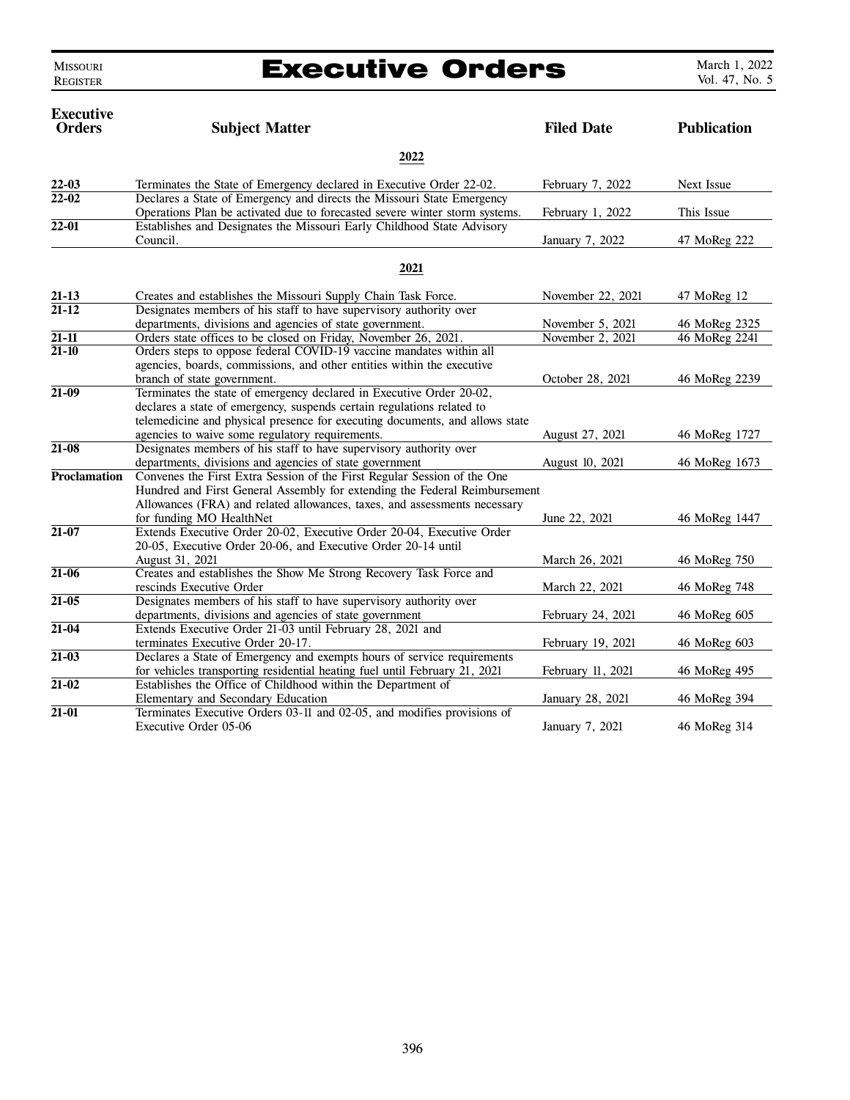MISSOURI REGISTER

### Executive Orders

| <b>Executive</b><br><b>Orders</b> | <b>Subject Matter</b>                                                                                                                                 | <b>Filed Date</b> | <b>Publication</b> |  |  |  |
|-----------------------------------|-------------------------------------------------------------------------------------------------------------------------------------------------------|-------------------|--------------------|--|--|--|
|                                   | 2022                                                                                                                                                  |                   |                    |  |  |  |
| $22 - 03$                         | Terminates the State of Emergency declared in Executive Order 22-02.                                                                                  | February 7, 2022  | Next Issue         |  |  |  |
| $22 - 02$                         | Declares a State of Emergency and directs the Missouri State Emergency<br>Operations Plan be activated due to forecasted severe winter storm systems. | February 1, 2022  | This Issue         |  |  |  |
| $22 - 01$                         | Establishes and Designates the Missouri Early Childhood State Advisory<br>Council.                                                                    | January 7, 2022   | 47 MoReg 222       |  |  |  |
|                                   | 2021                                                                                                                                                  |                   |                    |  |  |  |
| $21 - 13$                         | Creates and establishes the Missouri Supply Chain Task Force.                                                                                         | November 22, 2021 | 47 MoReg 12        |  |  |  |
| $21 - 12$                         | Designates members of his staff to have supervisory authority over                                                                                    |                   |                    |  |  |  |
|                                   | departments, divisions and agencies of state government.                                                                                              | November 5, 2021  | 46 MoReg 2325      |  |  |  |
| $21 - 11$                         | Orders state offices to be closed on Friday, November 26, 2021.                                                                                       | November 2, 2021  | 46 MoReg 2241      |  |  |  |
| $21 - 10$                         | Orders steps to oppose federal COVID-19 vaccine mandates within all                                                                                   |                   |                    |  |  |  |
|                                   | agencies, boards, commissions, and other entities within the executive                                                                                |                   |                    |  |  |  |
|                                   | branch of state government.                                                                                                                           | October 28, 2021  | 46 MoReg 2239      |  |  |  |
| $21-09$                           | Terminates the state of emergency declared in Executive Order 20-02,                                                                                  |                   |                    |  |  |  |
|                                   | declares a state of emergency, suspends certain regulations related to                                                                                |                   |                    |  |  |  |
|                                   | telemedicine and physical presence for executing documents, and allows state                                                                          |                   |                    |  |  |  |
|                                   | agencies to waive some regulatory requirements.                                                                                                       | August 27, 2021   | 46 MoReg 1727      |  |  |  |
| $21 - 08$                         | Designates members of his staff to have supervisory authority over                                                                                    |                   |                    |  |  |  |
|                                   | departments, divisions and agencies of state government                                                                                               | August 10, 2021   | 46 MoReg 1673      |  |  |  |
| <b>Proclamation</b>               | Convenes the First Extra Session of the First Regular Session of the One                                                                              |                   |                    |  |  |  |
|                                   | Hundred and First General Assembly for extending the Federal Reimbursement                                                                            |                   |                    |  |  |  |
|                                   | Allowances (FRA) and related allowances, taxes, and assessments necessary                                                                             |                   |                    |  |  |  |
| $21 - 07$                         | for funding MO HealthNet<br>Extends Executive Order 20-02, Executive Order 20-04, Executive Order                                                     | June 22, 2021     | 46 MoReg 1447      |  |  |  |
|                                   | 20-05, Executive Order 20-06, and Executive Order 20-14 until                                                                                         |                   |                    |  |  |  |
|                                   | August 31, 2021                                                                                                                                       | March 26, 2021    | 46 MoReg 750       |  |  |  |
| $21 - 06$                         | Creates and establishes the Show Me Strong Recovery Task Force and                                                                                    |                   |                    |  |  |  |
|                                   | rescinds Executive Order                                                                                                                              | March 22, 2021    | 46 MoReg 748       |  |  |  |
| $21 - 05$                         | Designates members of his staff to have supervisory authority over                                                                                    |                   |                    |  |  |  |
|                                   | departments, divisions and agencies of state government                                                                                               | February 24, 2021 | 46 MoReg 605       |  |  |  |
| $21 - 04$                         | Extends Executive Order 21-03 until February 28, 2021 and                                                                                             |                   |                    |  |  |  |
|                                   | terminates Executive Order 20-17.                                                                                                                     | February 19, 2021 | 46 MoReg 603       |  |  |  |
| $21 - 03$                         | Declares a State of Emergency and exempts hours of service requirements                                                                               |                   |                    |  |  |  |
|                                   | for vehicles transporting residential heating fuel until February 21, 2021                                                                            | February 11, 2021 | 46 MoReg 495       |  |  |  |
| $21 - 02$                         | Establishes the Office of Childhood within the Department of                                                                                          |                   |                    |  |  |  |
|                                   | Elementary and Secondary Education                                                                                                                    | January 28, 2021  | 46 MoReg 394       |  |  |  |
| $21 - 01$                         | Terminates Executive Orders 03-11 and 02-05, and modifies provisions of                                                                               |                   |                    |  |  |  |
|                                   | Executive Order 05-06                                                                                                                                 | January 7, 2021   | 46 MoReg 314       |  |  |  |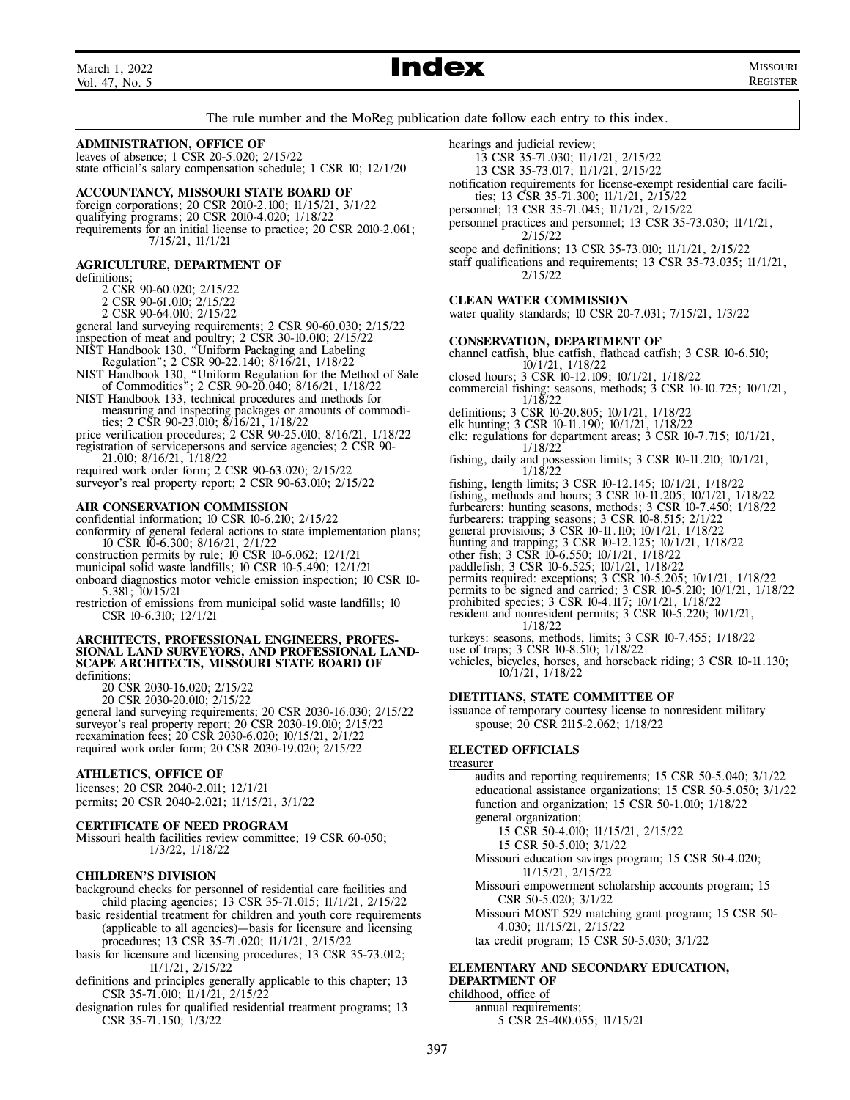March 1, 2022 Vol. 47, No. 5

### Index MISSOURI

REGISTER

The rule number and the MoReg publication date follow each entry to this index.

### **ADMINISTRATION, OFFICE OF**

leaves of absence; 1 CSR 20-5.020; 2/15/22 state official's salary compensation schedule; 1 CSR 10; 12/1/20

### **ACCOUNTANCY, MISSOURI STATE BOARD OF**

foreign corporations; 20 CSR 2010-2.100; 11/15/21, 3/1/22 qualifying programs; 20 CSR 2010-4.020; 1/18/22 requirements for an initial license to practice; 20 CSR 2010-2.061; 7/15/21, 11/1/21

### **AGRICULTURE, DEPARTMENT OF**

definitions;

2 CSR 90-60.020; 2/15/22

2 CSR 90-61.010; 2/15/22

2 CSR 90-64.010; 2/15/22

general land surveying requirements; 2 CSR 90-60.030; 2/15/22

inspection of meat and poultry; 2 CSR 30-10.010; 2/15/22 NIST Handbook 130, "Uniform Packaging and Labeling

 Regulation"; 2 CSR 90-22.140; 8/16/21, 1/18/22 NIST Handbook 130, "Uniform Regulation for the Method of Sale

 of Commodities"; 2 CSR 90-20.040; 8/16/21, 1/18/22 NIST Handbook 133, technical procedures and methods for

- measuring and inspecting packages or amounts of commodi ties; 2 CSR 90-23.010; 8/16/21, 1/18/22
- price verification procedures; 2 CSR 90-25.010; 8/16/21, 1/18/22 registration of servicepersons and service agencies; 2 CSR 90-

 21.010; 8/16/21, 1/18/22 required work order form; 2 CSR 90-63.020; 2/15/22 surveyor's real property report; 2 CSR 90-63.010; 2/15/22

### **AIR CONSERVATION COMMISSION**

confidential information; 10 CSR 10-6.210; 2/15/22

conformity of general federal actions to state implementation plans; 10 CSR 10-6.300; 8/16/21, 2/1/22

construction permits by rule; 10 CSR 10-6.062; 12/1/21

municipal solid waste landfills; 10 CSR 10-5.490; 12/1/21

onboard diagnostics motor vehicle emission inspection; 10 CSR 10- 5.381; 10/15/21

restriction of emissions from municipal solid waste landfills; 10 CSR 10-6.310; 12/1/21

#### **ARCHITECTS, PROFESSIONAL ENGINEERS, PROFES-SIONAL LAND SURVEYORS, AND PROFESSIONAL LAND-SCAPE ARCHITECTS, MISSOURI STATE BOARD OF** definitions;

20 CSR 2030-16.020; 2/15/22

20 CSR 2030-20.010; 2/15/22

general land surveying requirements; 20 CSR 2030-16.030; 2/15/22 surveyor's real property report; 20 CSR 2030-19.010; 2/15/22 reexamination fees; 20 CSR 2030-6.020; 10/15/21, 2/1/22 required work order form; 20 CSR 2030-19.020; 2/15/22

### **ATHLETICS, OFFICE OF**

licenses; 20 CSR 2040-2.011; 12/1/21 permits; 20 CSR 2040-2.021; 11/15/21, 3/1/22

### **CERTIFICATE OF NEED PROGRAM**

Missouri health facilities review committee; 19 CSR 60-050; 1/3/22, 1/18/22

### **CHILDREN'S DIVISION**

background checks for personnel of residential care facilities and child placing agencies; 13 CSR 35-71.015; 11/1/21, 2/15/22

- basic residential treatment for children and youth core requirements (applicable to all agencies)—basis for licensure and licensing procedures; 13 CSR 35-71.020; 11/1/21, 2/15/22
- basis for licensure and licensing procedures; 13 CSR 35-73.012; 11/1/21, 2/15/22
- definitions and principles generally applicable to this chapter; 13 CSR 35-71.010; 11/1/21, 2/15/22
- designation rules for qualified residential treatment programs; 13 CSR 35-71.150; 1/3/22
- hearings and judicial review;
	- 13 CSR 35-71.030; 11/1/21, 2/15/22
	- 13 CSR 35-73.017; 11/1/21, 2/15/22
- notification requirements for license-exempt residential care facili ties; 13 CSR 35-71.300; 11/1/21, 2/15/22
- personnel; 13 CSR 35-71.045; 11/1/21, 2/15/22
- personnel practices and personnel; 13 CSR 35-73.030; 11/1/21, 2/15/22
- scope and definitions; 13 CSR 35-73.010; 11/1/21, 2/15/22
- staff qualifications and requirements; 13 CSR 35-73.035; 11/1/21, 2/15/22

### **CLEAN WATER COMMISSION**

water quality standards; 10 CSR 20-7.031; 7/15/21, 1/3/22

### **CONSERVATION, DEPARTMENT OF**

channel catfish, blue catfish, flathead catfish; 3 CSR 10-6.510; 10/1/21, 1/18/22

- closed hours; 3 CSR 10-12.109; 10/1/21, 1/18/22
- commercial fishing: seasons, methods; 3 CSR 10-10.725; 10/1/21, 1/18/22
- definitions; 3 CSR 10-20.805; 10/1/21, 1/18/22
- elk hunting; 3 CSR 10-11.190; 10/1/21, 1/18/22
- elk: regulations for department areas;  $\hat{3}$  CSR 10-7.715; 10/1/21,  $1/18/22$  $1/18/22$
- fishing, daily and possession limits; 3 CSR 10-11.210; 10/1/21, 1/18/22
- fishing, length limits; 3 CSR 10-12.145; 10/1/21, 1/18/22
- fishing, methods and hours; 3 CSR 10-11.205; 10/1/21, 1/18/22
- furbearers: hunting seasons, methods; 3 CSR 10-7.450; 1/18/22
- furbearers: trapping seasons; 3 CSR 10-8.515; 2/1/22
- general provisions; 3 CSR 10-11.110; 10/1/21, 1/18/22
- hunting and trapping; 3 CSR 10-12.125; 10/1/21, 1/18/22
- other fish; 3 CSR 10-6.550; 10/1/21, 1/18/22 paddlefish; 3 CSR 10-6.525; 10/1/21, 1/18/22
- 
- permits required: exceptions; 3 CSR 10-5.205; 10/1/21, 1/18/22 permits to be signed and carried; 3 CSR 10-5.210; 10/1/21, 1/18/22
- prohibited species; 3 CSR 10-4.117; 10/1/21, 1/18/22
- resident and nonresident permits; 3 CSR 10-5.220; 10/1/21, 1/18/22
- turkeys: seasons, methods, limits; 3 CSR 10-7.455; 1/18/22
- use of traps; 3 CSR 10-8.510; 1/18/22
- vehicles, bicycles, horses, and horseback riding; 3 CSR 10-11.130; 10/1/21, 1/18/22

### **DIETITIANS, STATE COMMITTEE OF**

issuance of temporary courtesy license to nonresident military spouse; 20 CSR 2115-2.062; 1/18/22

### **ELECTED OFFICIALS**

### treasurer

 audits and reporting requirements; 15 CSR 50-5.040; 3/1/22 educational assistance organizations; 15 CSR 50-5.050; 3/1/22 function and organization; 15 CSR 50-1.010; 1/18/22 general organization; 15 CSR 50-4.010; 11/15/21, 2/15/22

15 CSR 50-5.010; 3/1/22

 Missouri education savings program; 15 CSR 50-4.020; 11/15/21, 2/15/22

 Missouri empowerment scholarship accounts program; 15 CSR 50-5.020; 3/1/22

 Missouri MOST 529 matching grant program; 15 CSR 50- 4.030; 11/15/21, 2/15/22

tax credit program; 15 CSR 50-5.030; 3/1/22

### **ELEMENTARY AND SECONDARY EDUCATION, DEPARTMENT OF**

childhood, office of

 annual requirements; 5 CSR 25-400.055; 11/15/21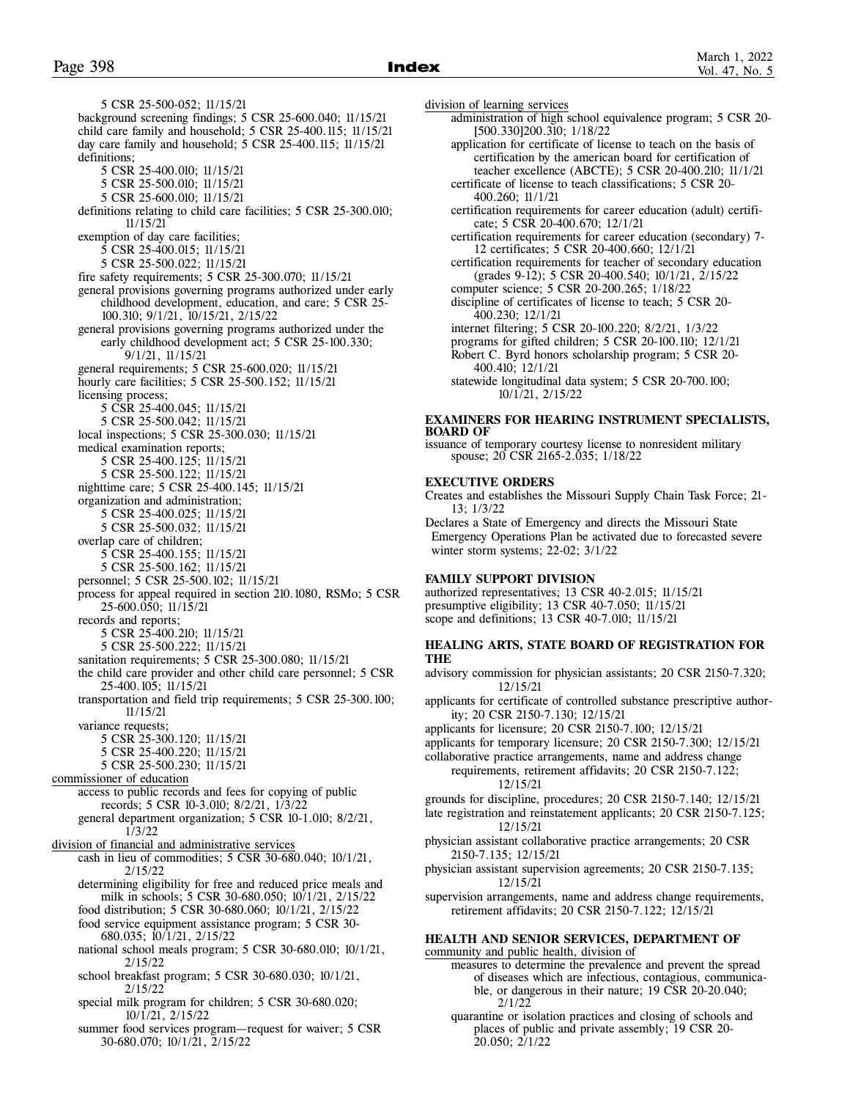5 CSR 25-500-052; 11/15/21 background screening findings; 5 CSR 25-600.040; 11/15/21 child care family and household; 5 CSR 25-400.115; 11/15/21 day care family and household; 5 CSR 25-400.115; 11/15/21 definitions; 5 CSR 25-400.010; 11/15/21 5 CSR 25-500.010; 11/15/21 5 CSR 25-600.010; 11/15/21 definitions relating to child care facilities; 5 CSR 25-300.010; 11/15/21 exemption of day care facilities; 5 CSR 25-400.015; 11/15/21 5 CSR 25-500.022; 11/15/21 fire safety requirements; 5 CSR 25-300.070; 11/15/21 general provisions governing programs authorized under early childhood development, education, and care; 5 CSR 25- 100.310; 9/1/21, 10/15/21, 2/15/22 general provisions governing programs authorized under the early childhood development act; 5 CSR 25-100.330; 9/1/21, 11/15/21 general requirements; 5 CSR 25-600.020; 11/15/21 hourly care facilities; 5 CSR 25-500.152; 11/15/21 licensing process; 5 CSR 25-400.045; 11/15/21 5 CSR 25-500.042; 11/15/21 local inspections; 5 CSR 25-300.030; 11/15/21 medical examination reports; 5 CSR 25-400.125; 11/15/21 5 CSR 25-500.122; 11/15/21 nighttime care; 5 CSR 25-400.145; 11/15/21 organization and administration; 5 CSR 25-400.025; 11/15/21 5 CSR 25-500.032; 11/15/21 overlap care of children; 5 CSR 25-400.155; 11/15/21 5 CSR 25-500.162; 11/15/21 personnel; 5 CSR 25-500.102; 11/15/21 process for appeal required in section 210.1080, RSMo; 5 CSR 25-600.050; 11/15/21 records and reports; 5 CSR 25-400.210; 11/15/21 5 CSR 25-500.222; 11/15/21 sanitation requirements; 5 CSR 25-300.080; 11/15/21 the child care provider and other child care personnel; 5 CSR 25-400.105; 11/15/21 transportation and field trip requirements; 5 CSR 25-300.100; 11/15/21 variance requests; 5 CSR 25-300.120; 11/15/21 5 CSR 25-400.220; 11/15/21 5 CSR 25-500.230; 11/15/21 commissioner of education access to public records and fees for copying of public records; 5 CSR 10-3.010; 8/2/21, 1/3/22 general department organization; 5 CSR 10-1.010; 8/2/21, 1/3/22 division of financial and administrative services cash in lieu of commodities; 5 CSR 30-680.040; 10/1/21, 2/15/22 determining eligibility for free and reduced price meals and milk in schools; 5 CSR 30-680.050; 10/1/21, 2/15/22 food distribution; 5 CSR 30-680.060; 10/1/21, 2/15/22 food service equipment assistance program; 5 CSR 30- 680.035; 10/1/21, 2/15/22 national school meals program; 5 CSR 30-680.010; 10/1/21, 2/15/22 school breakfast program; 5 CSR 30-680.030; 10/1/21, 2/15/22 special milk program for children; 5 CSR 30-680.020; 10/1/21, 2/15/22 summer food services program—request for waiver; 5 CSR

30-680.070; 10/1/21, 2/15/22

division of learning services

 administration of high school equivalence program; 5 CSR 20- [500.330]200.310; 1/18/22

 application for certificate of license to teach on the basis of certification by the american board for certification of teacher excellence (ABCTE); 5 CSR 20-400.210; 11/1/21 certificate of license to teach classifications; 5 CSR 20-

400.260; 11/1/21

 certification requirements for career education (adult) certifi cate; 5 CSR 20-400.670; 12/1/21

 certification requirements for career education (secondary) 7- 12 certificates; 5 CSR 20-400.660; 12/1/21

 certification requirements for teacher of secondary education (grades 9-12); 5 CSR 20-400.540; 10/1/21, 2/15/22

computer science; 5 CSR 20-200.265; 1/18/22

 discipline of certificates of license to teach; 5 CSR 20- 400.230; 12/1/21

internet filtering; 5 CSR 20-100.220; 8/2/21, 1/3/22

 programs for gifted children; 5 CSR 20-100.110; 12/1/21 Robert C. Byrd honors scholarship program; 5 CSR 20- 400.410; 12/1/21

 statewide longitudinal data system; 5 CSR 20-700.100; 10/1/21, 2/15/22

#### **EXAMINERS FOR HEARING INSTRUMENT SPECIALISTS, BOARD OF**

issuance of temporary courtesy license to nonresident military spouse; 20 CSR 2165-2.035; 1/18/22

### **EXECUTIVE ORDERS**

Creates and establishes the Missouri Supply Chain Task Force; 21- 13; 1/3/22

Declares a State of Emergency and directs the Missouri State Emergency Operations Plan be activated due to forecasted severe winter storm systems; 22-02; 3/1/22

### **FAMILY SUPPORT DIVISION**

authorized representatives; 13 CSR 40-2.015; 11/15/21 presumptive eligibility; 13 CSR 40-7.050; 11/15/21 scope and definitions; 13 CSR 40-7.010; 11/15/21

### **HEALING ARTS, STATE BOARD OF REGISTRATION FOR THE**

advisory commission for physician assistants; 20 CSR 2150-7.320; 12/15/21

applicants for certificate of controlled substance prescriptive author ity; 20 CSR 2150-7.130; 12/15/21

applicants for licensure; 20 CSR 2150-7.100; 12/15/21

applicants for temporary licensure; 20 CSR 2150-7.300; 12/15/21

collaborative practice arrangements, name and address change requirements, retirement affidavits; 20 CSR 2150-7.122; 12/15/21

grounds for discipline, procedures; 20 CSR 2150-7.140; 12/15/21

late registration and reinstatement applicants; 20 CSR 2150-7.125; 12/15/21

physician assistant collaborative practice arrangements; 20 CSR 2150-7.135; 12/15/21

physician assistant supervision agreements; 20 CSR 2150-7.135; 12/15/21

supervision arrangements, name and address change requirements, retirement affidavits; 20 CSR 2150-7.122; 12/15/21

### **HEALTH AND SENIOR SERVICES, DEPARTMENT OF** community and public health, division of

 measures to determine the prevalence and prevent the spread of diseases which are infectious, contagious, communica ble, or dangerous in their nature; 19 CSR 20-20.040; 2/1/22

 quarantine or isolation practices and closing of schools and places of public and private assembly; 19 CSR 20- 20.050; 2/1/22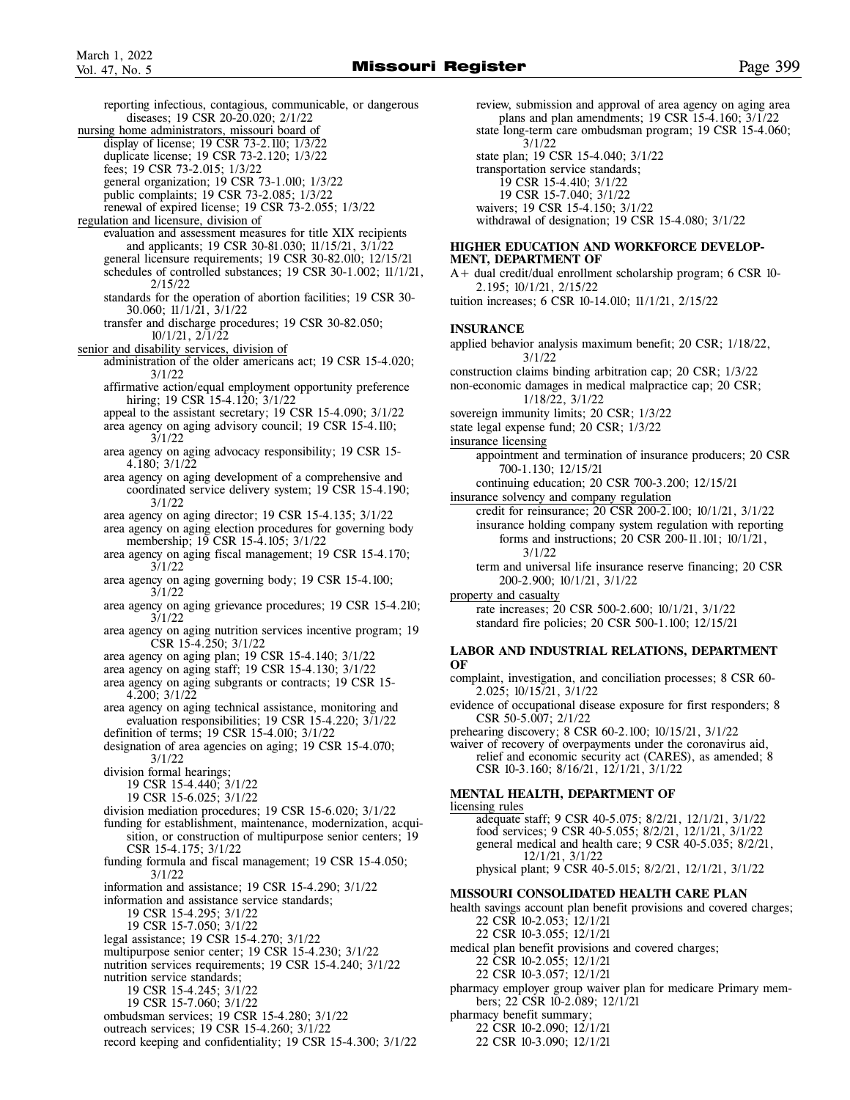reporting infectious, contagious, communicable, or dangerous diseases; 19 CSR 20-20.020; 2/1/22 nursing home administrators, missouri board of display of license; 19 CSR 73-2.110; 1/3/22 duplicate license; 19 CSR 73-2.120; 1/3/22 fees; 19 CSR 73-2.015; 1/3/22 general organization; 19 CSR 73-1.010; 1/3/22 public complaints; 19 CSR 73-2.085; 1/3/22 renewal of expired license; 19 CSR 73-2.055; 1/3/22 regulation and licensure, division of evaluation and assessment measures for title XIX recipients and applicants; 19 CSR 30-81.030; 11/15/21, 3/1/22 general licensure requirements; 19 CSR 30-82.010; 12/15/21 schedules of controlled substances; 19 CSR 30-1.002; 11/1/21, 2/15/22 standards for the operation of abortion facilities; 19 CSR 30- 30.060; 11/1/21, 3/1/22 transfer and discharge procedures; 19 CSR 30-82.050; 10/1/21, 2/1/22 senior and disability services, division of administration of the older americans act; 19 CSR 15-4.020; 3/1/22 affirmative action/equal employment opportunity preference hiring; 19 CSR 15-4.120; 3/1/22 appeal to the assistant secretary; 19 CSR 15-4.090; 3/1/22 area agency on aging advisory council; 19 CSR 15-4.110; 3/1/22 area agency on aging advocacy responsibility; 19 CSR 15- 4.180; 3/1/22 area agency on aging development of a comprehensive and coordinated service delivery system; 19 CSR 15-4.190; 3/1/22 area agency on aging director; 19 CSR 15-4.135; 3/1/22 area agency on aging election procedures for governing body membership; 19 CSR 15-4.105; 3/1/22 area agency on aging fiscal management; 19 CSR 15-4.170; 3/1/22 area agency on aging governing body; 19 CSR 15-4.100; 3/1/22 area agency on aging grievance procedures; 19 CSR 15-4.210; 3/1/22 area agency on aging nutrition services incentive program; 19 CSR 15-4.250; 3/1/22 area agency on aging plan; 19 CSR 15-4.140; 3/1/22 area agency on aging staff; 19 CSR 15-4.130; 3/1/22 area agency on aging subgrants or contracts; 19 CSR 15- 4.200; 3/1/22 area agency on aging technical assistance, monitoring and evaluation responsibilities; 19 CSR 15-4.220; 3/1/22 definition of terms; 19 CSR 15-4.010; 3/1/22 designation of area agencies on aging; 19 CSR 15-4.070; 3/1/22 division formal hearings; 19 CSR 15-4.440; 3/1/22 19 CSR 15-6.025; 3/1/22 division mediation procedures; 19 CSR 15-6.020; 3/1/22 funding for establishment, maintenance, modernization, acqui sition, or construction of multipurpose senior centers; 19 CSR 15-4.175; 3/1/22 funding formula and fiscal management; 19 CSR 15-4.050; 3/1/22 information and assistance; 19 CSR 15-4.290; 3/1/22 information and assistance service standards; 19 CSR 15-4.295; 3/1/22 19 CSR 15-7.050; 3/1/22 legal assistance; 19 CSR 15-4.270; 3/1/22 multipurpose senior center; 19 CSR 15-4.230; 3/1/22 nutrition services requirements; 19 CSR 15-4.240; 3/1/22 nutrition service standards; 19 CSR 15-4.245; 3/1/22 19 CSR 15-7.060; 3/1/22 ombudsman services; 19 CSR 15-4.280; 3/1/22 outreach services; 19 CSR 15-4.260; 3/1/22 record keeping and confidentiality; 19 CSR 15-4.300; 3/1/22

 review, submission and approval of area agency on aging area plans and plan amendments;  $19 \text{ CSR } 15-4.160$ ;  $3/\overline{1}/22$  state long-term care ombudsman program; 19 CSR 15-4.060; 3/1/22 state plan; 19 CSR 15-4.040; 3/1/22 transportation service standards; 19 CSR 15-4.410; 3/1/22 19 CSR 15-7.040; 3/1/22 waivers; 19 CSR 15-4.150; 3/1/22 withdrawal of designation; 19 CSR 15-4.080; 3/1/22

### **HIGHER EDUCATION AND WORKFORCE DEVELOP-MENT, DEPARTMENT OF**

A+ dual credit/dual enrollment scholarship program; 6 CSR 10- 2.195; 10/1/21, 2/15/22

tuition increases; 6 CSR 10-14.010; 11/1/21, 2/15/22

### **INSURANCE**

applied behavior analysis maximum benefit; 20 CSR; 1/18/22, 3/1/22

construction claims binding arbitration cap; 20 CSR; 1/3/22

non-economic damages in medical malpractice cap; 20 CSR; 1/18/22, 3/1/22

- sovereign immunity limits; 20 CSR; 1/3/22
- state legal expense fund; 20 CSR; 1/3/22

insurance licensing

 appointment and termination of insurance producers; 20 CSR 700-1.130; 12/15/21

continuing education; 20 CSR 700-3.200; 12/15/21

insurance solvency and company regulation

 credit for reinsurance; 20 CSR 200-2.100; 10/1/21, 3/1/22 insurance holding company system regulation with reporting forms and instructions; 20 CSR 200-11.101; 10/1/21, 3/1/22

 term and universal life insurance reserve financing; 20 CSR 200-2.900; 10/1/21, 3/1/22

property and casualty

 rate increases; 20 CSR 500-2.600; 10/1/21, 3/1/22 standard fire policies; 20 CSR 500-1.100; 12/15/21

### **LABOR AND INDUSTRIAL RELATIONS, DEPARTMENT OF**

complaint, investigation, and conciliation processes; 8 CSR 60- 2.025; 10/15/21, 3/1/22

evidence of occupational disease exposure for first responders; 8 CSR 50-5.007; 2/1/22

prehearing discovery; 8 CSR 60-2.100; 10/15/21, 3/1/22

waiver of recovery of overpayments under the coronavirus aid, relief and economic security act (CARES), as amended; 8 CSR 10-3.160; 8/16/21, 12/1/21, 3/1/22

### **MENTAL HEALTH, DEPARTMENT OF**

licensing rules adequate staff; 9 CSR 40-5.075; 8/2/21, 12/1/21, 3/1/22 food services; 9 CSR 40-5.055; 8/2/21, 12/1/21, 3/1/22 general medical and health care; 9 CSR 40-5.035; 8/2/21, 12/1/21, 3/1/22 physical plant; 9 CSR 40-5.015; 8/2/21, 12/1/21, 3/1/22

#### **MISSOURI CONSOLIDATED HEALTH CARE PLAN**

health savings account plan benefit provisions and covered charges; 22 CSR 10-2.053; 12/1/21

22 CSR 10-3.055; 12/1/21

medical plan benefit provisions and covered charges; 22 CSR 10-2.055; 12/1/21

22 CSR 10-3.057; 12/1/21

pharmacy employer group waiver plan for medicare Primary mem bers; 22 CSR 10-2.089; 12/1/21

pharmacy benefit summary;

22 CSR 10-2.090; 12/1/21

22 CSR 10-3.090; 12/1/21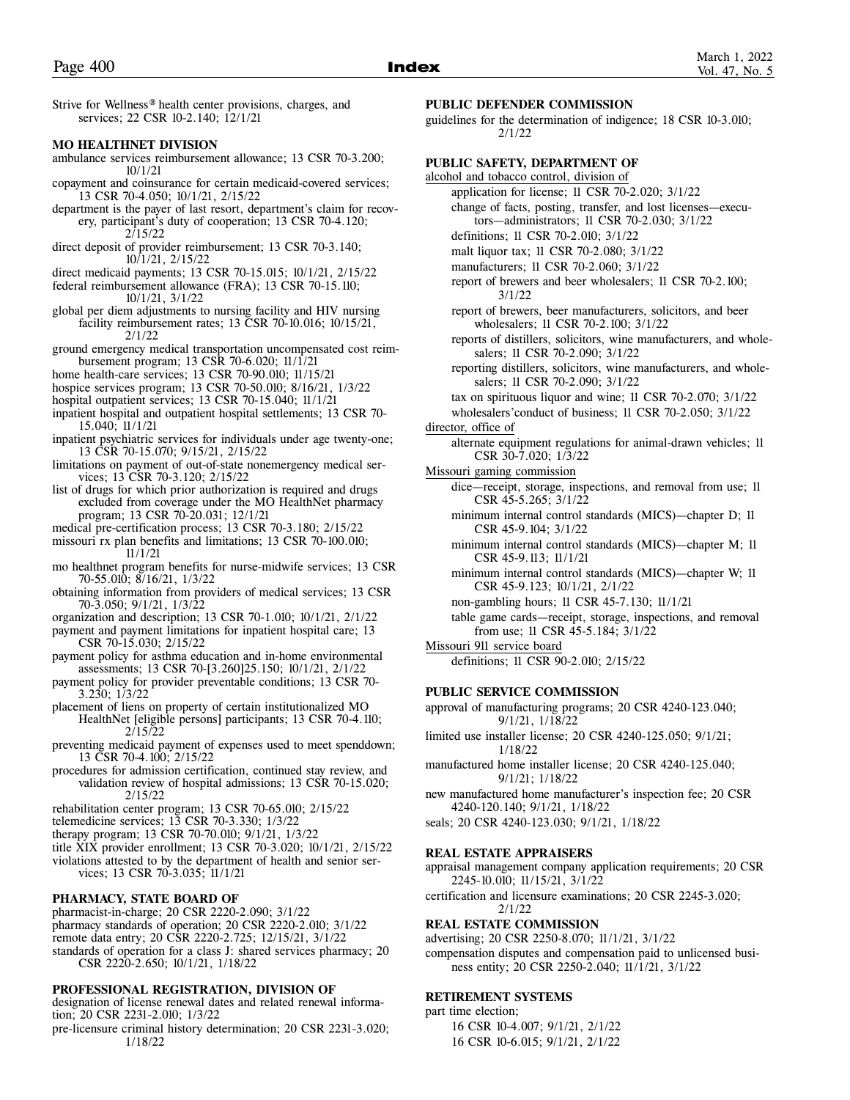Strive for Wellness® health center provisions, charges, and services; 22 CSR 10-2.140; 12/1/21

### **MO HEALTHNET DIVISION**

- ambulance services reimbursement allowance; 13 CSR 70-3.200; 10/1/21
- copayment and coinsurance for certain medicaid-covered services; 13 CSR 70-4.050; 10/1/21, 2/15/22
- department is the payer of last resort, department's claim for recov ery, participant's duty of cooperation; 13 CSR 70-4.120; 2/15/22
- direct deposit of provider reimbursement; 13 CSR 70-3.140; 10/1/21, 2/15/22
- direct medicaid payments; 13 CSR 70-15.015; 10/1/21, 2/15/22
- federal reimbursement allowance (FRA); 13 CSR 70-15.110; 10/1/21, 3/1/22
- global per diem adjustments to nursing facility and HIV nursing facility reimbursement rates; 13 CSR 70-10.016; 10/15/21, 2/1/22
- ground emergency medical transportation uncompensated cost reim bursement program; 13 CSR 70-6.020; 11/1/21
- home health-care services; 13 CSR 70-90.010; 11/15/21
- hospice services program; 13 CSR 70-50.010; 8/16/21, 1/3/22
- hospital outpatient services; 13 CSR 70-15.040; 11/1/21
- inpatient hospital and outpatient hospital settlements; 13 CSR 70- 15.040; 11/1/21
- inpatient psychiatric services for individuals under age twenty-one; 13 CSR 70-15.070; 9/15/21, 2/15/22
- limitations on payment of out-of-state nonemergency medical ser vices; 13 CSR 70-3.120; 2/15/22
- list of drugs for which prior authorization is required and drugs excluded from coverage under the MO HealthNet pharmacy program; 13 CSR 70-20.031; 12/1/21
- medical pre-certification process; 13 CSR 70-3.180; 2/15/22
- missouri rx plan benefits and limitations; 13 CSR 70-100.010;
- 11/1/21 mo healthnet program benefits for nurse-midwife services; 13 CSR 70-55.010; 8/16/21, 1/3/22
- obtaining information from providers of medical services; 13 CSR 70-3.050; 9/1/21, 1/3/22
- organization and description; 13 CSR 70-1.010; 10/1/21, 2/1/22
- payment and payment limitations for inpatient hospital care; 13 CSR 70-15.030; 2/15/22
- payment policy for asthma education and in-home environmental assessments; 13 CSR 70-[3.260]25.150; 10/1/21, 2/1/22
- payment policy for provider preventable conditions; 13 CSR 70- 3.230; 1/3/22
- placement of liens on property of certain institutionalized MO HealthNet [eligible persons] participants; 13 CSR 70-4.110; 2/15/22
- preventing medicaid payment of expenses used to meet spenddown; 13 CSR 70-4.100; 2/15/22
- procedures for admission certification, continued stay review, and validation review of hospital admissions; 13 CSR 70-15.020; 2/15/22
- rehabilitation center program; 13 CSR 70-65.010; 2/15/22
- telemedicine services; 13 CSR 70-3.330; 1/3/22
- therapy program; 13 CSR 70-70.010; 9/1/21, 1/3/22
- title XIX provider enrollment; 13 CSR 70-3.020; 10/1/21, 2/15/22
- violations attested to by the department of health and senior ser vices; 13 CSR 70-3.035; 11/1/21

### **PHARMACY, STATE BOARD OF**

- pharmacist-in-charge; 20 CSR 2220-2.090; 3/1/22
- pharmacy standards of operation; 20 CSR 2220-2.010; 3/1/22
- remote data entry; 20 CSR 2220-2.725; 12/15/21, 3/1/22
- standards of operation for a class J: shared services pharmacy; 20 CSR 2220-2.650; 10/1/21, 1/18/22

### **PROFESSIONAL REGISTRATION, DIVISION OF**

- designation of license renewal dates and related renewal information; 20 CSR 2231-2.010; 1/3/22
- pre-licensure criminal history determination; 20 CSR 2231-3.020; 1/18/22

### **PUBLIC DEFENDER COMMISSION**

guidelines for the determination of indigence; 18 CSR 10-3.010; 2/1/22

### **PUBLIC SAFETY, DEPARTMENT OF**

- alcohol and tobacco control, division of
	- application for license; 11 CSR 70-2.020; 3/1/22 change of facts, posting, transfer, and lost licenses—execu-
	- tors—administrators; 11 CSR 70-2.030; 3/1/22
	- definitions; 11 CSR 70-2.010; 3/1/22
	- malt liquor tax; 11 CSR 70-2.080; 3/1/22
	- manufacturers; 11 CSR 70-2.060; 3/1/22
	- report of brewers and beer wholesalers; 11 CSR 70-2.100; 3/1/22
	- report of brewers, beer manufacturers, solicitors, and beer wholesalers; 11 CSR 70-2.100; 3/1/22
	- reports of distillers, solicitors, wine manufacturers, and whole salers; 11 CSR 70-2.090; 3/1/22
	- reporting distillers, solicitors, wine manufacturers, and whole salers; 11 CSR 70-2.090; 3/1/22
	- tax on spirituous liquor and wine; 11 CSR 70-2.070; 3/1/22
- wholesalers'conduct of business; 11 CSR 70-2.050; 3/1/22 director, office of
	- alternate equipment regulations for animal-drawn vehicles; 11 CSR 30-7.020; 1/3/22
- Missouri gaming commission
	- dice—receipt, storage, inspections, and removal from use; 11 CSR 45-5.265; 3/1/22
	- minimum internal control standards (MICS)—chapter D; 11 CSR 45-9.104; 3/1/22
	- minimum internal control standards (MICS)—chapter M; 11 CSR 45-9.113; 11/1/21
	- minimum internal control standards (MICS)—chapter W; 11 CSR 45-9.123; 10/1/21, 2/1/22
	- non-gambling hours; 11 CSR 45-7.130; 11/1/21
	- table game cards—receipt, storage, inspections, and removal from use; 11 CSR 45-5.184; 3/1/22
- Missouri 911 service board definitions; 11 CSR 90-2.010; 2/15/22

### **PUBLIC SERVICE COMMISSION**

approval of manufacturing programs; 20 CSR 4240-123.040; 9/1/21, 1/18/22

- limited use installer license; 20 CSR 4240-125.050; 9/1/21; 1/18/22
- manufactured home installer license; 20 CSR 4240-125.040; 9/1/21; 1/18/22
- new manufactured home manufacturer's inspection fee; 20 CSR 4240-120.140; 9/1/21, 1/18/22
- seals; 20 CSR 4240-123.030; 9/1/21, 1/18/22

### **REAL ESTATE APPRAISERS**

appraisal management company application requirements; 20 CSR 2245-10.010; 11/15/21, 3/1/22

certification and licensure examinations; 20 CSR 2245-3.020; 2/1/22

### **REAL ESTATE COMMISSION**

advertising; 20 CSR 2250-8.070; 11/1/21, 3/1/22

compensation disputes and compensation paid to unlicensed busi ness entity; 20 CSR 2250-2.040; 11/1/21, 3/1/22

### **RETIREMENT SYSTEMS**

part time election; 16 CSR 10-4.007; 9/1/21, 2/1/22

16 CSR 10-6.015; 9/1/21, 2/1/22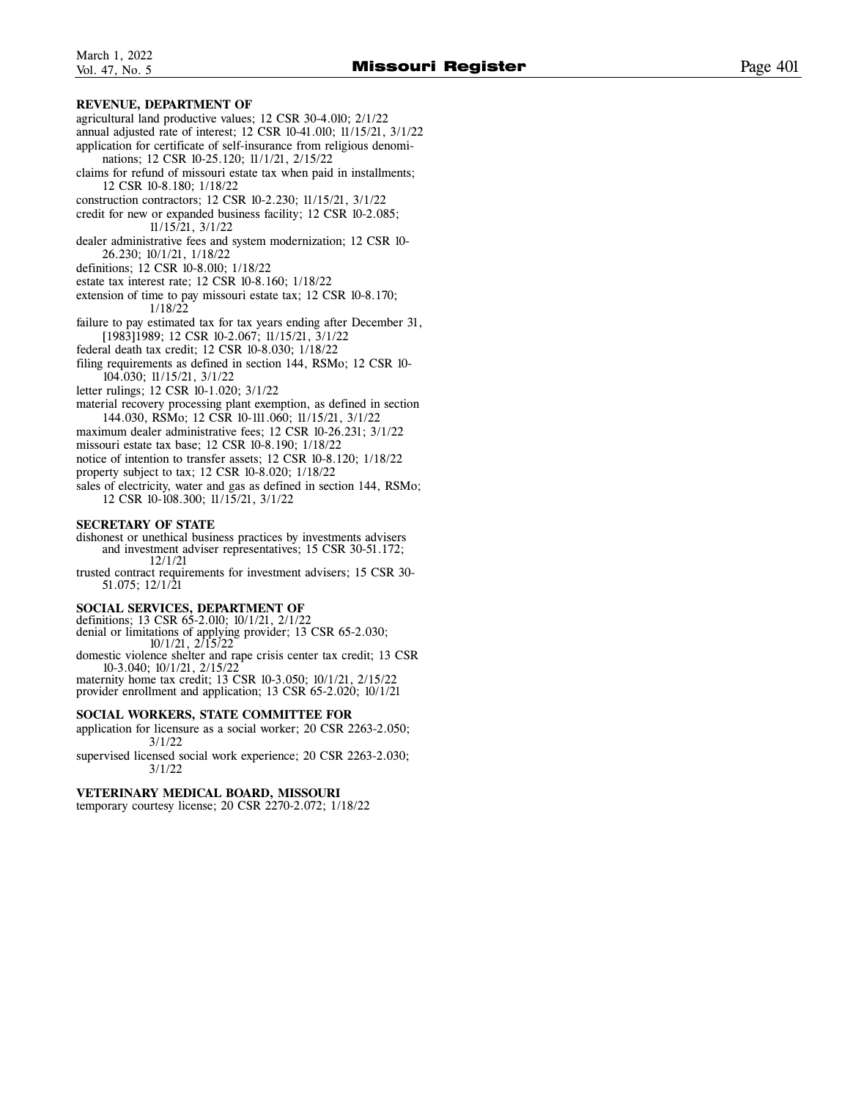### **REVENUE, DEPARTMENT OF**

- agricultural land productive values; 12 CSR 30-4.010; 2/1/22
- annual adjusted rate of interest; 12 CSR 10-41.010; 11/15/21, 3/1/22 application for certificate of self-insurance from religious denomi-
- nations; 12 CSR 10-25.120; 11/1/21, 2/15/22
- claims for refund of missouri estate tax when paid in installments; 12 CSR 10-8.180; 1/18/22
- construction contractors; 12 CSR 10-2.230; 11/15/21, 3/1/22
- credit for new or expanded business facility; 12 CSR 10-2.085; 11/15/21, 3/1/22
- dealer administrative fees and system modernization; 12 CSR 10- 26.230; 10/1/21, 1/18/22
- definitions; 12 CSR 10-8.010; 1/18/22
- estate tax interest rate; 12 CSR 10-8.160; 1/18/22
- extension of time to pay missouri estate tax; 12 CSR 10-8.170; 1/18/22
- failure to pay estimated tax for tax years ending after December 31, [1983]1989; 12 CSR 10-2.067; 11/15/21, 3/1/22
- federal death tax credit; 12 CSR 10-8.030; 1/18/22

filing requirements as defined in section 144, RSMo; 12 CSR 10- 104.030; 11/15/21, 3/1/22

- letter rulings; 12 CSR 10-1.020; 3/1/22
- material recovery processing plant exemption, as defined in section 144.030, RSMo; 12 CSR 10-111.060; 11/15/21, 3/1/22
- maximum dealer administrative fees; 12 CSR 10-26.231; 3/1/22
- missouri estate tax base; 12 CSR 10-8.190; 1/18/22
- notice of intention to transfer assets; 12 CSR 10-8.120; 1/18/22
- property subject to tax; 12 CSR 10-8.020; 1/18/22

sales of electricity, water and gas as defined in section 144, RSMo; 12 CSR 10-108.300; 11/15/21, 3/1/22

### **SECRETARY OF STATE**

- dishonest or unethical business practices by investments advisers and investment adviser representatives; 15 CSR 30-51.172; 12/1/21
- trusted contract requirements for investment advisers; 15 CSR 30- 51.075; 12/1/21

### **SOCIAL SERVICES, DEPARTMENT OF**

- definitions; 13 CSR 65-2.010; 10/1/21, 2/1/22 denial or limitations of applying provider; 13 CSR 65-2.030; 10/1/21, 2/15/22
- domestic violence shelter and rape crisis center tax credit; 13 CSR 10-3.040; 10/1/21, 2/15/22
- maternity home tax credit; 13 CSR 10-3.050; 10/1/21, 2/15/22 provider enrollment and application; 13 CSR 65-2.020; 10/1/21

### **SOCIAL WORKERS, STATE COMMITTEE FOR**

- application for licensure as a social worker; 20 CSR 2263-2.050; 3/1/22
- supervised licensed social work experience; 20 CSR 2263-2.030; 3/1/22

### **VETERINARY MEDICAL BOARD, MISSOURI**

temporary courtesy license; 20 CSR 2270-2.072; 1/18/22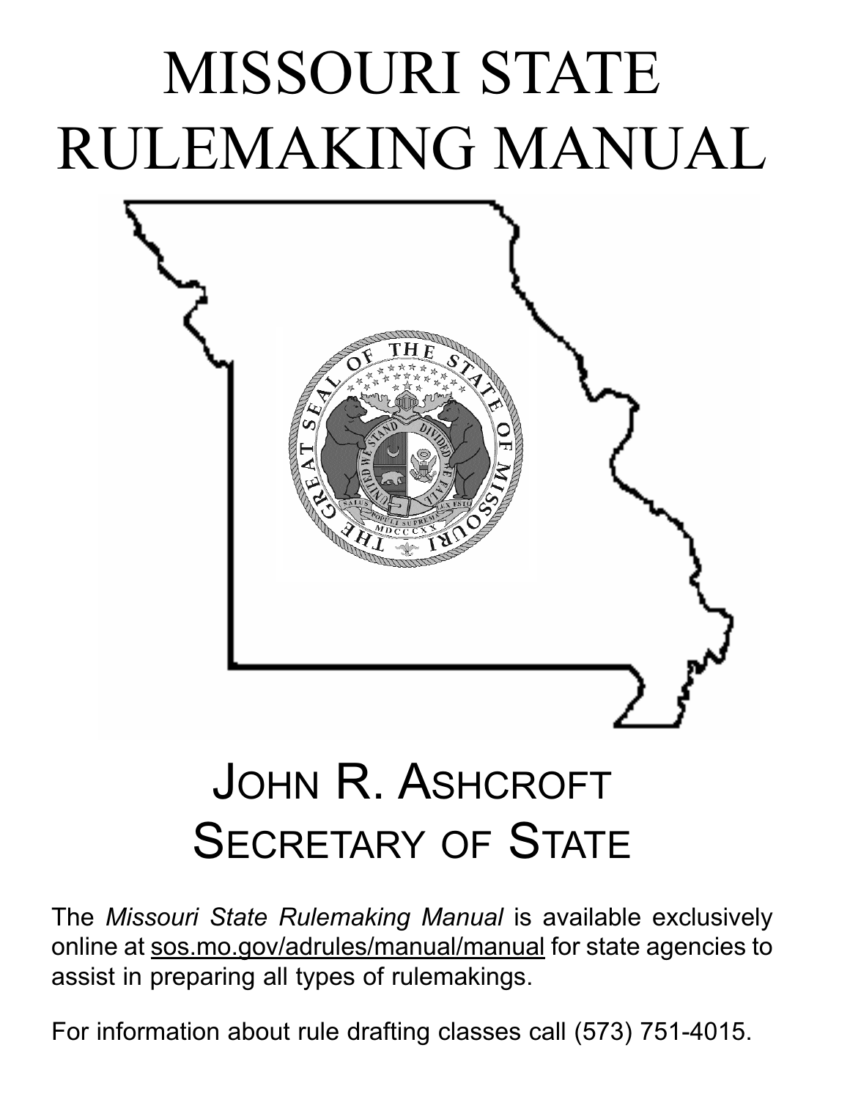# MISSOURI STATE RULEMAKING MANUAL



## JOHN R. ASHCROFT SECRETARY OF STATE

The *Missouri State Rulemaking Manual* is available exclusively online at sos.mo.gov/adrules/manual/manual for state agencies to assist in preparing all types of rulemakings.

For information about rule drafting classes call (573) 751-4015.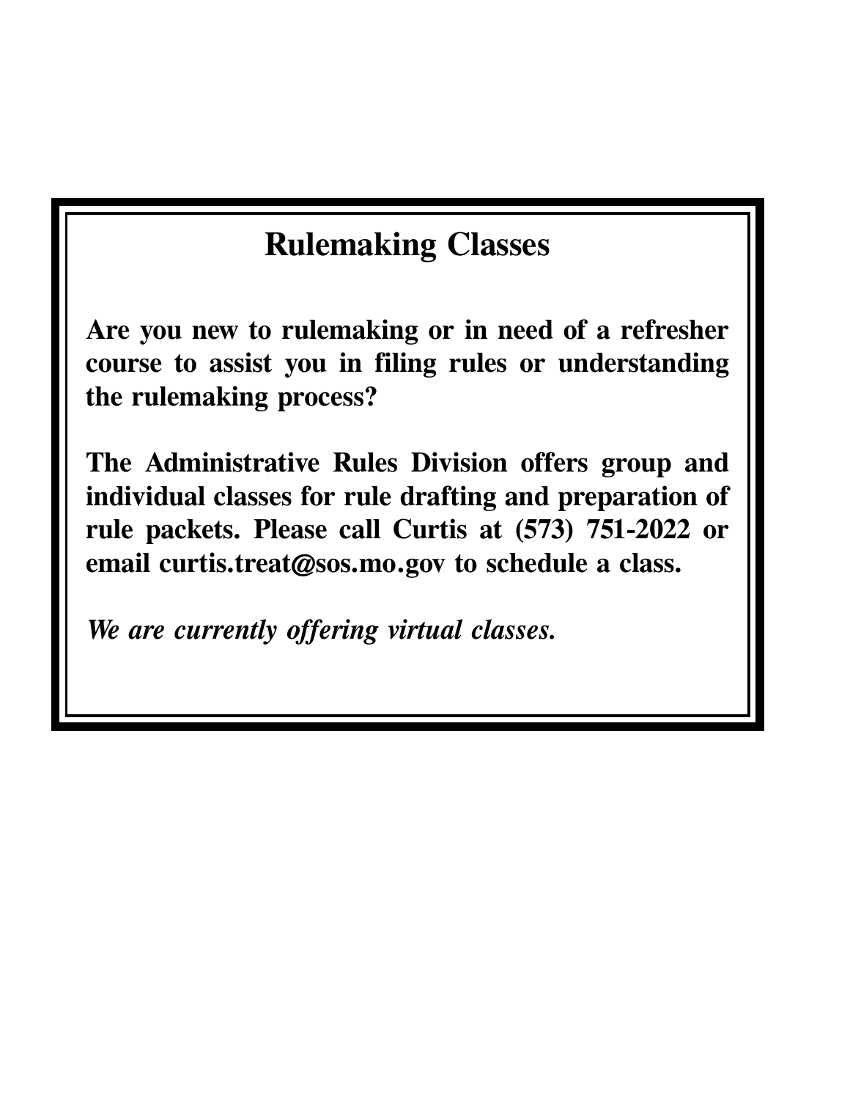### **Rulemaking Classes**

**Are you new to rulemaking or in need of a refresher course to assist you in filing rules or understanding the rulemaking process?** 

**The Administrative Rules Division offers group and individual classes for rule drafting and preparation of rule packets. Please call Curtis at (573) 751-2022 or email curtis.treat@sos.mo.gov to schedule a class.** 

*We are currently offering virtual classes.*